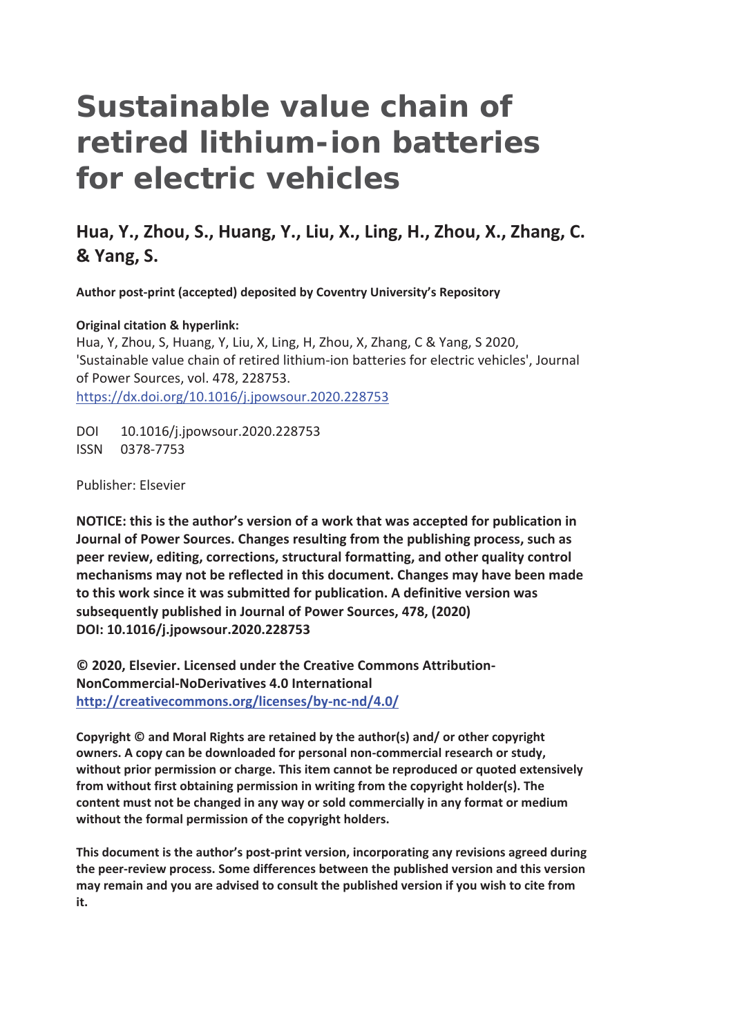# **Sustainable value chain of retired lithium-ion batteries for electric vehicles**

# **Hua, Y., Zhou, S., Huang, Y., Liu, X., Ling, H., Zhou, X., Zhang, C. & Yang, S.**

**Author post-print (accepted) deposited by Coventry University's Repository** 

#### **Original citation & hyperlink:**

Hua, Y, Zhou, S, Huang, Y, Liu, X, Ling, H, Zhou, X, Zhang, C & Yang, S 2020, 'Sustainable value chain of retired lithium-ion batteries for electric vehicles', Journal of Power Sources, vol. 478, 228753. https://dx.doi.org/10.1016/j.jpowsour.2020.228753

DOI 10.1016/j.jpowsour.2020.228753 ISSN 0378-7753

Publisher: Elsevier

**NOTICE: this is the author's version of a work that was accepted for publication in Journal of Power Sources. Changes resulting from the publishing process, such as peer review, editing, corrections, structural formatting, and other quality control mechanisms may not be reflected in this document. Changes may have been made to this work since it was submitted for publication. A definitive version was subsequently published in Journal of Power Sources, 478, (2020) DOI: 10.1016/j.jpowsour.2020.228753** 

**© 2020, Elsevier. Licensed under the Creative Commons Attribution-NonCommercial-NoDerivatives 4.0 International http://creativecommons.org/licenses/by-nc-nd/4.0/**

**Copyright © and Moral Rights are retained by the author(s) and/ or other copyright owners. A copy can be downloaded for personal non-commercial research or study, without prior permission or charge. This item cannot be reproduced or quoted extensively from without first obtaining permission in writing from the copyright holder(s). The content must not be changed in any way or sold commercially in any format or medium without the formal permission of the copyright holders.** 

**This document is the author's post-print version, incorporating any revisions agreed during the peer-review process. Some differences between the published version and this version may remain and you are advised to consult the published version if you wish to cite from it.**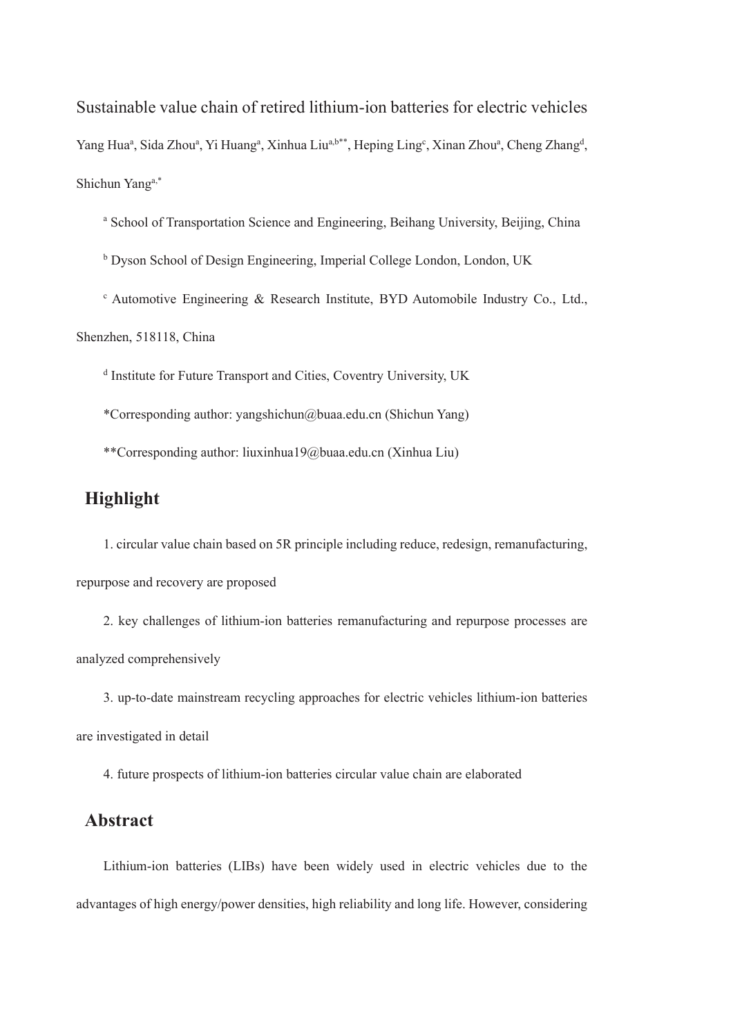Sustainable value chain of retired lithium-ion batteries for electric vehicles Yang Hua<sup>a</sup>, Sida Zhou<sup>a</sup>, Yi Huang<sup>a</sup>, Xinhua Liu<sup>a,b\*\*</sup>, Heping Ling<sup>c</sup>, Xinan Zhou<sup>a</sup>, Cheng Zhang<sup>d</sup>, Shichun Yanga,\*

<sup>a</sup> School of Transportation Science and Engineering, Beihang University, Beijing, China

<sup>b</sup> Dyson School of Design Engineering, Imperial College London, London, UK

<sup>c</sup> Automotive Engineering & Research Institute, BYD Automobile Industry Co., Ltd.,

Shenzhen, 518118, China

d Institute for Future Transport and Cities, Coventry University, UK

\*Corresponding author: yangshichun@buaa.edu.cn (Shichun Yang)

\*\*Corresponding author: liuxinhua19@buaa.edu.cn (Xinhua Liu)

# **Highlight**

1. circular value chain based on 5R principle including reduce, redesign, remanufacturing, repurpose and recovery are proposed

2. key challenges of lithium-ion batteries remanufacturing and repurpose processes are analyzed comprehensively

3. up-to-date mainstream recycling approaches for electric vehicles lithium-ion batteries are investigated in detail

4. future prospects of lithium-ion batteries circular value chain are elaborated

# **Abstract**

Lithium-ion batteries (LIBs) have been widely used in electric vehicles due to the advantages of high energy/power densities, high reliability and long life. However, considering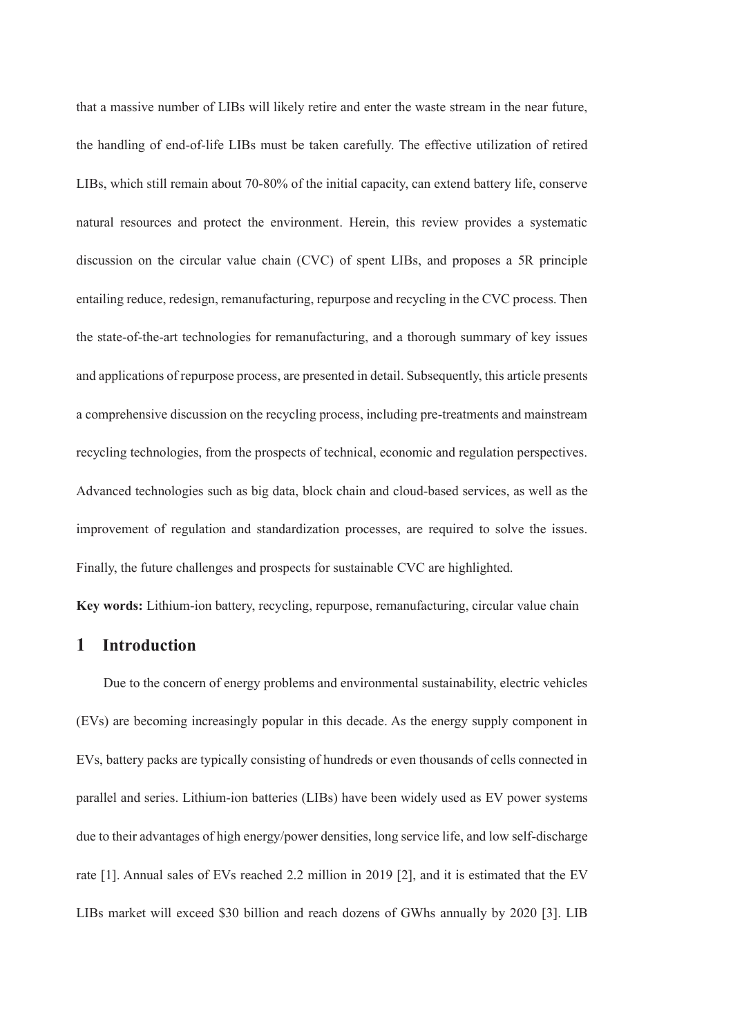that a massive number of LIBs will likely retire and enter the waste stream in the near future, the handling of end-of-life LIBs must be taken carefully. The effective utilization of retired LIBs, which still remain about 70-80% of the initial capacity, can extend battery life, conserve natural resources and protect the environment. Herein, this review provides a systematic discussion on the circular value chain (CVC) of spent LIBs, and proposes a 5R principle entailing reduce, redesign, remanufacturing, repurpose and recycling in the CVC process. Then the state-of-the-art technologies for remanufacturing, and a thorough summary of key issues and applications of repurpose process, are presented in detail. Subsequently, this article presents a comprehensive discussion on the recycling process, including pre-treatments and mainstream recycling technologies, from the prospects of technical, economic and regulation perspectives. Advanced technologies such as big data, block chain and cloud-based services, as well as the improvement of regulation and standardization processes, are required to solve the issues. Finally, the future challenges and prospects for sustainable CVC are highlighted.

**Key words:** Lithium-ion battery, recycling, repurpose, remanufacturing, circular value chain

# **1 Introduction**

Due to the concern of energy problems and environmental sustainability, electric vehicles (EVs) are becoming increasingly popular in this decade. As the energy supply component in EVs, battery packs are typically consisting of hundreds or even thousands of cells connected in parallel and series. Lithium-ion batteries (LIBs) have been widely used as EV power systems due to their advantages of high energy/power densities, long service life, and low self-discharge rate [1]. Annual sales of EVs reached 2.2 million in 2019 [2], and it is estimated that the EV LIBs market will exceed \$30 billion and reach dozens of GWhs annually by 2020 [3]. LIB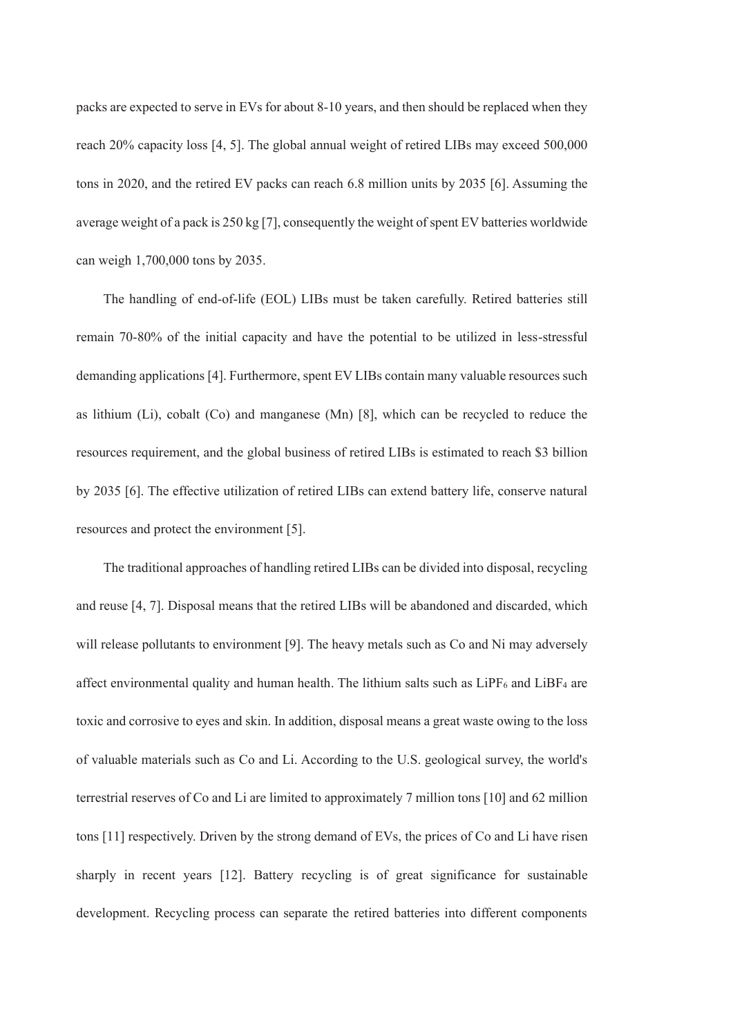packs are expected to serve in EVs for about 8-10 years, and then should be replaced when they reach 20% capacity loss [4, 5]. The global annual weight of retired LIBs may exceed 500,000 tons in 2020, and the retired EV packs can reach 6.8 million units by 2035 [6]. Assuming the average weight of a pack is 250 kg [7], consequently the weight of spent EV batteries worldwide can weigh 1,700,000 tons by 2035.

The handling of end-of-life (EOL) LIBs must be taken carefully. Retired batteries still remain 70-80% of the initial capacity and have the potential to be utilized in less-stressful demanding applications [4]. Furthermore, spent EV LIBs contain many valuable resources such as lithium (Li), cobalt (Co) and manganese (Mn) [8], which can be recycled to reduce the resources requirement, and the global business of retired LIBs is estimated to reach \$3 billion by 2035 [6]. The effective utilization of retired LIBs can extend battery life, conserve natural resources and protect the environment [5].

The traditional approaches of handling retired LIBs can be divided into disposal, recycling and reuse [4, 7]. Disposal means that the retired LIBs will be abandoned and discarded, which will release pollutants to environment [9]. The heavy metals such as Co and Ni may adversely affect environmental quality and human health. The lithium salts such as  $LiPF_6$  and  $LiBF_4$  are toxic and corrosive to eyes and skin. In addition, disposal means a great waste owing to the loss of valuable materials such as Co and Li. According to the U.S. geological survey, the world's terrestrial reserves of Co and Li are limited to approximately 7 million tons [10] and 62 million tons [11] respectively. Driven by the strong demand of EVs, the prices of Co and Li have risen sharply in recent years [12]. Battery recycling is of great significance for sustainable development. Recycling process can separate the retired batteries into different components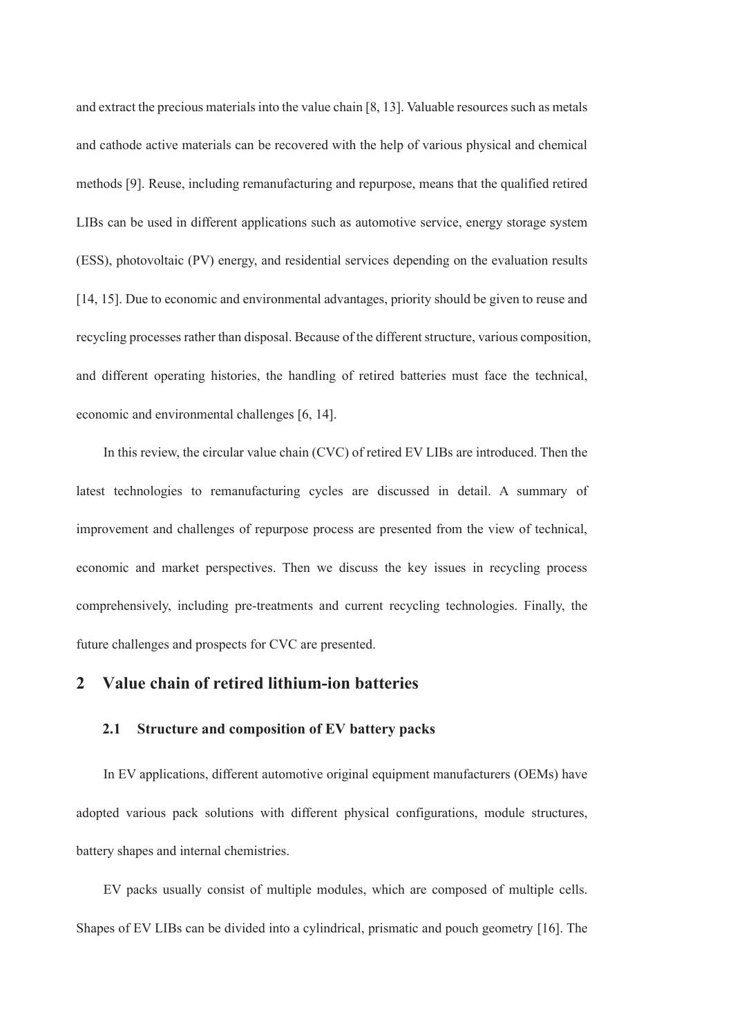and extract the precious materials into the value chain [8, 13]. Valuable resources such as metals and cathode active materials can be recovered with the help of various physical and chemical methods [9]. Reuse, including remanufacturing and repurpose, means that the qualified retired LIBs can be used in different applications such as automotive service, energy storage system (ESS), photovoltaic (PV) energy, and residential services depending on the evaluation results [14, 15]. Due to economic and environmental advantages, priority should be given to reuse and recycling processes rather than disposal. Because of the different structure, various composition, and different operating histories, the handling of retired batteries must face the technical, economic and environmental challenges [6, 14].

In this review, the circular value chain (CVC) of retired EV LIBs are introduced. Then the latest technologies to remanufacturing cycles are discussed in detail. A summary of improvement and challenges of repurpose process are presented from the view of technical, economic and market perspectives. Then we discuss the key issues in recycling process comprehensively, including pre-treatments and current recycling technologies. Finally, the future challenges and prospects for CVC are presented.

# **2 Value chain of retired lithium-ion batteries**

#### **2.1 Structure and composition of EV battery packs**

In EV applications, different automotive original equipment manufacturers (OEMs) have adopted various pack solutions with different physical configurations, module structures, battery shapes and internal chemistries.

EV packs usually consist of multiple modules, which are composed of multiple cells. Shapes of EV LIBs can be divided into a cylindrical, prismatic and pouch geometry [16]. The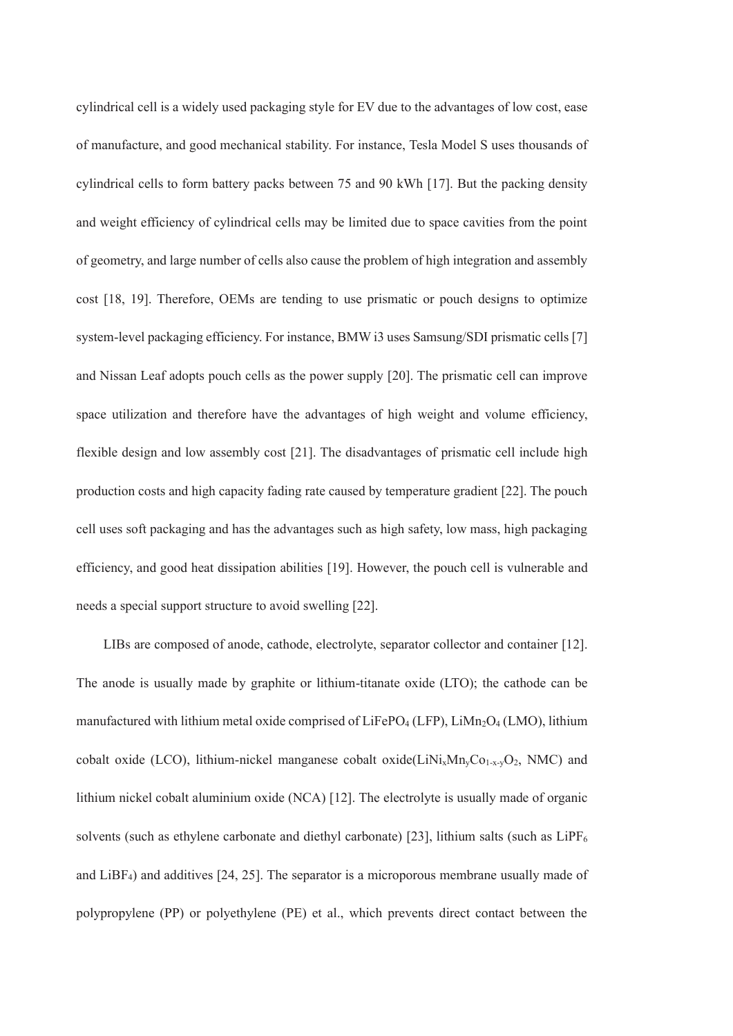cylindrical cell is a widely used packaging style for EV due to the advantages of low cost, ease of manufacture, and good mechanical stability. For instance, Tesla Model S uses thousands of cylindrical cells to form battery packs between 75 and 90 kWh [17]. But the packing density and weight efficiency of cylindrical cells may be limited due to space cavities from the point of geometry, and large number of cells also cause the problem of high integration and assembly cost [18, 19]. Therefore, OEMs are tending to use prismatic or pouch designs to optimize system-level packaging efficiency. For instance, BMW i3 uses Samsung/SDI prismatic cells [7] and Nissan Leaf adopts pouch cells as the power supply [20]. The prismatic cell can improve space utilization and therefore have the advantages of high weight and volume efficiency, flexible design and low assembly cost [21]. The disadvantages of prismatic cell include high production costs and high capacity fading rate caused by temperature gradient [22]. The pouch cell uses soft packaging and has the advantages such as high safety, low mass, high packaging efficiency, and good heat dissipation abilities [19]. However, the pouch cell is vulnerable and needs a special support structure to avoid swelling [22].

LIBs are composed of anode, cathode, electrolyte, separator collector and container [12]. The anode is usually made by graphite or lithium-titanate oxide (LTO); the cathode can be manufactured with lithium metal oxide comprised of LiFePO<sub>4</sub> (LFP), LiMn<sub>2</sub>O<sub>4</sub> (LMO), lithium cobalt oxide (LCO), lithium-nickel manganese cobalt oxide(LiNi<sub>x</sub>Mn<sub>y</sub>Co<sub>1-x-y</sub>O<sub>2</sub>, NMC) and lithium nickel cobalt aluminium oxide (NCA) [12]. The electrolyte is usually made of organic solvents (such as ethylene carbonate and diethyl carbonate) [23], lithium salts (such as  $LiPF<sub>6</sub>$ and  $LiBF<sub>4</sub>$ ) and additives [24, 25]. The separator is a microporous membrane usually made of polypropylene (PP) or polyethylene (PE) et al., which prevents direct contact between the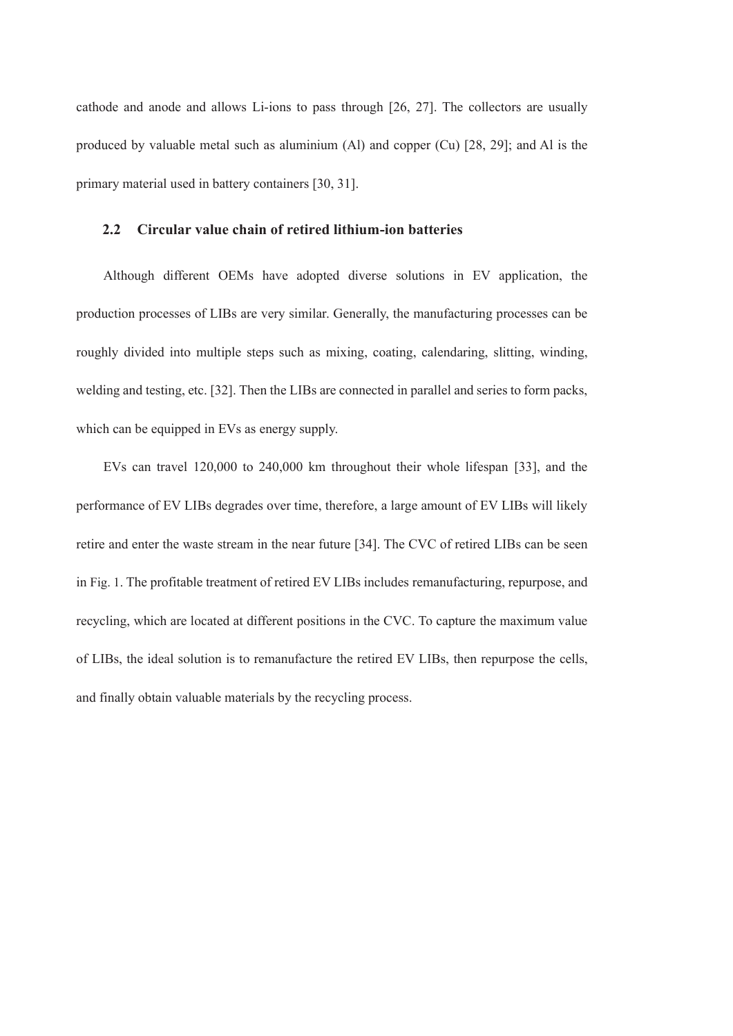cathode and anode and allows Li-ions to pass through [26, 27]. The collectors are usually produced by valuable metal such as aluminium (Al) and copper (Cu) [28, 29]; and Al is the primary material used in battery containers [30, 31].

## **2.2 Circular value chain of retired lithium-ion batteries**

Although different OEMs have adopted diverse solutions in EV application, the production processes of LIBs are very similar. Generally, the manufacturing processes can be roughly divided into multiple steps such as mixing, coating, calendaring, slitting, winding, welding and testing, etc. [32]. Then the LIBs are connected in parallel and series to form packs, which can be equipped in EVs as energy supply.

EVs can travel 120,000 to 240,000 km throughout their whole lifespan [33], and the performance of EV LIBs degrades over time, therefore, a large amount of EV LIBs will likely retire and enter the waste stream in the near future [34]. The CVC of retired LIBs can be seen in Fig. 1. The profitable treatment of retired EV LIBs includes remanufacturing, repurpose, and recycling, which are located at different positions in the CVC. To capture the maximum value of LIBs, the ideal solution is to remanufacture the retired EV LIBs, then repurpose the cells, and finally obtain valuable materials by the recycling process.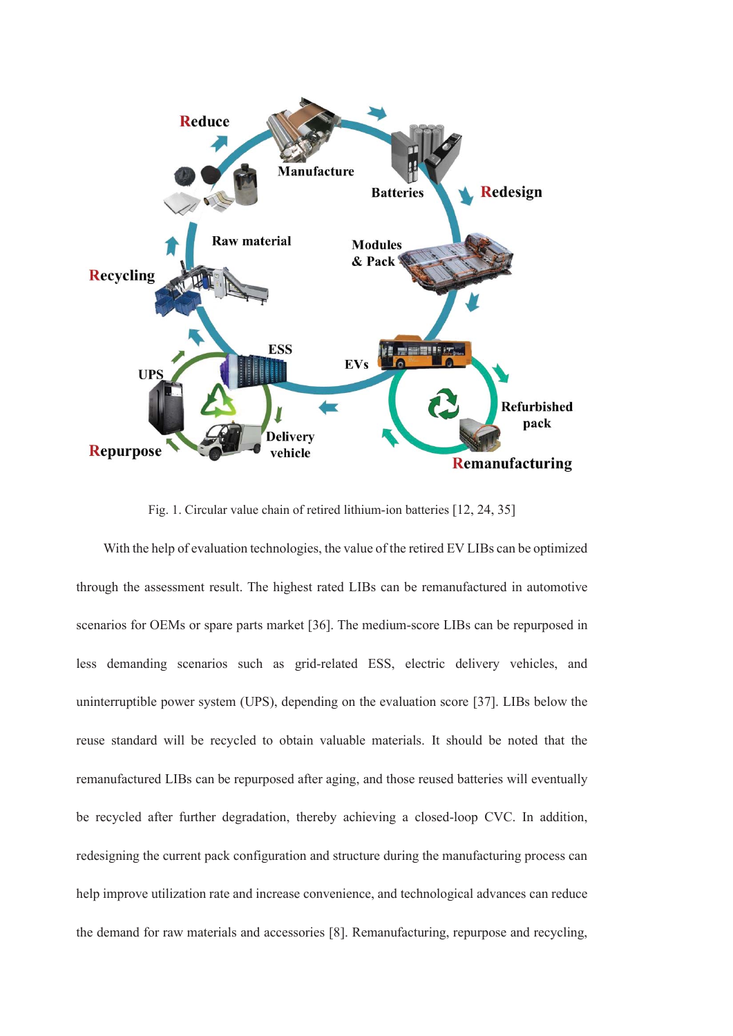

Fig. 1. Circular value chain of retired lithium-ion batteries [12, 24, 35]

With the help of evaluation technologies, the value of the retired EV LIBs can be optimized through the assessment result. The highest rated LIBs can be remanufactured in automotive scenarios for OEMs or spare parts market [36]. The medium-score LIBs can be repurposed in less demanding scenarios such as grid-related ESS, electric delivery vehicles, and uninterruptible power system (UPS), depending on the evaluation score [37]. LIBs below the reuse standard will be recycled to obtain valuable materials. It should be noted that the remanufactured LIBs can be repurposed after aging, and those reused batteries will eventually be recycled after further degradation, thereby achieving a closed-loop CVC. In addition, redesigning the current pack configuration and structure during the manufacturing process can help improve utilization rate and increase convenience, and technological advances can reduce the demand for raw materials and accessories [8]. Remanufacturing, repurpose and recycling,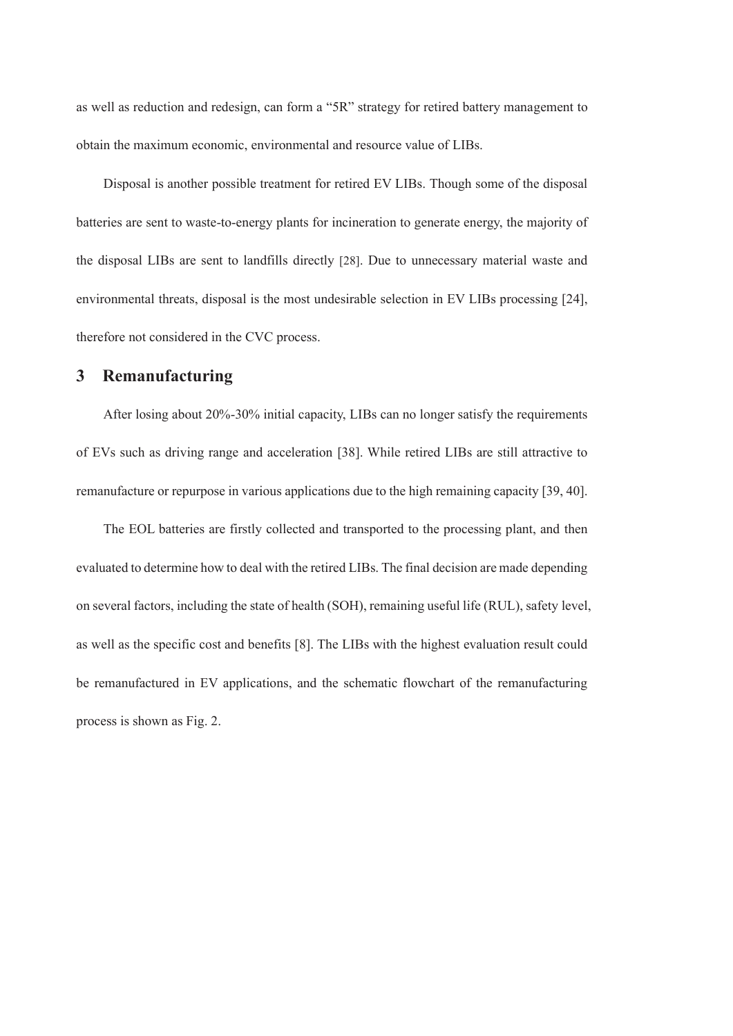as well as reduction and redesign, can form a "5R" strategy for retired battery management to obtain the maximum economic, environmental and resource value of LIBs.

Disposal is another possible treatment for retired EV LIBs. Though some of the disposal batteries are sent to waste-to-energy plants for incineration to generate energy, the majority of the disposal LIBs are sent to landfills directly [28]. Due to unnecessary material waste and environmental threats, disposal is the most undesirable selection in EV LIBs processing [24], therefore not considered in the CVC process.

# **3 Remanufacturing**

After losing about 20%-30% initial capacity, LIBs can no longer satisfy the requirements of EVs such as driving range and acceleration [38]. While retired LIBs are still attractive to remanufacture or repurpose in various applications due to the high remaining capacity [39, 40].

The EOL batteries are firstly collected and transported to the processing plant, and then evaluated to determine how to deal with the retired LIBs. The final decision are made depending on several factors, including the state of health (SOH), remaining useful life (RUL), safety level, as well as the specific cost and benefits [8]. The LIBs with the highest evaluation result could be remanufactured in EV applications, and the schematic flowchart of the remanufacturing process is shown as Fig. 2.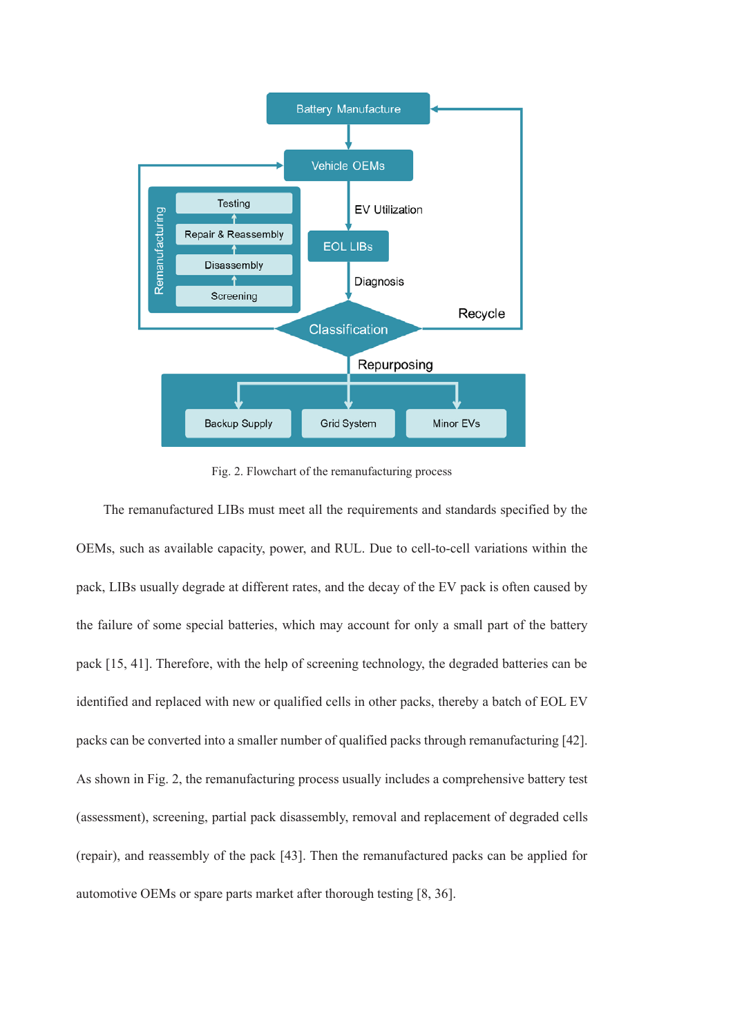

Fig. 2. Flowchart of the remanufacturing process

The remanufactured LIBs must meet all the requirements and standards specified by the OEMs, such as available capacity, power, and RUL. Due to cell-to-cell variations within the pack, LIBs usually degrade at different rates, and the decay of the EV pack is often caused by the failure of some special batteries, which may account for only a small part of the battery pack [15, 41]. Therefore, with the help of screening technology, the degraded batteries can be identified and replaced with new or qualified cells in other packs, thereby a batch of EOL EV packs can be converted into a smaller number of qualified packs through remanufacturing [42]. As shown in Fig. 2, the remanufacturing process usually includes a comprehensive battery test (assessment), screening, partial pack disassembly, removal and replacement of degraded cells (repair), and reassembly of the pack [43]. Then the remanufactured packs can be applied for automotive OEMs or spare parts market after thorough testing [8, 36].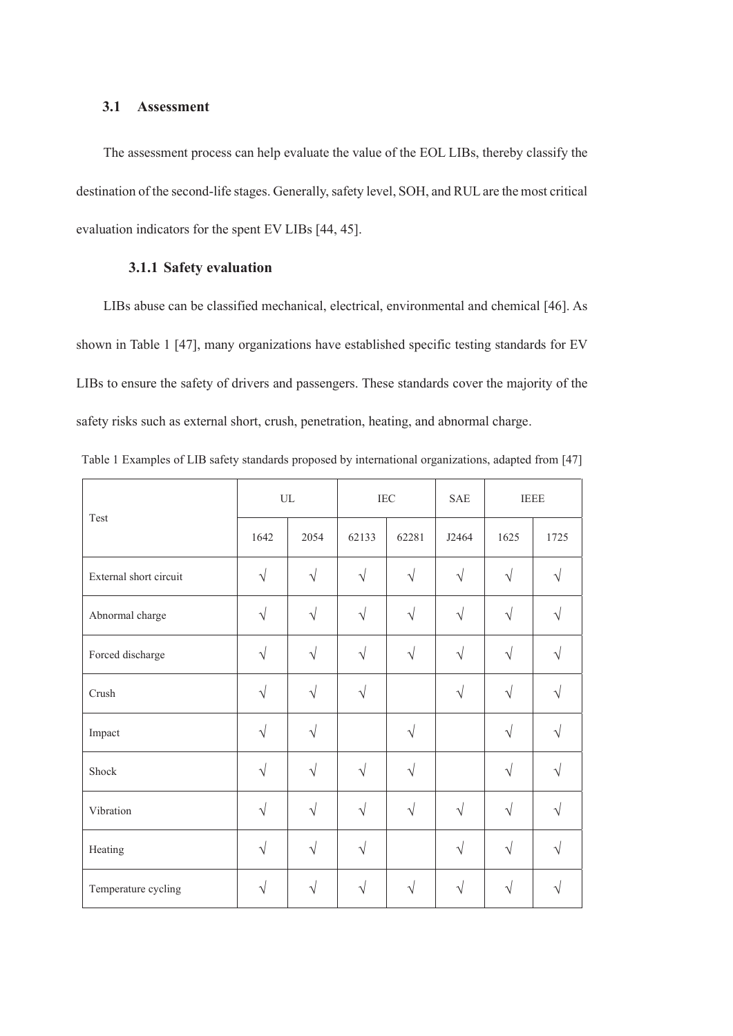## **3.1 Assessment**

The assessment process can help evaluate the value of the EOL LIBs, thereby classify the destination of the second-life stages. Generally, safety level, SOH, and RUL are the most critical evaluation indicators for the spent EV LIBs [44, 45].

# **3.1.1 Safety evaluation**

LIBs abuse can be classified mechanical, electrical, environmental and chemical [46]. As shown in Table 1 [47], many organizations have established specific testing standards for EV LIBs to ensure the safety of drivers and passengers. These standards cover the majority of the safety risks such as external short, crush, penetration, heating, and abnormal charge.

| Test                   | $\ensuremath{\text{UL}}$ |            | $\rm{IEC}$ |           | SAE       | <b>IEEE</b> |      |
|------------------------|--------------------------|------------|------------|-----------|-----------|-------------|------|
|                        | 1642                     | 2054       | 62133      | 62281     | J2464     | 1625        | 1725 |
| External short circuit | $\sqrt{}$                | $\sqrt{}$  |            | $\sqrt{}$ | $\sqrt{}$ | V           |      |
| Abnormal charge        | $\sqrt{}$                | N          | $\sqrt{}$  | $\sqrt{}$ | $\sqrt{}$ | $\sqrt{}$   |      |
| Forced discharge       | $\sqrt{}$                | N          |            | $\sqrt{}$ | $\sqrt{}$ |             |      |
| Crush                  | $\sqrt{}$                | V          |            |           | V         | V           |      |
| Impact                 | $\sqrt{ }$               | V          |            | $\sqrt{}$ |           | $\sqrt{}$   |      |
| Shock                  | $\sqrt{}$                | $\sqrt{}$  | V          | $\sqrt{}$ |           | $\sqrt{}$   |      |
| Vibration              | $\sqrt{ }$               | $\sqrt{ }$ | $\sqrt{}$  | $\sqrt{}$ | $\sqrt{}$ | $\sqrt{}$   |      |
| Heating                | V                        |            |            |           | V         |             |      |
| Temperature cycling    |                          | N          |            | V         | V         | V           |      |

Table 1 Examples of LIB safety standards proposed by international organizations, adapted from [47]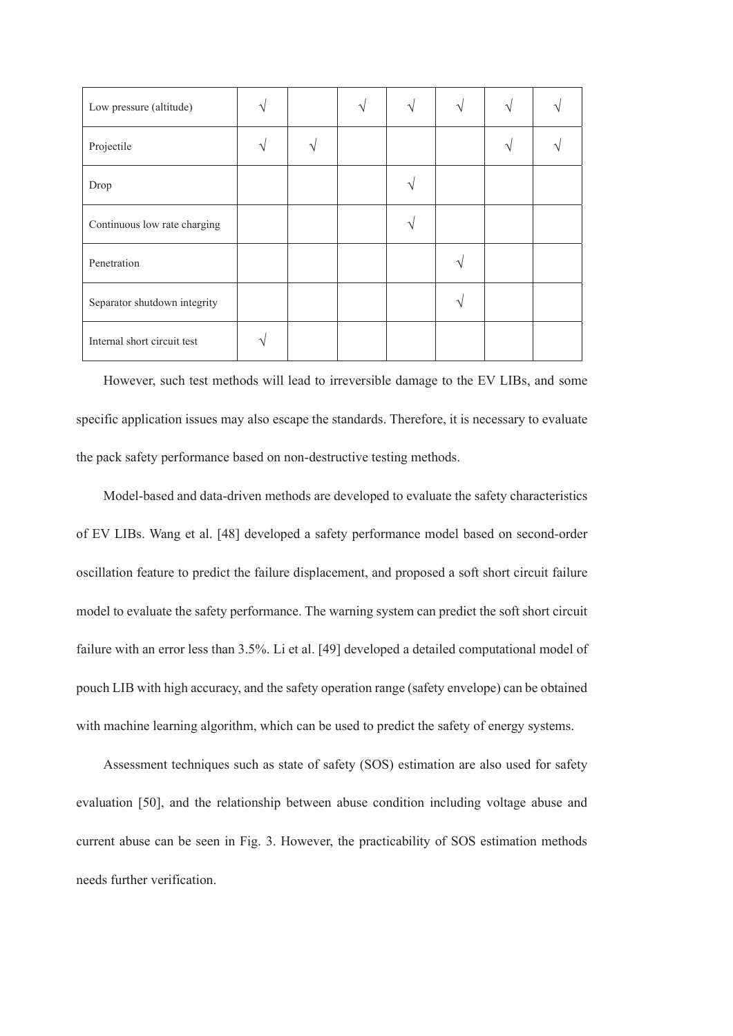| Low pressure (altitude)      |  |  | ٦ |  |
|------------------------------|--|--|---|--|
| Projectile                   |  |  |   |  |
| Drop                         |  |  |   |  |
| Continuous low rate charging |  |  |   |  |
| Penetration                  |  |  |   |  |
| Separator shutdown integrity |  |  |   |  |
| Internal short circuit test  |  |  |   |  |

However, such test methods will lead to irreversible damage to the EV LIBs, and some specific application issues may also escape the standards. Therefore, it is necessary to evaluate the pack safety performance based on non-destructive testing methods.

Model-based and data-driven methods are developed to evaluate the safety characteristics of EV LIBs. Wang et al. [48] developed a safety performance model based on second-order oscillation feature to predict the failure displacement, and proposed a soft short circuit failure model to evaluate the safety performance. The warning system can predict the soft short circuit failure with an error less than 3.5%. Li et al. [49] developed a detailed computational model of pouch LIB with high accuracy, and the safety operation range (safety envelope) can be obtained with machine learning algorithm, which can be used to predict the safety of energy systems.

Assessment techniques such as state of safety (SOS) estimation are also used for safety evaluation [50], and the relationship between abuse condition including voltage abuse and current abuse can be seen in Fig. 3. However, the practicability of SOS estimation methods needs further verification.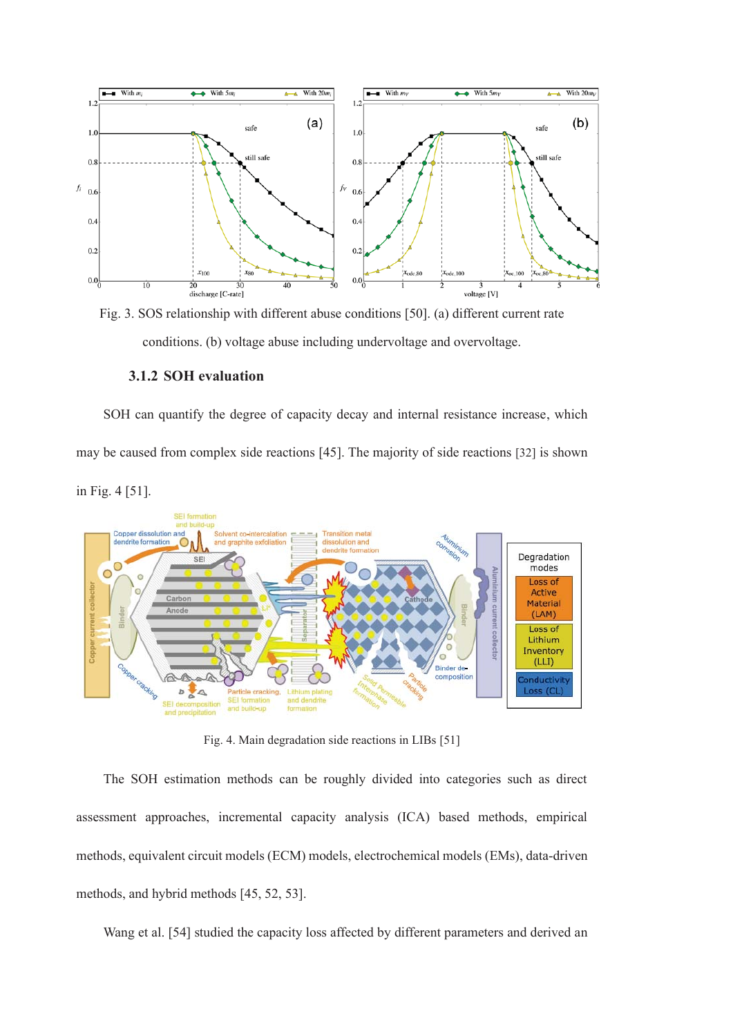

Fig. 3. SOS relationship with different abuse conditions [50]. (a) different current rate conditions. (b) voltage abuse including undervoltage and overvoltage.

## **3.1.2 SOH evaluation**

SOH can quantify the degree of capacity decay and internal resistance increase, which may be caused from complex side reactions [45]. The majority of side reactions [32] is shown in Fig. 4 [51].



Fig. 4. Main degradation side reactions in LIBs [51]

The SOH estimation methods can be roughly divided into categories such as direct assessment approaches, incremental capacity analysis (ICA) based methods, empirical methods, equivalent circuit models (ECM) models, electrochemical models (EMs), data-driven methods, and hybrid methods [45, 52, 53].

Wang et al. [54] studied the capacity loss affected by different parameters and derived an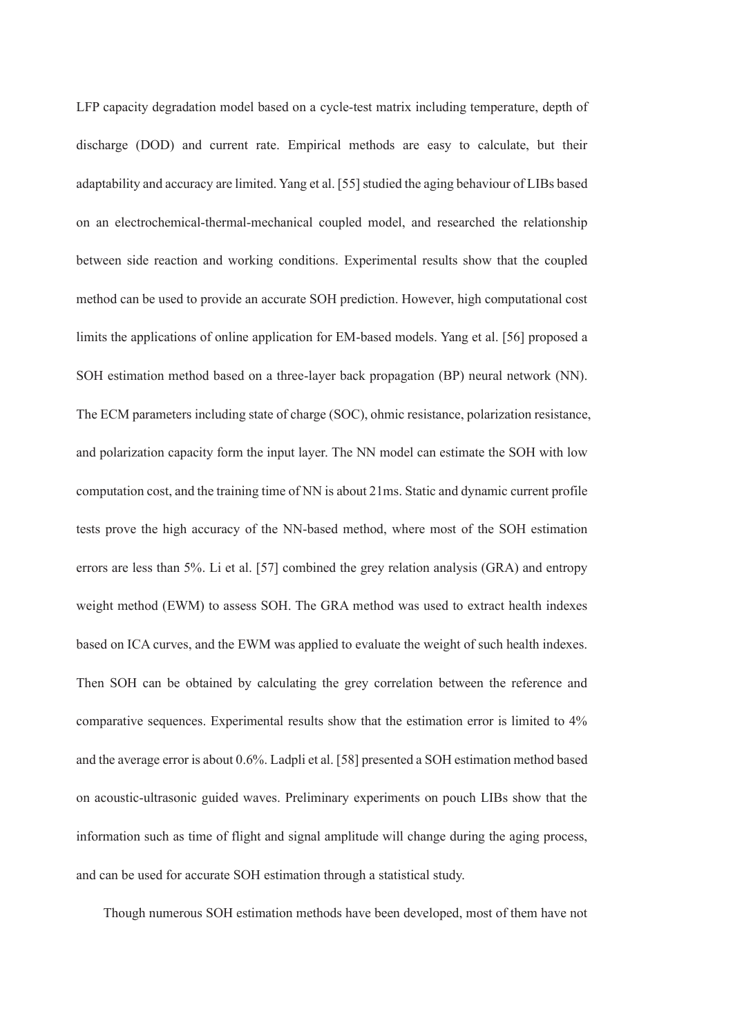LFP capacity degradation model based on a cycle-test matrix including temperature, depth of discharge (DOD) and current rate. Empirical methods are easy to calculate, but their adaptability and accuracy are limited. Yang et al. [55] studied the aging behaviour of LIBs based on an electrochemical-thermal-mechanical coupled model, and researched the relationship between side reaction and working conditions. Experimental results show that the coupled method can be used to provide an accurate SOH prediction. However, high computational cost limits the applications of online application for EM-based models. Yang et al. [56] proposed a SOH estimation method based on a three-layer back propagation (BP) neural network (NN). The ECM parameters including state of charge (SOC), ohmic resistance, polarization resistance, and polarization capacity form the input layer. The NN model can estimate the SOH with low computation cost, and the training time of NN is about 21ms. Static and dynamic current profile tests prove the high accuracy of the NN-based method, where most of the SOH estimation errors are less than 5%. Li et al. [57] combined the grey relation analysis (GRA) and entropy weight method (EWM) to assess SOH. The GRA method was used to extract health indexes based on ICA curves, and the EWM was applied to evaluate the weight of such health indexes. Then SOH can be obtained by calculating the grey correlation between the reference and comparative sequences. Experimental results show that the estimation error is limited to 4% and the average error is about 0.6%. Ladpli et al. [58] presented a SOH estimation method based on acoustic-ultrasonic guided waves. Preliminary experiments on pouch LIBs show that the information such as time of flight and signal amplitude will change during the aging process, and can be used for accurate SOH estimation through a statistical study.

Though numerous SOH estimation methods have been developed, most of them have not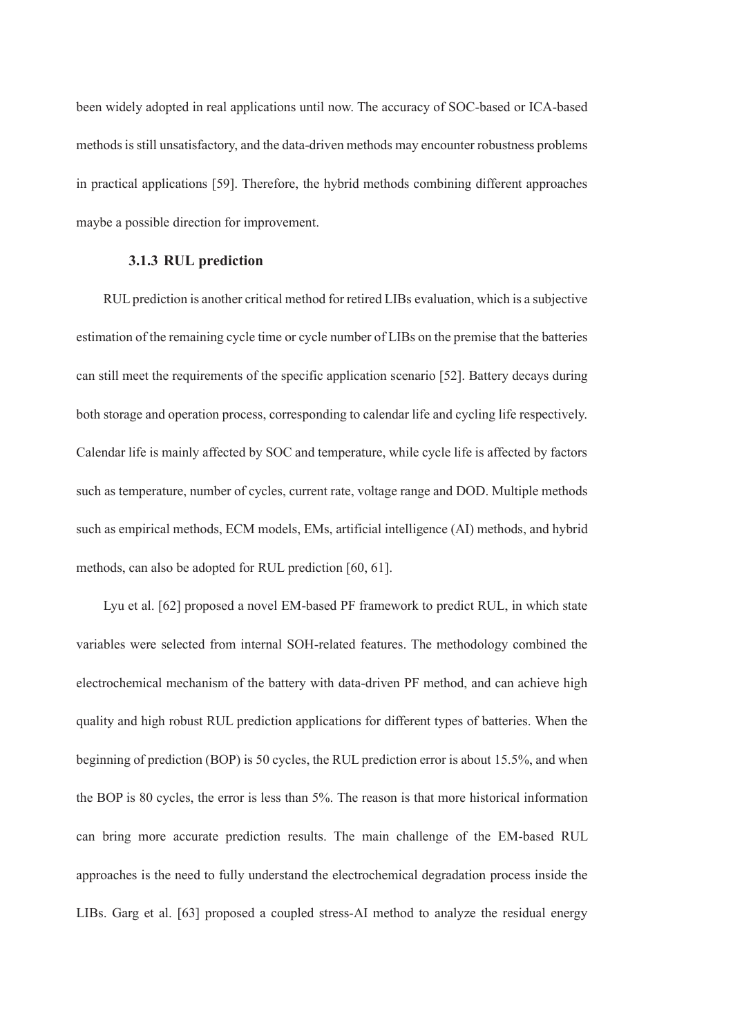been widely adopted in real applications until now. The accuracy of SOC-based or ICA-based methods is still unsatisfactory, and the data-driven methods may encounter robustness problems in practical applications [59]. Therefore, the hybrid methods combining different approaches maybe a possible direction for improvement.

#### **3.1.3 RUL prediction**

RUL prediction is another critical method for retired LIBs evaluation, which is a subjective estimation of the remaining cycle time or cycle number of LIBs on the premise that the batteries can still meet the requirements of the specific application scenario [52]. Battery decays during both storage and operation process, corresponding to calendar life and cycling life respectively. Calendar life is mainly affected by SOC and temperature, while cycle life is affected by factors such as temperature, number of cycles, current rate, voltage range and DOD. Multiple methods such as empirical methods, ECM models, EMs, artificial intelligence (AI) methods, and hybrid methods, can also be adopted for RUL prediction [60, 61].

Lyu et al. [62] proposed a novel EM-based PF framework to predict RUL, in which state variables were selected from internal SOH-related features. The methodology combined the electrochemical mechanism of the battery with data-driven PF method, and can achieve high quality and high robust RUL prediction applications for different types of batteries. When the beginning of prediction (BOP) is 50 cycles, the RUL prediction error is about 15.5%, and when the BOP is 80 cycles, the error is less than 5%. The reason is that more historical information can bring more accurate prediction results. The main challenge of the EM-based RUL approaches is the need to fully understand the electrochemical degradation process inside the LIBs. Garg et al. [63] proposed a coupled stress-AI method to analyze the residual energy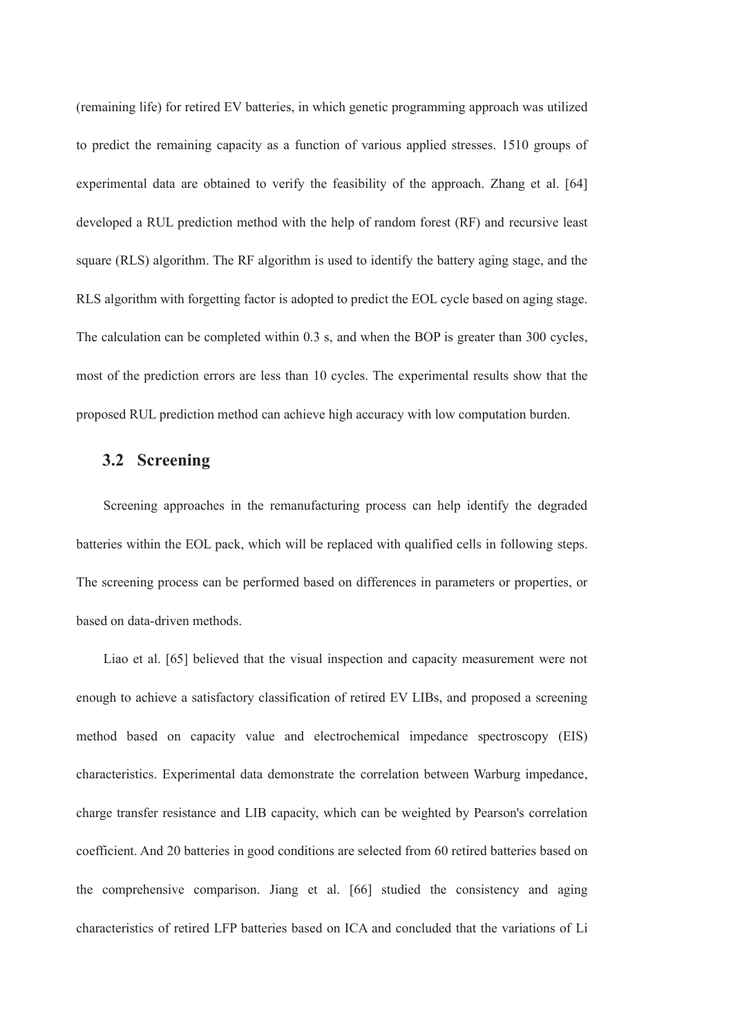(remaining life) for retired EV batteries, in which genetic programming approach was utilized to predict the remaining capacity as a function of various applied stresses. 1510 groups of experimental data are obtained to verify the feasibility of the approach. Zhang et al. [64] developed a RUL prediction method with the help of random forest (RF) and recursive least square (RLS) algorithm. The RF algorithm is used to identify the battery aging stage, and the RLS algorithm with forgetting factor is adopted to predict the EOL cycle based on aging stage. The calculation can be completed within 0.3 s, and when the BOP is greater than 300 cycles, most of the prediction errors are less than 10 cycles. The experimental results show that the proposed RUL prediction method can achieve high accuracy with low computation burden.

## **3.2 Screening**

Screening approaches in the remanufacturing process can help identify the degraded batteries within the EOL pack, which will be replaced with qualified cells in following steps. The screening process can be performed based on differences in parameters or properties, or based on data-driven methods.

Liao et al. [65] believed that the visual inspection and capacity measurement were not enough to achieve a satisfactory classification of retired EV LIBs, and proposed a screening method based on capacity value and electrochemical impedance spectroscopy (EIS) characteristics. Experimental data demonstrate the correlation between Warburg impedance, charge transfer resistance and LIB capacity, which can be weighted by Pearson's correlation coefficient. And 20 batteries in good conditions are selected from 60 retired batteries based on the comprehensive comparison. Jiang et al. [66] studied the consistency and aging characteristics of retired LFP batteries based on ICA and concluded that the variations of Li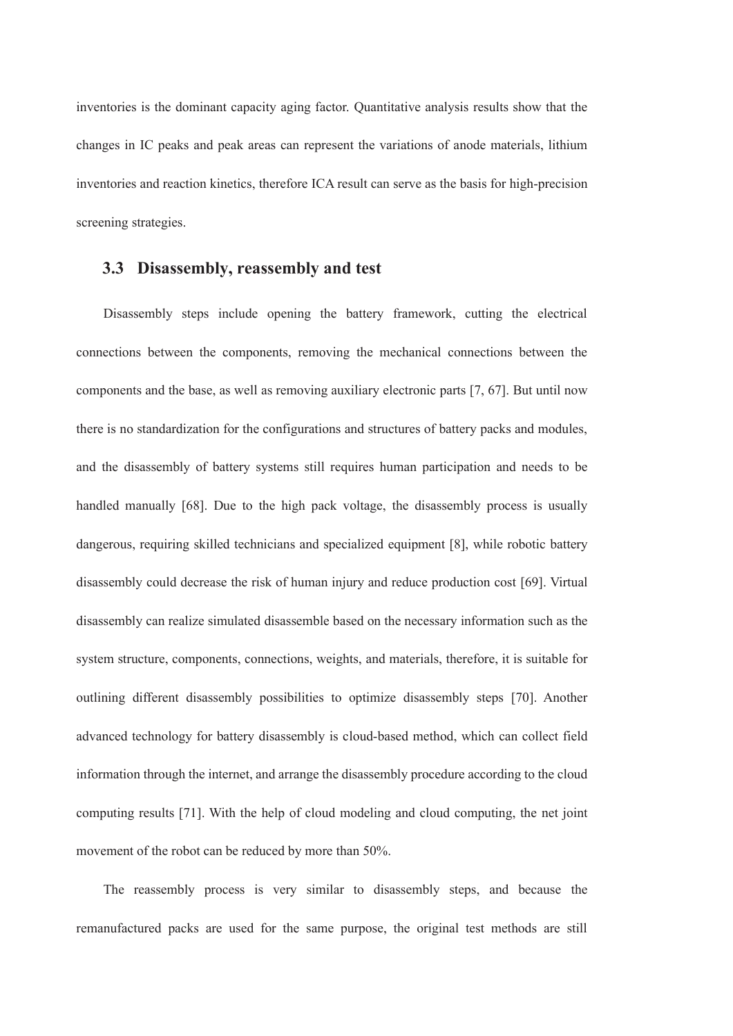inventories is the dominant capacity aging factor. Quantitative analysis results show that the changes in IC peaks and peak areas can represent the variations of anode materials, lithium inventories and reaction kinetics, therefore ICA result can serve as the basis for high-precision screening strategies.

# **3.3 Disassembly, reassembly and test**

Disassembly steps include opening the battery framework, cutting the electrical connections between the components, removing the mechanical connections between the components and the base, as well as removing auxiliary electronic parts [7, 67]. But until now there is no standardization for the configurations and structures of battery packs and modules, and the disassembly of battery systems still requires human participation and needs to be handled manually [68]. Due to the high pack voltage, the disassembly process is usually dangerous, requiring skilled technicians and specialized equipment [8], while robotic battery disassembly could decrease the risk of human injury and reduce production cost [69]. Virtual disassembly can realize simulated disassemble based on the necessary information such as the system structure, components, connections, weights, and materials, therefore, it is suitable for outlining different disassembly possibilities to optimize disassembly steps [70]. Another advanced technology for battery disassembly is cloud-based method, which can collect field information through the internet, and arrange the disassembly procedure according to the cloud computing results [71]. With the help of cloud modeling and cloud computing, the net joint movement of the robot can be reduced by more than 50%.

The reassembly process is very similar to disassembly steps, and because the remanufactured packs are used for the same purpose, the original test methods are still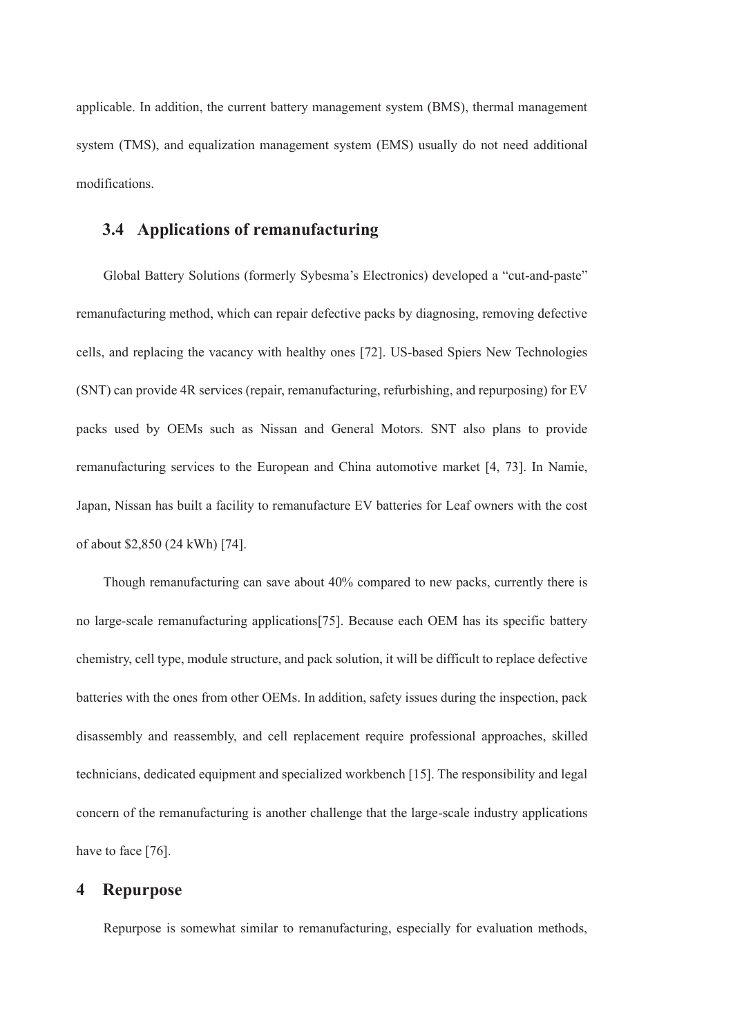applicable. In addition, the current battery management system (BMS), thermal management system (TMS), and equalization management system (EMS) usually do not need additional modifications.

# **3.4 Applications of remanufacturing**

Global Battery Solutions (formerly Sybesma's Electronics) developed a "cut-and-paste" remanufacturing method, which can repair defective packs by diagnosing, removing defective cells, and replacing the vacancy with healthy ones [72]. US-based Spiers New Technologies (SNT) can provide 4R services (repair, remanufacturing, refurbishing, and repurposing) for EV packs used by OEMs such as Nissan and General Motors. SNT also plans to provide remanufacturing services to the European and China automotive market [4, 73]. In Namie, Japan, Nissan has built a facility to remanufacture EV batteries for Leaf owners with the cost of about \$2,850 (24 kWh) [74].

Though remanufacturing can save about 40% compared to new packs, currently there is no large-scale remanufacturing applications[75]. Because each OEM has its specific battery chemistry, cell type, module structure, and pack solution, it will be difficult to replace defective batteries with the ones from other OEMs. In addition, safety issues during the inspection, pack disassembly and reassembly, and cell replacement require professional approaches, skilled technicians, dedicated equipment and specialized workbench [15]. The responsibility and legal concern of the remanufacturing is another challenge that the large-scale industry applications have to face [76].

# **4 Repurpose**

Repurpose is somewhat similar to remanufacturing, especially for evaluation methods,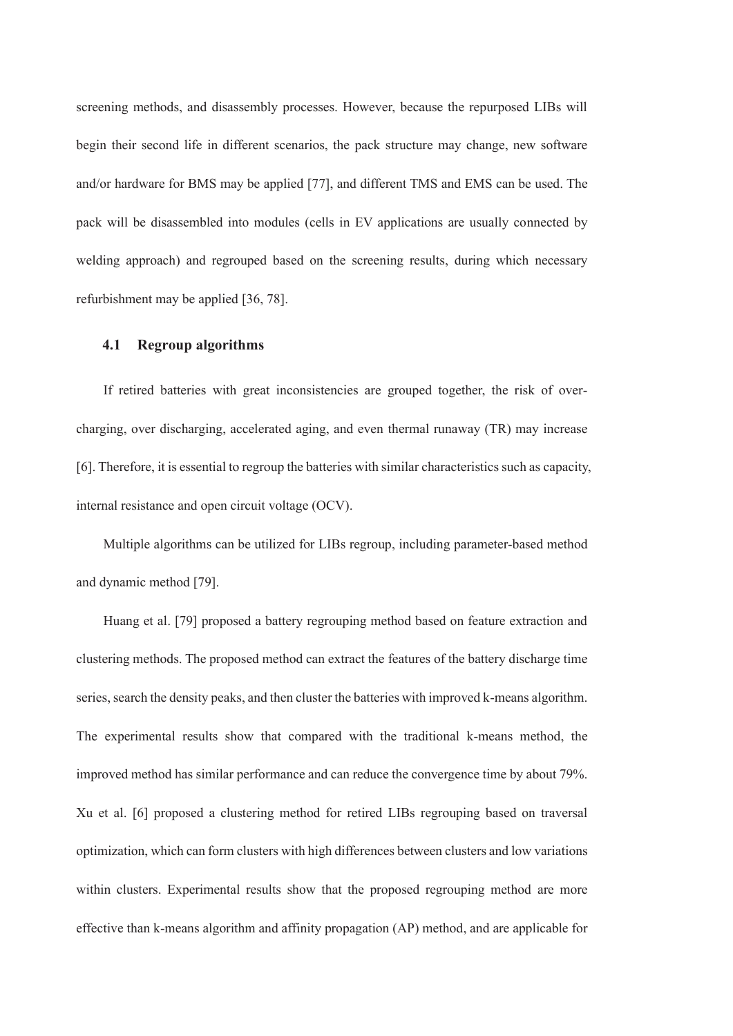screening methods, and disassembly processes. However, because the repurposed LIBs will begin their second life in different scenarios, the pack structure may change, new software and/or hardware for BMS may be applied [77], and different TMS and EMS can be used. The pack will be disassembled into modules (cells in EV applications are usually connected by welding approach) and regrouped based on the screening results, during which necessary refurbishment may be applied [36, 78].

#### **4.1 Regroup algorithms**

If retired batteries with great inconsistencies are grouped together, the risk of overcharging, over discharging, accelerated aging, and even thermal runaway (TR) may increase [6]. Therefore, it is essential to regroup the batteries with similar characteristics such as capacity, internal resistance and open circuit voltage (OCV).

Multiple algorithms can be utilized for LIBs regroup, including parameter-based method and dynamic method [79].

Huang et al. [79] proposed a battery regrouping method based on feature extraction and clustering methods. The proposed method can extract the features of the battery discharge time series, search the density peaks, and then cluster the batteries with improved k-means algorithm. The experimental results show that compared with the traditional k-means method, the improved method has similar performance and can reduce the convergence time by about 79%. Xu et al. [6] proposed a clustering method for retired LIBs regrouping based on traversal optimization, which can form clusters with high differences between clusters and low variations within clusters. Experimental results show that the proposed regrouping method are more effective than k-means algorithm and affinity propagation (AP) method, and are applicable for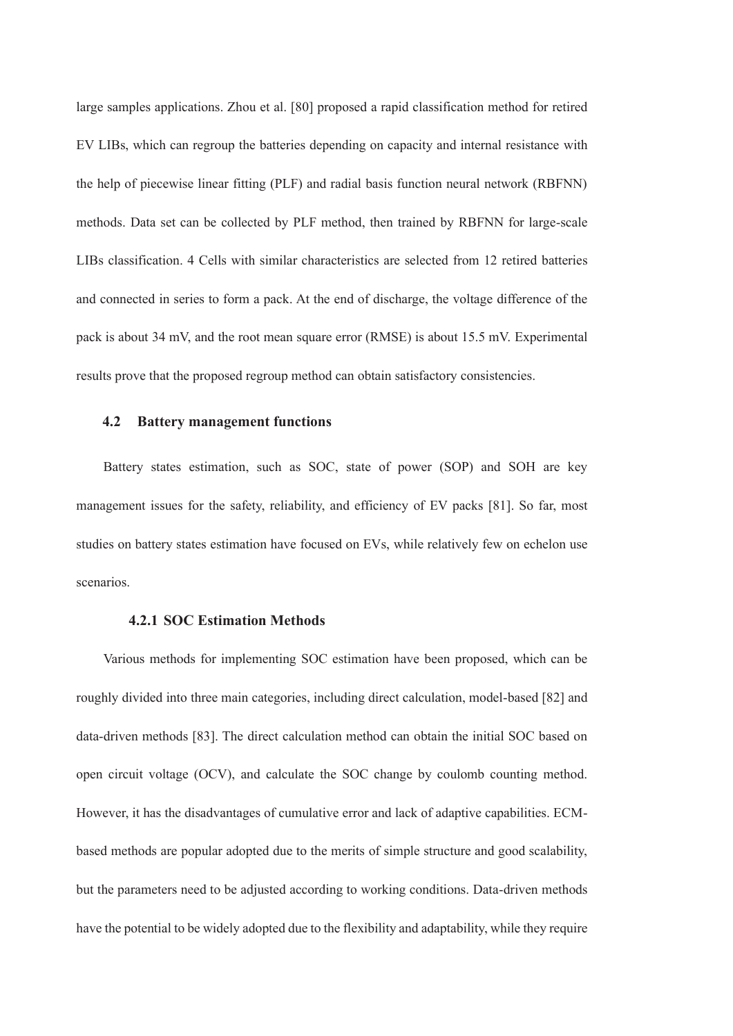large samples applications. Zhou et al. [80] proposed a rapid classification method for retired EV LIBs, which can regroup the batteries depending on capacity and internal resistance with the help of piecewise linear fitting (PLF) and radial basis function neural network (RBFNN) methods. Data set can be collected by PLF method, then trained by RBFNN for large-scale LIBs classification. 4 Cells with similar characteristics are selected from 12 retired batteries and connected in series to form a pack. At the end of discharge, the voltage difference of the pack is about 34 mV, and the root mean square error (RMSE) is about 15.5 mV. Experimental results prove that the proposed regroup method can obtain satisfactory consistencies.

#### **4.2 Battery management functions**

Battery states estimation, such as SOC, state of power (SOP) and SOH are key management issues for the safety, reliability, and efficiency of EV packs [81]. So far, most studies on battery states estimation have focused on EVs, while relatively few on echelon use scenarios.

#### **4.2.1 SOC Estimation Methods**

Various methods for implementing SOC estimation have been proposed, which can be roughly divided into three main categories, including direct calculation, model-based [82] and data-driven methods [83]. The direct calculation method can obtain the initial SOC based on open circuit voltage (OCV), and calculate the SOC change by coulomb counting method. However, it has the disadvantages of cumulative error and lack of adaptive capabilities. ECMbased methods are popular adopted due to the merits of simple structure and good scalability, but the parameters need to be adjusted according to working conditions. Data-driven methods have the potential to be widely adopted due to the flexibility and adaptability, while they require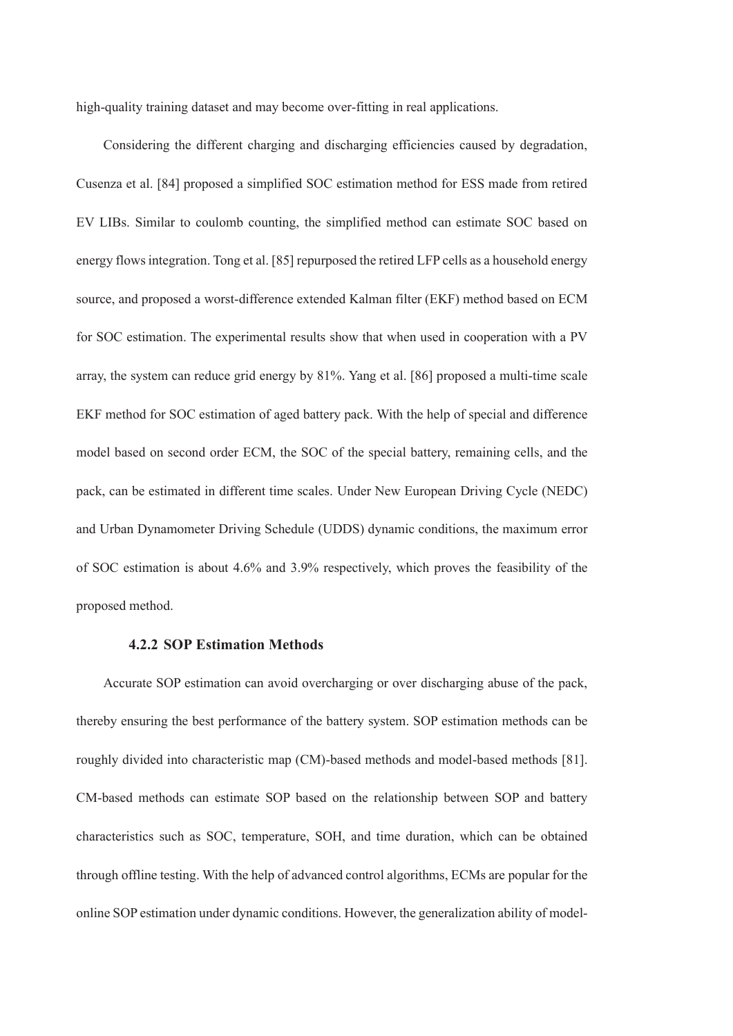high-quality training dataset and may become over-fitting in real applications.

Considering the different charging and discharging efficiencies caused by degradation, Cusenza et al. [84] proposed a simplified SOC estimation method for ESS made from retired EV LIBs. Similar to coulomb counting, the simplified method can estimate SOC based on energy flows integration. Tong et al. [85] repurposed the retired LFP cells as a household energy source, and proposed a worst-difference extended Kalman filter (EKF) method based on ECM for SOC estimation. The experimental results show that when used in cooperation with a PV array, the system can reduce grid energy by 81%. Yang et al. [86] proposed a multi-time scale EKF method for SOC estimation of aged battery pack. With the help of special and difference model based on second order ECM, the SOC of the special battery, remaining cells, and the pack, can be estimated in different time scales. Under New European Driving Cycle (NEDC) and Urban Dynamometer Driving Schedule (UDDS) dynamic conditions, the maximum error of SOC estimation is about 4.6% and 3.9% respectively, which proves the feasibility of the proposed method.

## **4.2.2 SOP Estimation Methods**

Accurate SOP estimation can avoid overcharging or over discharging abuse of the pack, thereby ensuring the best performance of the battery system. SOP estimation methods can be roughly divided into characteristic map (CM)-based methods and model-based methods [81]. CM-based methods can estimate SOP based on the relationship between SOP and battery characteristics such as SOC, temperature, SOH, and time duration, which can be obtained through offline testing. With the help of advanced control algorithms, ECMs are popular for the online SOP estimation under dynamic conditions. However, the generalization ability of model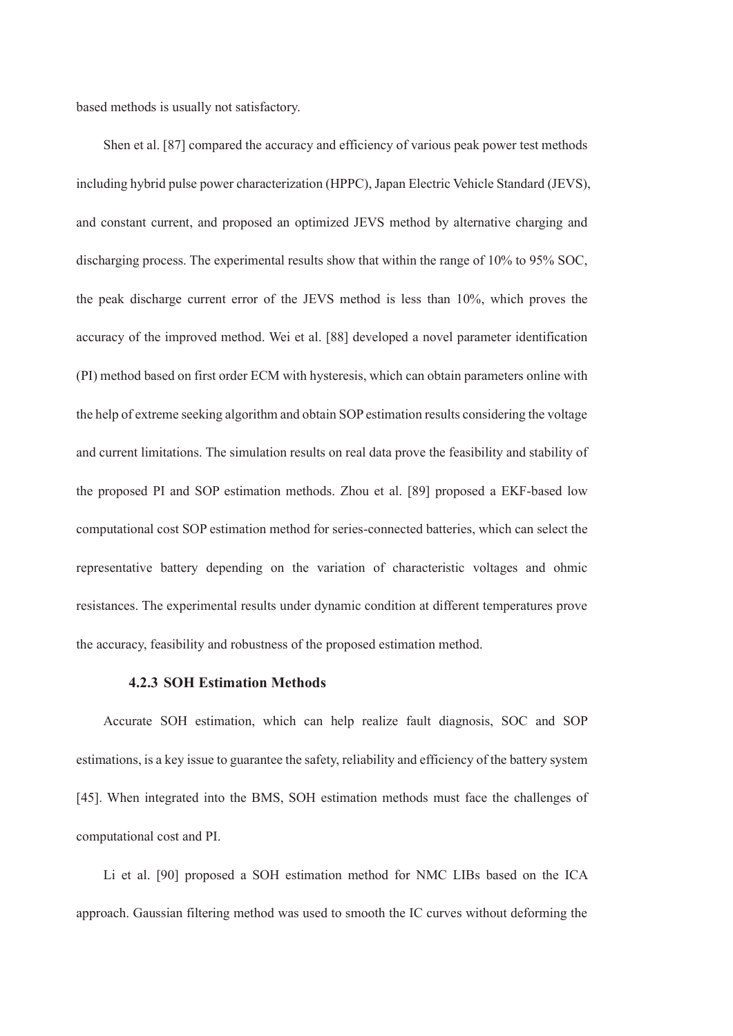based methods is usually not satisfactory.

Shen et al. [87] compared the accuracy and efficiency of various peak power test methods including hybrid pulse power characterization (HPPC), Japan Electric Vehicle Standard (JEVS), and constant current, and proposed an optimized JEVS method by alternative charging and discharging process. The experimental results show that within the range of 10% to 95% SOC, the peak discharge current error of the JEVS method is less than 10%, which proves the accuracy of the improved method. Wei et al. [88] developed a novel parameter identification (PI) method based on first order ECM with hysteresis, which can obtain parameters online with the help of extreme seeking algorithm and obtain SOP estimation results considering the voltage and current limitations. The simulation results on real data prove the feasibility and stability of the proposed PI and SOP estimation methods. Zhou et al. [89] proposed a EKF-based low computational cost SOP estimation method for series-connected batteries, which can select the representative battery depending on the variation of characteristic voltages and ohmic resistances. The experimental results under dynamic condition at different temperatures prove the accuracy, feasibility and robustness of the proposed estimation method.

#### **4.2.3 SOH Estimation Methods**

Accurate SOH estimation, which can help realize fault diagnosis, SOC and SOP estimations, is a key issue to guarantee the safety, reliability and efficiency of the battery system [45]. When integrated into the BMS, SOH estimation methods must face the challenges of computational cost and PI.

Li et al. [90] proposed a SOH estimation method for NMC LIBs based on the ICA approach. Gaussian filtering method was used to smooth the IC curves without deforming the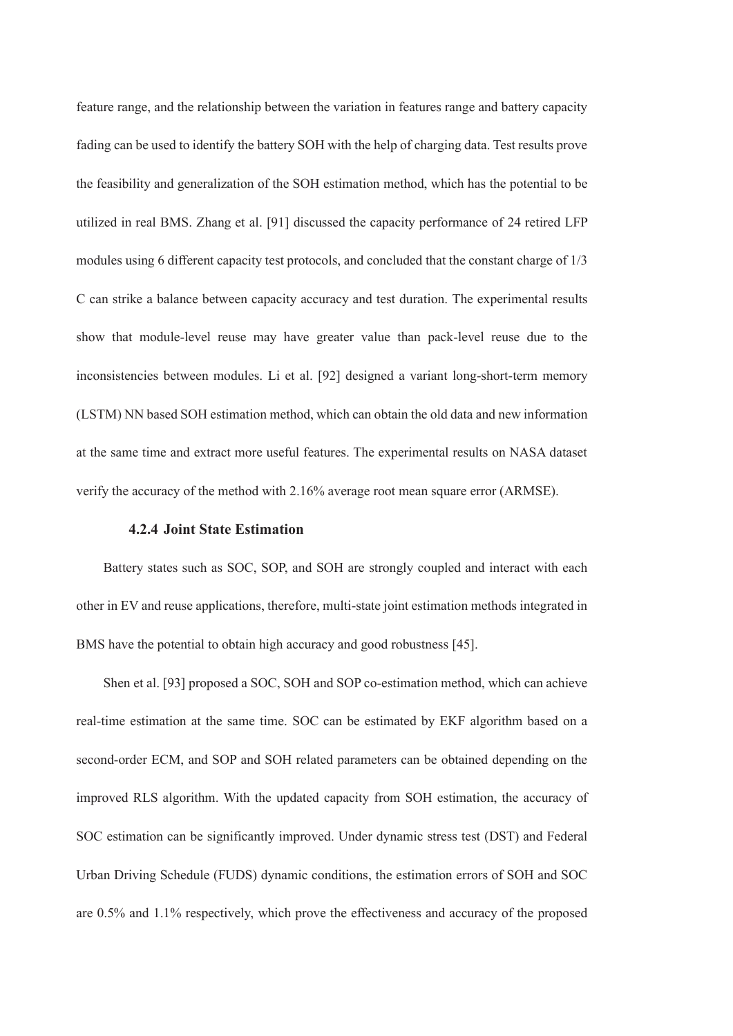feature range, and the relationship between the variation in features range and battery capacity fading can be used to identify the battery SOH with the help of charging data. Test results prove the feasibility and generalization of the SOH estimation method, which has the potential to be utilized in real BMS. Zhang et al. [91] discussed the capacity performance of 24 retired LFP modules using 6 different capacity test protocols, and concluded that the constant charge of 1/3 C can strike a balance between capacity accuracy and test duration. The experimental results show that module-level reuse may have greater value than pack-level reuse due to the inconsistencies between modules. Li et al. [92] designed a variant long-short-term memory (LSTM) NN based SOH estimation method, which can obtain the old data and new information at the same time and extract more useful features. The experimental results on NASA dataset verify the accuracy of the method with 2.16% average root mean square error (ARMSE).

#### **4.2.4 Joint State Estimation**

Battery states such as SOC, SOP, and SOH are strongly coupled and interact with each other in EV and reuse applications, therefore, multi-state joint estimation methods integrated in BMS have the potential to obtain high accuracy and good robustness [45].

Shen et al. [93] proposed a SOC, SOH and SOP co-estimation method, which can achieve real-time estimation at the same time. SOC can be estimated by EKF algorithm based on a second-order ECM, and SOP and SOH related parameters can be obtained depending on the improved RLS algorithm. With the updated capacity from SOH estimation, the accuracy of SOC estimation can be significantly improved. Under dynamic stress test (DST) and Federal Urban Driving Schedule (FUDS) dynamic conditions, the estimation errors of SOH and SOC are 0.5% and 1.1% respectively, which prove the effectiveness and accuracy of the proposed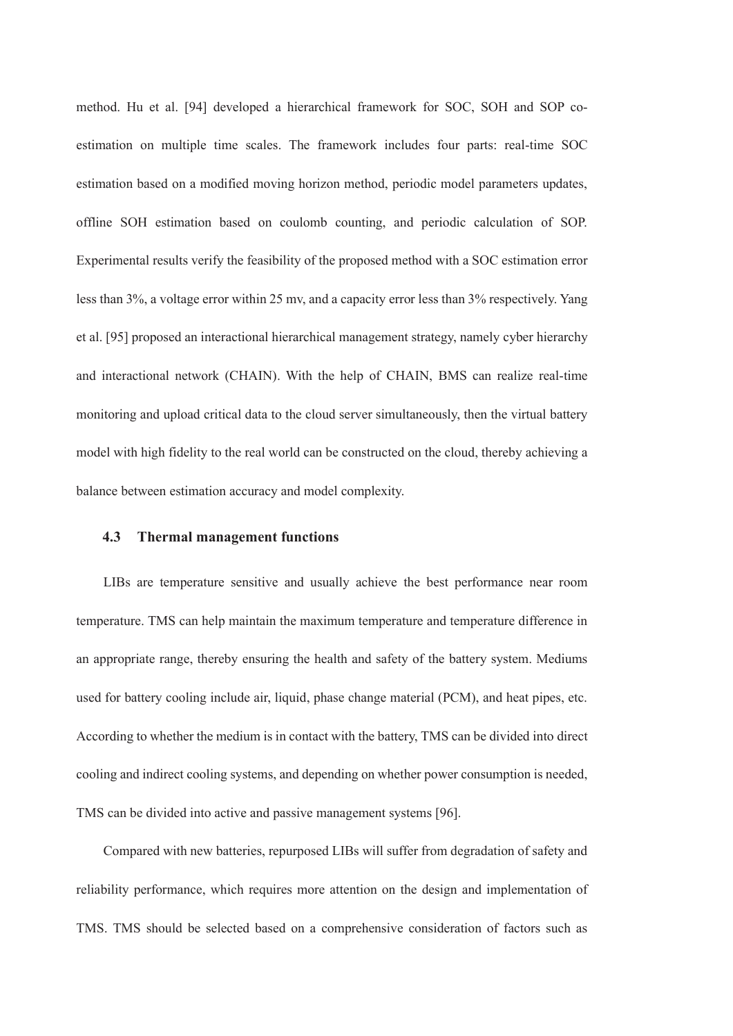method. Hu et al. [94] developed a hierarchical framework for SOC, SOH and SOP coestimation on multiple time scales. The framework includes four parts: real-time SOC estimation based on a modified moving horizon method, periodic model parameters updates, offline SOH estimation based on coulomb counting, and periodic calculation of SOP. Experimental results verify the feasibility of the proposed method with a SOC estimation error less than 3%, a voltage error within 25 mv, and a capacity error less than 3% respectively. Yang et al. [95] proposed an interactional hierarchical management strategy, namely cyber hierarchy and interactional network (CHAIN). With the help of CHAIN, BMS can realize real-time monitoring and upload critical data to the cloud server simultaneously, then the virtual battery model with high fidelity to the real world can be constructed on the cloud, thereby achieving a balance between estimation accuracy and model complexity.

#### **4.3 Thermal management functions**

LIBs are temperature sensitive and usually achieve the best performance near room temperature. TMS can help maintain the maximum temperature and temperature difference in an appropriate range, thereby ensuring the health and safety of the battery system. Mediums used for battery cooling include air, liquid, phase change material (PCM), and heat pipes, etc. According to whether the medium is in contact with the battery, TMS can be divided into direct cooling and indirect cooling systems, and depending on whether power consumption is needed, TMS can be divided into active and passive management systems [96].

Compared with new batteries, repurposed LIBs will suffer from degradation of safety and reliability performance, which requires more attention on the design and implementation of TMS. TMS should be selected based on a comprehensive consideration of factors such as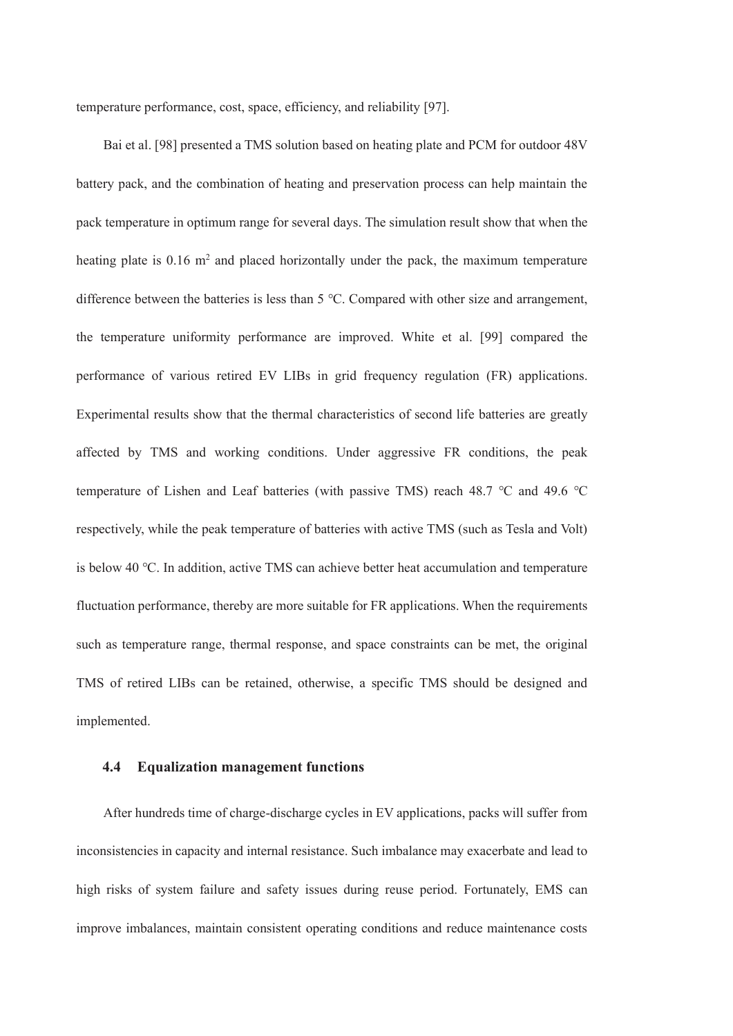temperature performance, cost, space, efficiency, and reliability [97].

Bai et al. [98] presented a TMS solution based on heating plate and PCM for outdoor 48V battery pack, and the combination of heating and preservation process can help maintain the pack temperature in optimum range for several days. The simulation result show that when the heating plate is  $0.16 \text{ m}^2$  and placed horizontally under the pack, the maximum temperature difference between the batteries is less than 5 ℃. Compared with other size and arrangement, the temperature uniformity performance are improved. White et al. [99] compared the performance of various retired EV LIBs in grid frequency regulation (FR) applications. Experimental results show that the thermal characteristics of second life batteries are greatly affected by TMS and working conditions. Under aggressive FR conditions, the peak temperature of Lishen and Leaf batteries (with passive TMS) reach 48.7 ℃ and 49.6 ℃ respectively, while the peak temperature of batteries with active TMS (such as Tesla and Volt) is below 40 ℃. In addition, active TMS can achieve better heat accumulation and temperature fluctuation performance, thereby are more suitable for FR applications. When the requirements such as temperature range, thermal response, and space constraints can be met, the original TMS of retired LIBs can be retained, otherwise, a specific TMS should be designed and implemented.

#### **4.4 Equalization management functions**

After hundreds time of charge-discharge cycles in EV applications, packs will suffer from inconsistencies in capacity and internal resistance. Such imbalance may exacerbate and lead to high risks of system failure and safety issues during reuse period. Fortunately, EMS can improve imbalances, maintain consistent operating conditions and reduce maintenance costs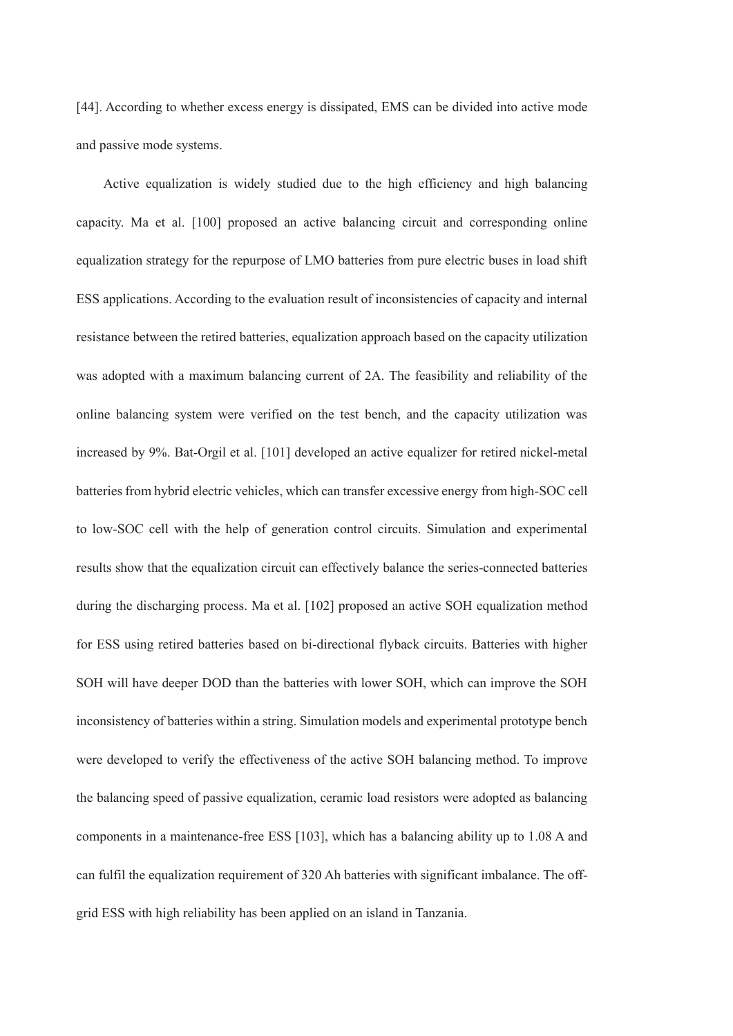[44]. According to whether excess energy is dissipated, EMS can be divided into active mode and passive mode systems.

Active equalization is widely studied due to the high efficiency and high balancing capacity. Ma et al. [100] proposed an active balancing circuit and corresponding online equalization strategy for the repurpose of LMO batteries from pure electric buses in load shift ESS applications. According to the evaluation result of inconsistencies of capacity and internal resistance between the retired batteries, equalization approach based on the capacity utilization was adopted with a maximum balancing current of 2A. The feasibility and reliability of the online balancing system were verified on the test bench, and the capacity utilization was increased by 9%. Bat-Orgil et al. [101] developed an active equalizer for retired nickel-metal batteries from hybrid electric vehicles, which can transfer excessive energy from high-SOC cell to low-SOC cell with the help of generation control circuits. Simulation and experimental results show that the equalization circuit can effectively balance the series-connected batteries during the discharging process. Ma et al. [102] proposed an active SOH equalization method for ESS using retired batteries based on bi-directional flyback circuits. Batteries with higher SOH will have deeper DOD than the batteries with lower SOH, which can improve the SOH inconsistency of batteries within a string. Simulation models and experimental prototype bench were developed to verify the effectiveness of the active SOH balancing method. To improve the balancing speed of passive equalization, ceramic load resistors were adopted as balancing components in a maintenance-free ESS [103], which has a balancing ability up to 1.08 A and can fulfil the equalization requirement of 320 Ah batteries with significant imbalance. The offgrid ESS with high reliability has been applied on an island in Tanzania.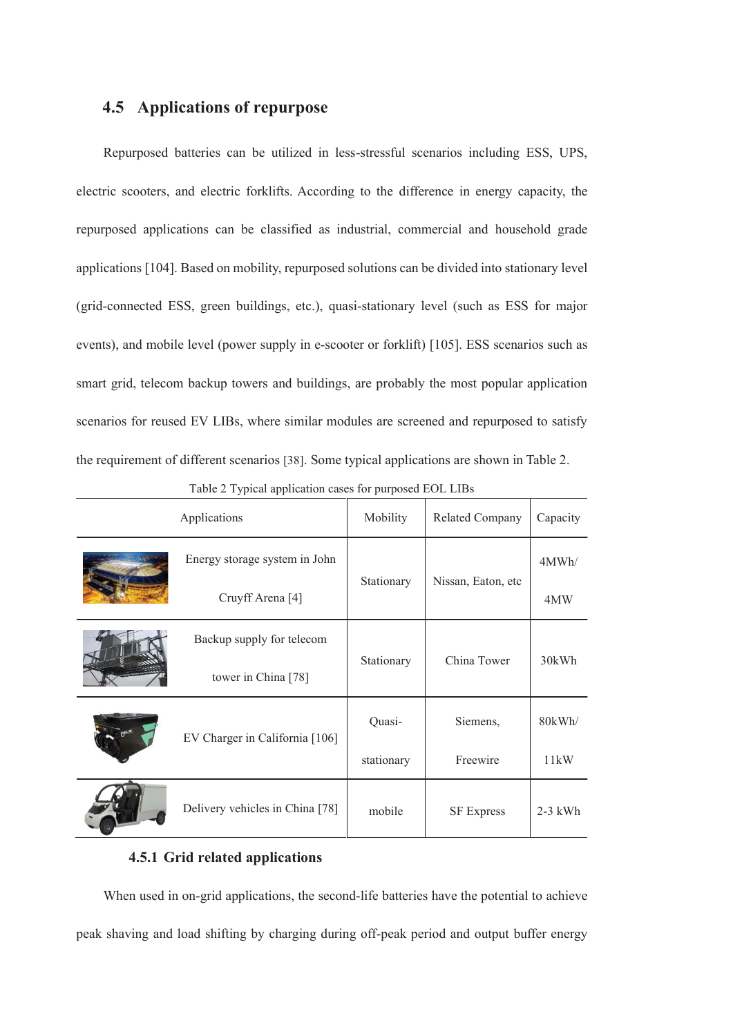# **4.5 Applications of repurpose**

Repurposed batteries can be utilized in less-stressful scenarios including ESS, UPS, electric scooters, and electric forklifts. According to the difference in energy capacity, the repurposed applications can be classified as industrial, commercial and household grade applications [104]. Based on mobility, repurposed solutions can be divided into stationary level (grid-connected ESS, green buildings, etc.), quasi-stationary level (such as ESS for major events), and mobile level (power supply in e-scooter or forklift) [105]. ESS scenarios such as smart grid, telecom backup towers and buildings, are probably the most popular application scenarios for reused EV LIBs, where similar modules are screened and repurposed to satisfy the requirement of different scenarios [38]. Some typical applications are shown in Table 2.

| Applications                   |                                 | Mobility   | <b>Related Company</b> | Capacity  |
|--------------------------------|---------------------------------|------------|------------------------|-----------|
|                                | Energy storage system in John   |            |                        | 4MWh/     |
|                                | Cruyff Arena <sup>[4]</sup>     | Stationary | Nissan, Eaton, etc.    | 4MW       |
|                                | Backup supply for telecom       |            |                        |           |
|                                | tower in China [78]             | Stationary | China Tower            | 30kWh     |
| EV Charger in California [106] |                                 | Quasi-     | Siemens,               | 80kWh/    |
|                                |                                 | stationary | Freewire               | 11kW      |
|                                | Delivery vehicles in China [78] | mobile     | <b>SF Express</b>      | $2-3$ kWh |

|  |  |  |  | Table 2 Typical application cases for purposed EOL LIBs |
|--|--|--|--|---------------------------------------------------------|
|--|--|--|--|---------------------------------------------------------|

# **4.5.1 Grid related applications**

When used in on-grid applications, the second-life batteries have the potential to achieve peak shaving and load shifting by charging during off-peak period and output buffer energy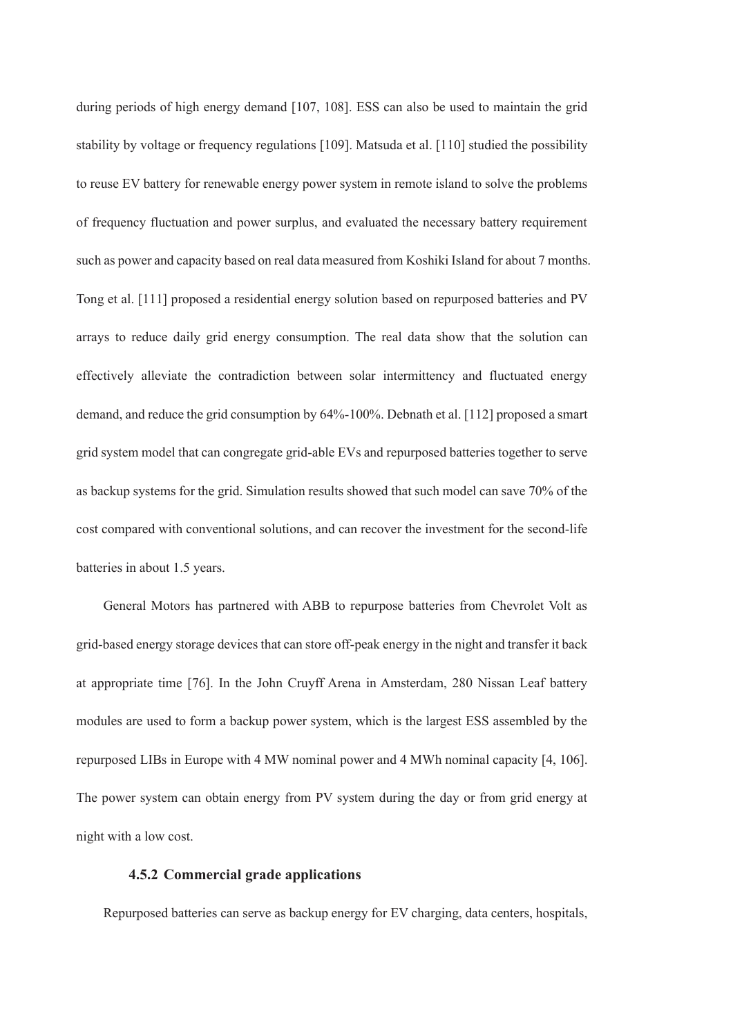during periods of high energy demand [107, 108]. ESS can also be used to maintain the grid stability by voltage or frequency regulations [109]. Matsuda et al. [110] studied the possibility to reuse EV battery for renewable energy power system in remote island to solve the problems of frequency fluctuation and power surplus, and evaluated the necessary battery requirement such as power and capacity based on real data measured from Koshiki Island for about 7 months. Tong et al. [111] proposed a residential energy solution based on repurposed batteries and PV arrays to reduce daily grid energy consumption. The real data show that the solution can effectively alleviate the contradiction between solar intermittency and fluctuated energy demand, and reduce the grid consumption by 64%-100%. Debnath et al. [112] proposed a smart grid system model that can congregate grid-able EVs and repurposed batteries together to serve as backup systems for the grid. Simulation results showed that such model can save 70% of the cost compared with conventional solutions, and can recover the investment for the second-life batteries in about 1.5 years.

General Motors has partnered with ABB to repurpose batteries from Chevrolet Volt as grid-based energy storage devices that can store off-peak energy in the night and transfer it back at appropriate time [76]. In the John Cruyff Arena in Amsterdam, 280 Nissan Leaf battery modules are used to form a backup power system, which is the largest ESS assembled by the repurposed LIBs in Europe with 4 MW nominal power and 4 MWh nominal capacity [4, 106]. The power system can obtain energy from PV system during the day or from grid energy at night with a low cost.

#### **4.5.2 Commercial grade applications**

Repurposed batteries can serve as backup energy for EV charging, data centers, hospitals,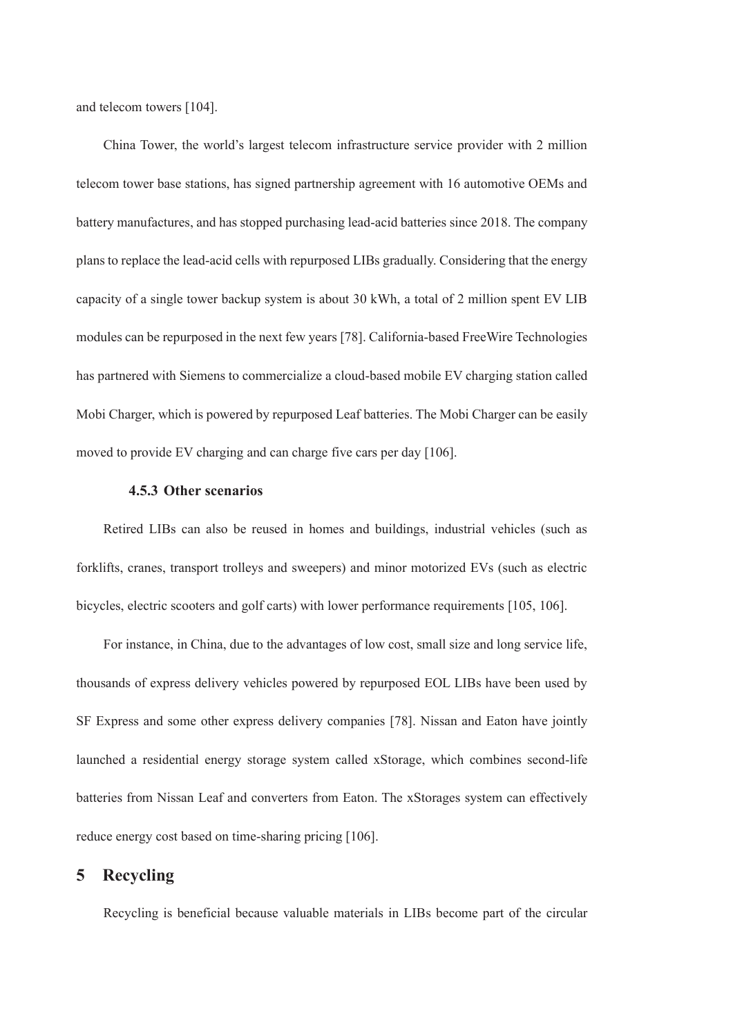and telecom towers [104].

China Tower, the world's largest telecom infrastructure service provider with 2 million telecom tower base stations, has signed partnership agreement with 16 automotive OEMs and battery manufactures, and has stopped purchasing lead-acid batteries since 2018. The company plans to replace the lead-acid cells with repurposed LIBs gradually. Considering that the energy capacity of a single tower backup system is about 30 kWh, a total of 2 million spent EV LIB modules can be repurposed in the next few years [78]. California-based FreeWire Technologies has partnered with Siemens to commercialize a cloud-based mobile EV charging station called Mobi Charger, which is powered by repurposed Leaf batteries. The Mobi Charger can be easily moved to provide EV charging and can charge five cars per day [106].

#### **4.5.3 Other scenarios**

Retired LIBs can also be reused in homes and buildings, industrial vehicles (such as forklifts, cranes, transport trolleys and sweepers) and minor motorized EVs (such as electric bicycles, electric scooters and golf carts) with lower performance requirements [105, 106].

For instance, in China, due to the advantages of low cost, small size and long service life, thousands of express delivery vehicles powered by repurposed EOL LIBs have been used by SF Express and some other express delivery companies [78]. Nissan and Eaton have jointly launched a residential energy storage system called xStorage, which combines second-life batteries from Nissan Leaf and converters from Eaton. The xStorages system can effectively reduce energy cost based on time-sharing pricing [106].

# **5 Recycling**

Recycling is beneficial because valuable materials in LIBs become part of the circular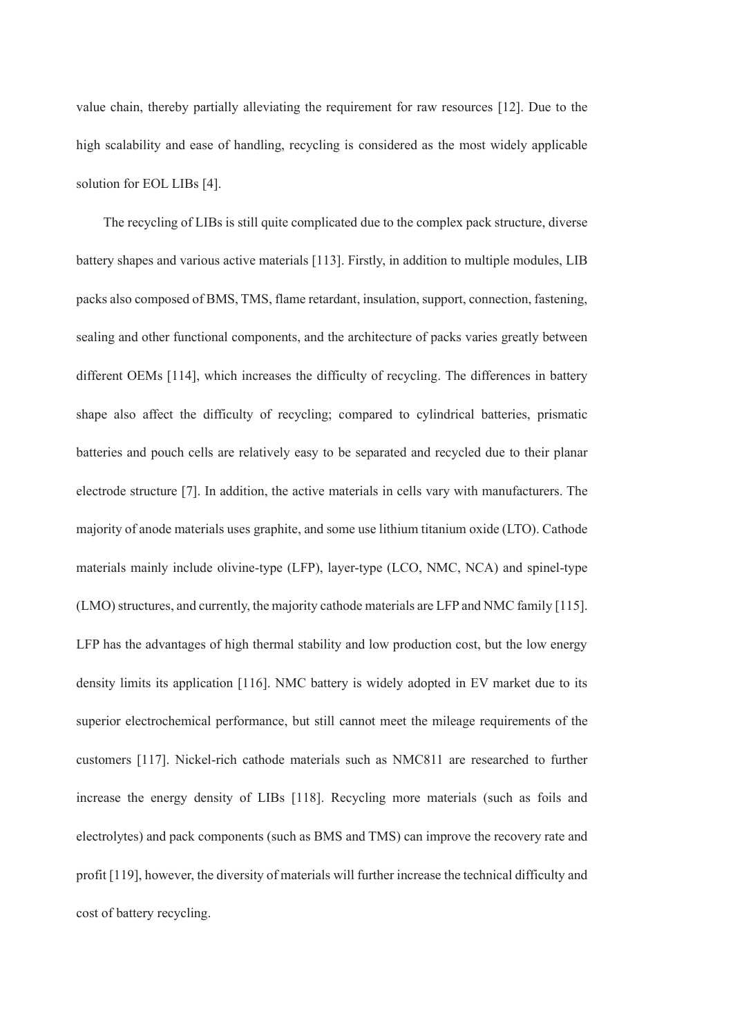value chain, thereby partially alleviating the requirement for raw resources [12]. Due to the high scalability and ease of handling, recycling is considered as the most widely applicable solution for EOL LIBs [4].

The recycling of LIBs is still quite complicated due to the complex pack structure, diverse battery shapes and various active materials [113]. Firstly, in addition to multiple modules, LIB packs also composed of BMS, TMS, flame retardant, insulation, support, connection, fastening, sealing and other functional components, and the architecture of packs varies greatly between different OEMs [114], which increases the difficulty of recycling. The differences in battery shape also affect the difficulty of recycling; compared to cylindrical batteries, prismatic batteries and pouch cells are relatively easy to be separated and recycled due to their planar electrode structure [7]. In addition, the active materials in cells vary with manufacturers. The majority of anode materials uses graphite, and some use lithium titanium oxide (LTO). Cathode materials mainly include olivine-type (LFP), layer-type (LCO, NMC, NCA) and spinel-type (LMO) structures, and currently, the majority cathode materials are LFP and NMC family [115]. LFP has the advantages of high thermal stability and low production cost, but the low energy density limits its application [116]. NMC battery is widely adopted in EV market due to its superior electrochemical performance, but still cannot meet the mileage requirements of the customers [117]. Nickel-rich cathode materials such as NMC811 are researched to further increase the energy density of LIBs [118]. Recycling more materials (such as foils and electrolytes) and pack components (such as BMS and TMS) can improve the recovery rate and profit [119], however, the diversity of materials will further increase the technical difficulty and cost of battery recycling.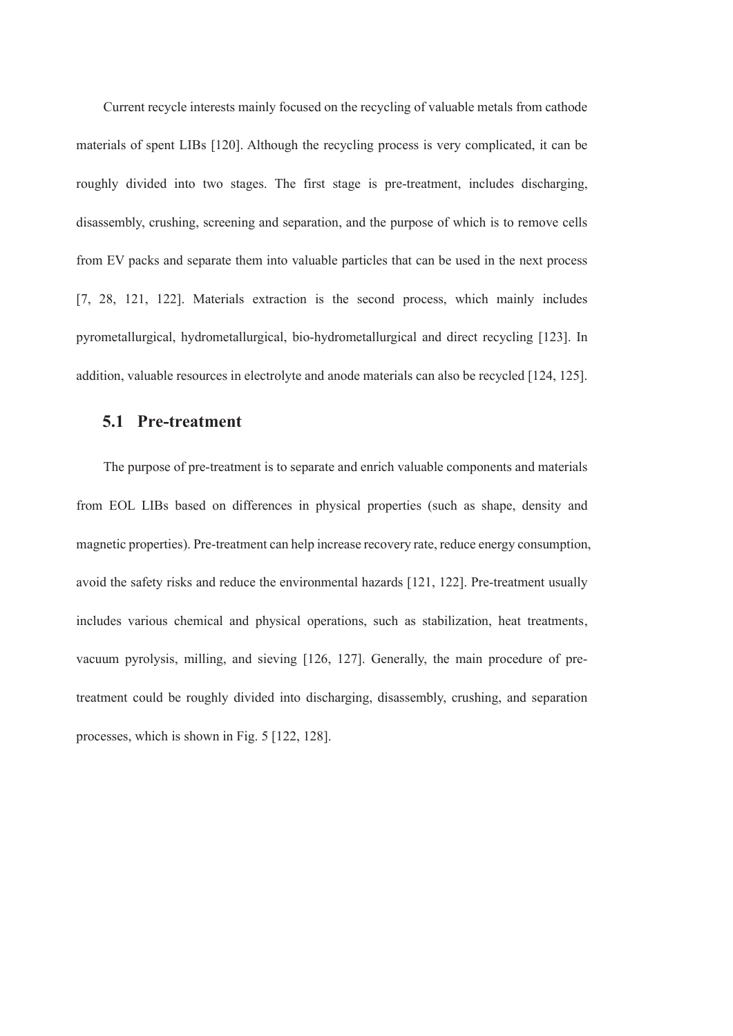Current recycle interests mainly focused on the recycling of valuable metals from cathode materials of spent LIBs [120]. Although the recycling process is very complicated, it can be roughly divided into two stages. The first stage is pre-treatment, includes discharging, disassembly, crushing, screening and separation, and the purpose of which is to remove cells from EV packs and separate them into valuable particles that can be used in the next process [7, 28, 121, 122]. Materials extraction is the second process, which mainly includes pyrometallurgical, hydrometallurgical, bio-hydrometallurgical and direct recycling [123]. In addition, valuable resources in electrolyte and anode materials can also be recycled [124, 125].

#### **5.1 Pre-treatment**

The purpose of pre-treatment is to separate and enrich valuable components and materials from EOL LIBs based on differences in physical properties (such as shape, density and magnetic properties). Pre-treatment can help increase recovery rate, reduce energy consumption, avoid the safety risks and reduce the environmental hazards [121, 122]. Pre-treatment usually includes various chemical and physical operations, such as stabilization, heat treatments, vacuum pyrolysis, milling, and sieving [126, 127]. Generally, the main procedure of pretreatment could be roughly divided into discharging, disassembly, crushing, and separation processes, which is shown in Fig. 5 [122, 128].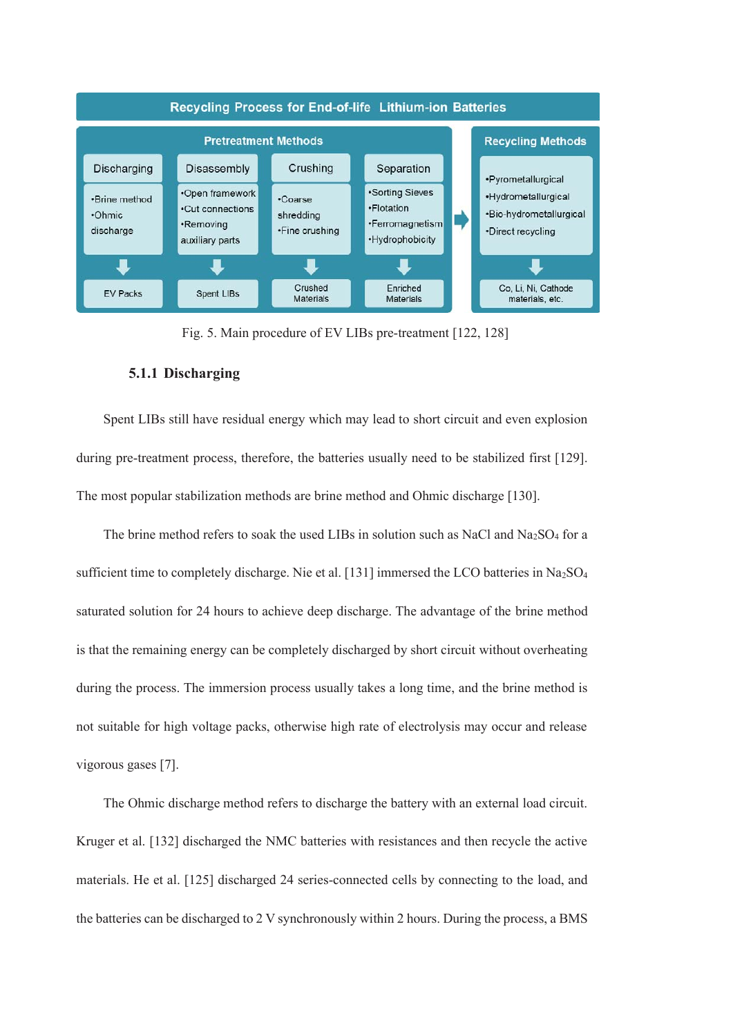

Fig. 5. Main procedure of EV LIBs pre-treatment [122, 128]

#### **5.1.1 Discharging**

Spent LIBs still have residual energy which may lead to short circuit and even explosion during pre-treatment process, therefore, the batteries usually need to be stabilized first [129]. The most popular stabilization methods are brine method and Ohmic discharge [130].

The brine method refers to soak the used LIBs in solution such as NaCl and Na<sub>2</sub>SO<sub>4</sub> for a sufficient time to completely discharge. Nie et al. [131] immersed the LCO batteries in Na<sub>2</sub>SO<sub>4</sub> saturated solution for 24 hours to achieve deep discharge. The advantage of the brine method is that the remaining energy can be completely discharged by short circuit without overheating during the process. The immersion process usually takes a long time, and the brine method is not suitable for high voltage packs, otherwise high rate of electrolysis may occur and release vigorous gases [7].

The Ohmic discharge method refers to discharge the battery with an external load circuit. Kruger et al. [132] discharged the NMC batteries with resistances and then recycle the active materials. He et al. [125] discharged 24 series-connected cells by connecting to the load, and the batteries can be discharged to 2 V synchronously within 2 hours. During the process, a BMS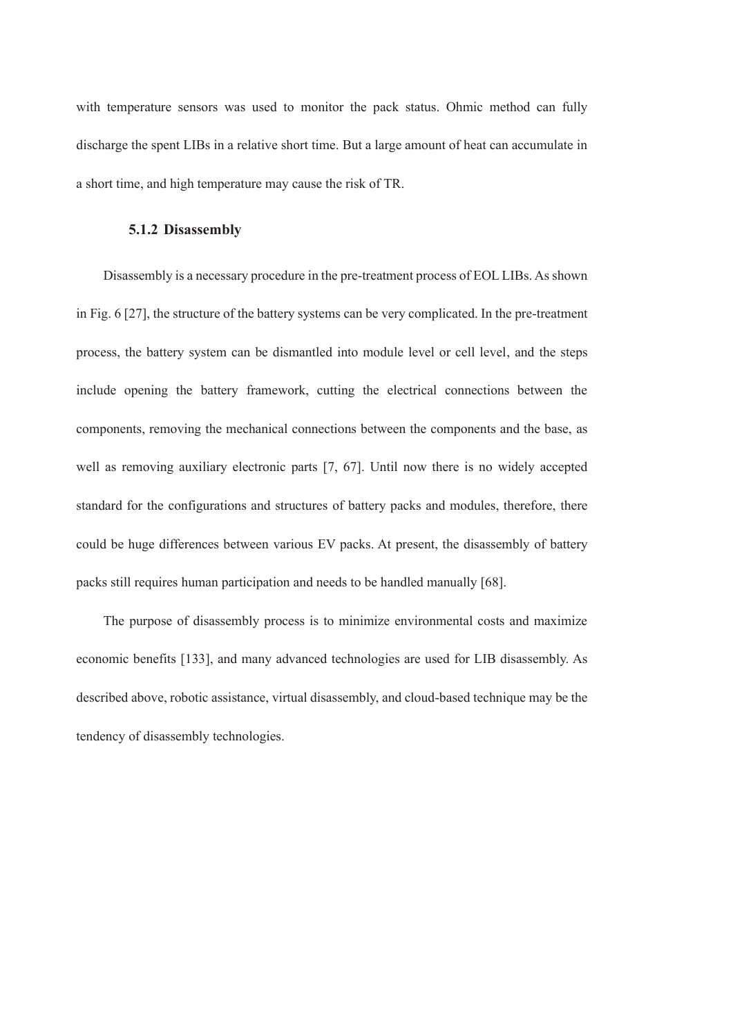with temperature sensors was used to monitor the pack status. Ohmic method can fully discharge the spent LIBs in a relative short time. But a large amount of heat can accumulate in a short time, and high temperature may cause the risk of TR.

#### **5.1.2 Disassembly**

Disassembly is a necessary procedure in the pre-treatment process of EOL LIBs. As shown in Fig. 6 [27], the structure of the battery systems can be very complicated. In the pre-treatment process, the battery system can be dismantled into module level or cell level, and the steps include opening the battery framework, cutting the electrical connections between the components, removing the mechanical connections between the components and the base, as well as removing auxiliary electronic parts [7, 67]. Until now there is no widely accepted standard for the configurations and structures of battery packs and modules, therefore, there could be huge differences between various EV packs. At present, the disassembly of battery packs still requires human participation and needs to be handled manually [68].

The purpose of disassembly process is to minimize environmental costs and maximize economic benefits [133], and many advanced technologies are used for LIB disassembly. As described above, robotic assistance, virtual disassembly, and cloud-based technique may be the tendency of disassembly technologies.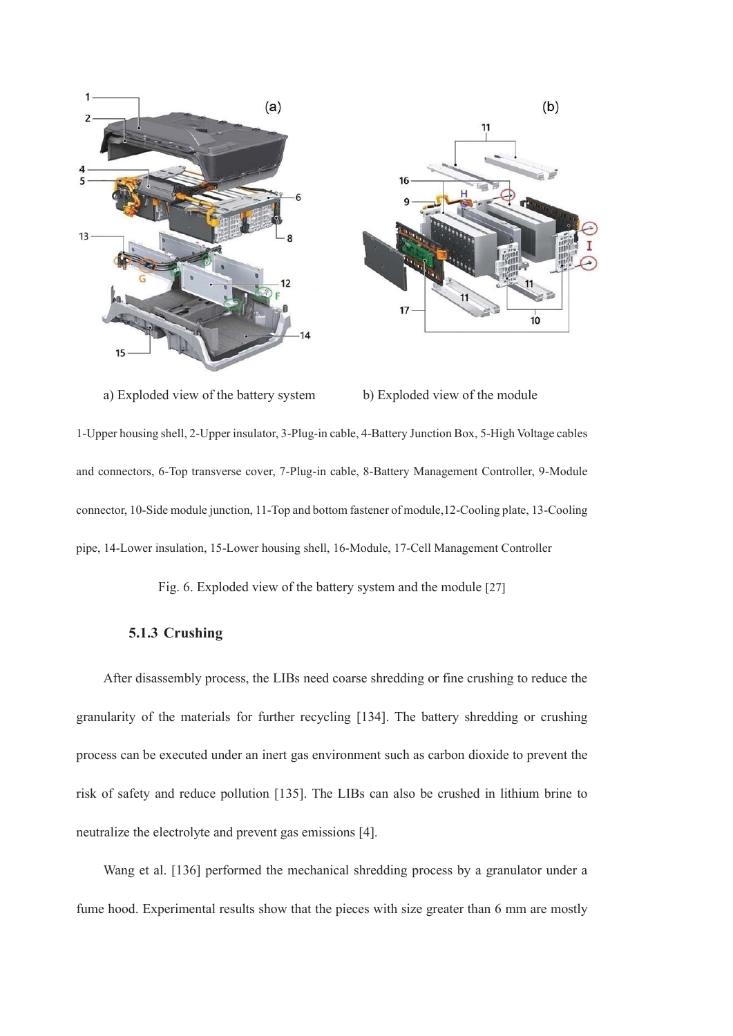

a) Exploded view of the battery system b) Exploded view of the module

1-Upper housing shell, 2-Upper insulator, 3-Plug-in cable, 4-Battery Junction Box, 5-High Voltage cables and connectors, 6-Top transverse cover, 7-Plug-in cable, 8-Battery Management Controller, 9-Module connector, 10-Side module junction, 11-Top and bottom fastener of module,12-Cooling plate, 13-Cooling pipe, 14-Lower insulation, 15-Lower housing shell, 16-Module, 17-Cell Management Controller

Fig. 6. Exploded view of the battery system and the module [27]

#### **5.1.3 Crushing**

After disassembly process, the LIBs need coarse shredding or fine crushing to reduce the granularity of the materials for further recycling [134]. The battery shredding or crushing process can be executed under an inert gas environment such as carbon dioxide to prevent the risk of safety and reduce pollution [135]. The LIBs can also be crushed in lithium brine to neutralize the electrolyte and prevent gas emissions [4].

Wang et al. [136] performed the mechanical shredding process by a granulator under a fume hood. Experimental results show that the pieces with size greater than 6 mm are mostly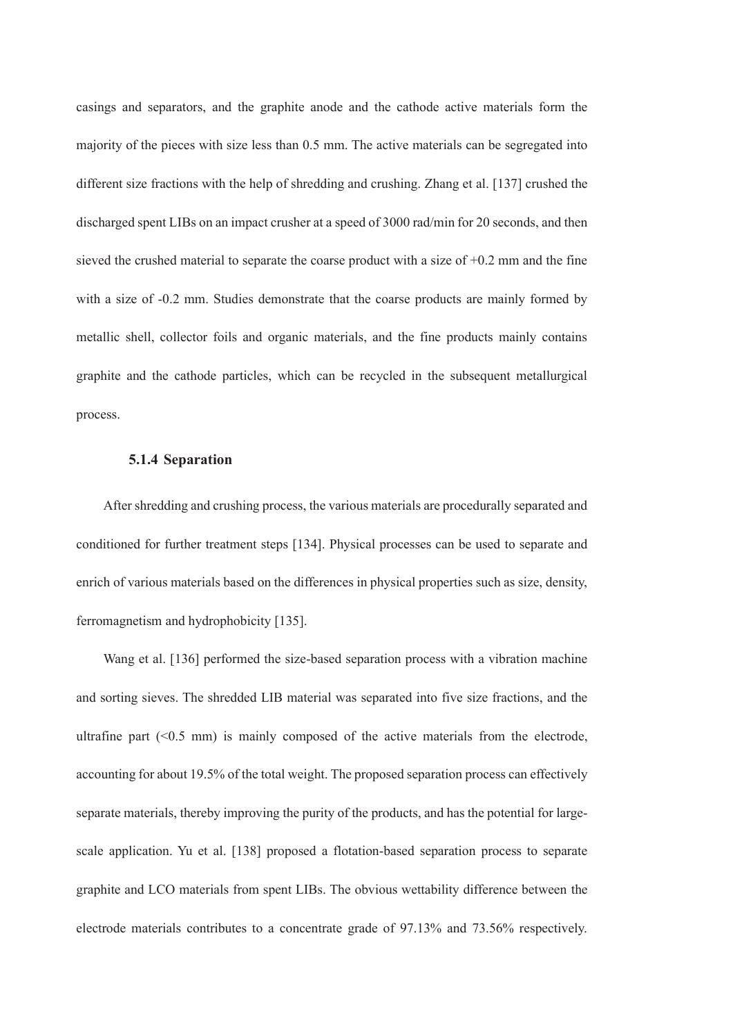casings and separators, and the graphite anode and the cathode active materials form the majority of the pieces with size less than 0.5 mm. The active materials can be segregated into different size fractions with the help of shredding and crushing. Zhang et al. [137] crushed the discharged spent LIBs on an impact crusher at a speed of 3000 rad/min for 20 seconds, and then sieved the crushed material to separate the coarse product with a size of +0.2 mm and the fine with a size of -0.2 mm. Studies demonstrate that the coarse products are mainly formed by metallic shell, collector foils and organic materials, and the fine products mainly contains graphite and the cathode particles, which can be recycled in the subsequent metallurgical process.

#### **5.1.4 Separation**

After shredding and crushing process, the various materials are procedurally separated and conditioned for further treatment steps [134]. Physical processes can be used to separate and enrich of various materials based on the differences in physical properties such as size, density, ferromagnetism and hydrophobicity [135].

Wang et al. [136] performed the size-based separation process with a vibration machine and sorting sieves. The shredded LIB material was separated into five size fractions, and the ultrafine part  $( $0.5 \text{ mm}$ )$  is mainly composed of the active materials from the electrode, accounting for about 19.5% of the total weight. The proposed separation process can effectively separate materials, thereby improving the purity of the products, and has the potential for largescale application. Yu et al. [138] proposed a flotation-based separation process to separate graphite and LCO materials from spent LIBs. The obvious wettability difference between the electrode materials contributes to a concentrate grade of 97.13% and 73.56% respectively.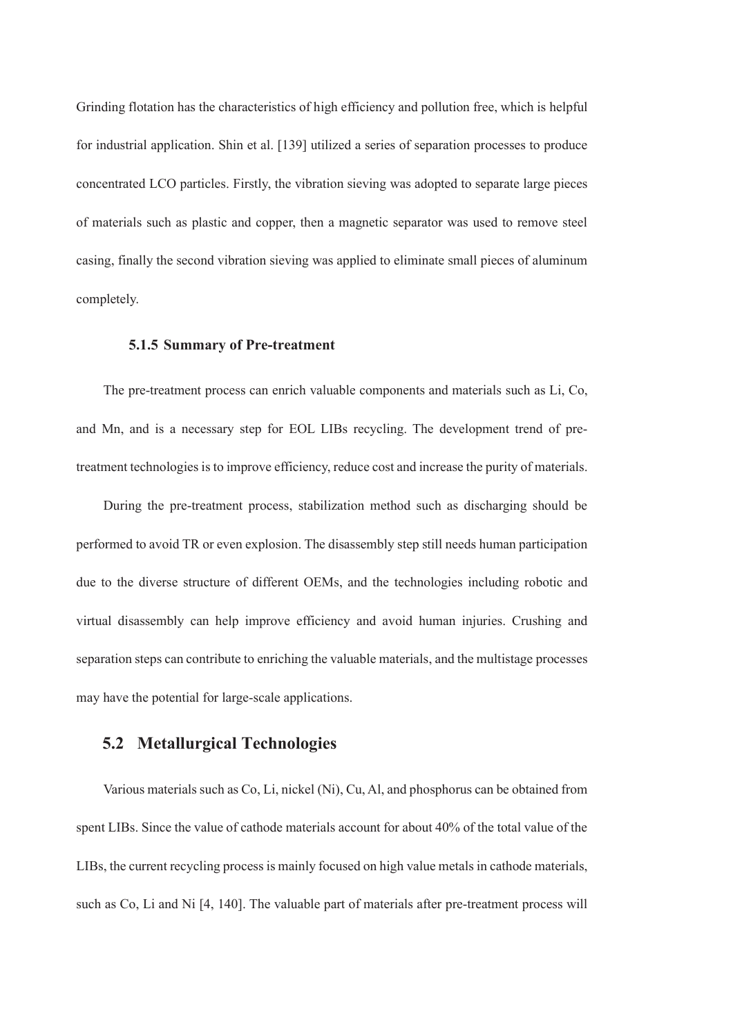Grinding flotation has the characteristics of high efficiency and pollution free, which is helpful for industrial application. Shin et al. [139] utilized a series of separation processes to produce concentrated LCO particles. Firstly, the vibration sieving was adopted to separate large pieces of materials such as plastic and copper, then a magnetic separator was used to remove steel casing, finally the second vibration sieving was applied to eliminate small pieces of aluminum completely.

#### **5.1.5 Summary of Pre-treatment**

The pre-treatment process can enrich valuable components and materials such as Li, Co, and Mn, and is a necessary step for EOL LIBs recycling. The development trend of pretreatment technologies is to improve efficiency, reduce cost and increase the purity of materials.

During the pre-treatment process, stabilization method such as discharging should be performed to avoid TR or even explosion. The disassembly step still needs human participation due to the diverse structure of different OEMs, and the technologies including robotic and virtual disassembly can help improve efficiency and avoid human injuries. Crushing and separation steps can contribute to enriching the valuable materials, and the multistage processes may have the potential for large-scale applications.

# **5.2 Metallurgical Technologies**

Various materials such as Co, Li, nickel (Ni), Cu, Al, and phosphorus can be obtained from spent LIBs. Since the value of cathode materials account for about 40% of the total value of the LIBs, the current recycling process is mainly focused on high value metals in cathode materials, such as Co, Li and Ni [4, 140]. The valuable part of materials after pre-treatment process will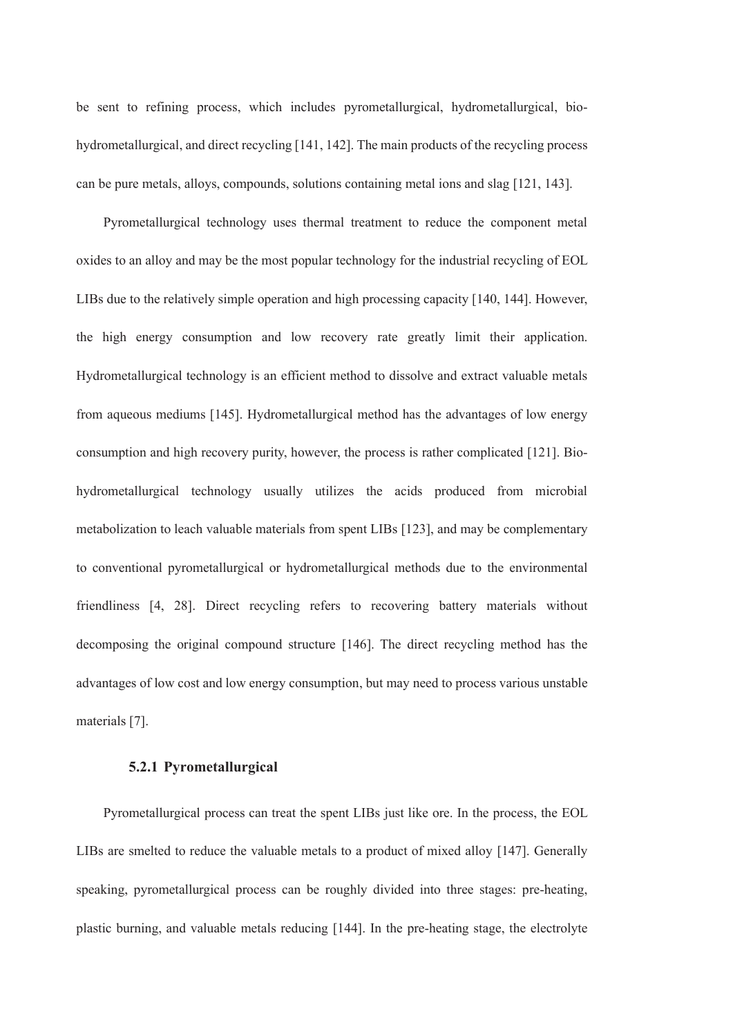be sent to refining process, which includes pyrometallurgical, hydrometallurgical, biohydrometallurgical, and direct recycling [141, 142]. The main products of the recycling process can be pure metals, alloys, compounds, solutions containing metal ions and slag [121, 143].

Pyrometallurgical technology uses thermal treatment to reduce the component metal oxides to an alloy and may be the most popular technology for the industrial recycling of EOL LIBs due to the relatively simple operation and high processing capacity [140, 144]. However, the high energy consumption and low recovery rate greatly limit their application. Hydrometallurgical technology is an efficient method to dissolve and extract valuable metals from aqueous mediums [145]. Hydrometallurgical method has the advantages of low energy consumption and high recovery purity, however, the process is rather complicated [121]. Biohydrometallurgical technology usually utilizes the acids produced from microbial metabolization to leach valuable materials from spent LIBs [123], and may be complementary to conventional pyrometallurgical or hydrometallurgical methods due to the environmental friendliness [4, 28]. Direct recycling refers to recovering battery materials without decomposing the original compound structure [146]. The direct recycling method has the advantages of low cost and low energy consumption, but may need to process various unstable materials [7].

#### **5.2.1 Pyrometallurgical**

Pyrometallurgical process can treat the spent LIBs just like ore. In the process, the EOL LIBs are smelted to reduce the valuable metals to a product of mixed alloy [147]. Generally speaking, pyrometallurgical process can be roughly divided into three stages: pre-heating, plastic burning, and valuable metals reducing [144]. In the pre-heating stage, the electrolyte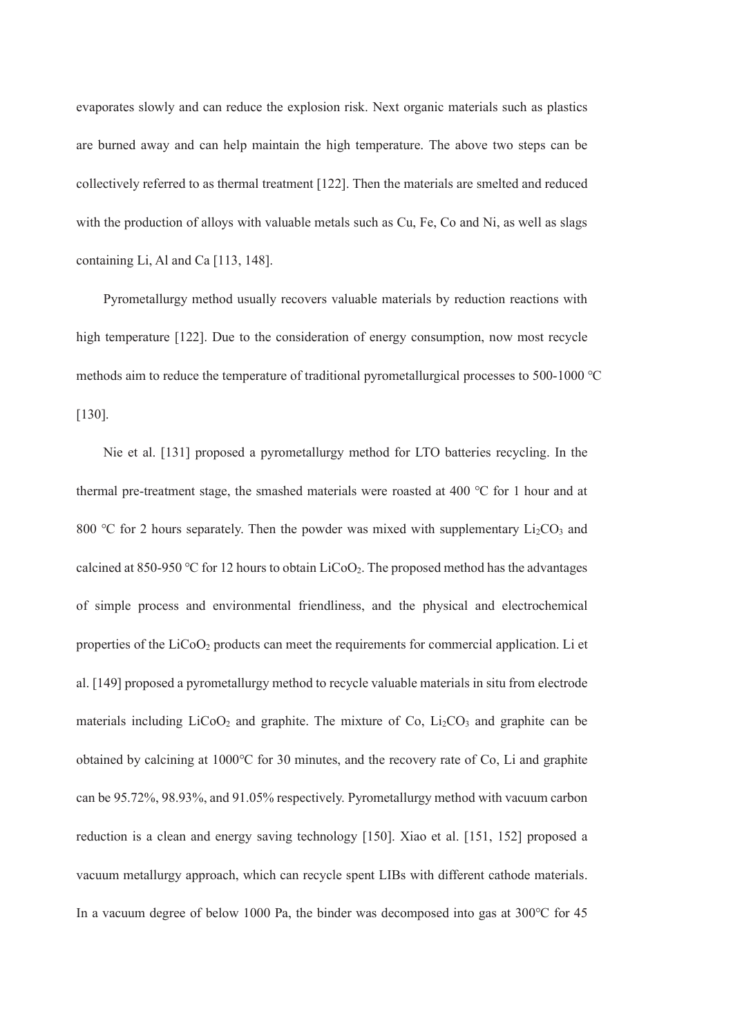evaporates slowly and can reduce the explosion risk. Next organic materials such as plastics are burned away and can help maintain the high temperature. The above two steps can be collectively referred to as thermal treatment [122]. Then the materials are smelted and reduced with the production of alloys with valuable metals such as Cu, Fe, Co and Ni, as well as slags containing Li, Al and Ca [113, 148].

Pyrometallurgy method usually recovers valuable materials by reduction reactions with high temperature [122]. Due to the consideration of energy consumption, now most recycle methods aim to reduce the temperature of traditional pyrometallurgical processes to 500-1000 ℃ [130].

Nie et al. [131] proposed a pyrometallurgy method for LTO batteries recycling. In the thermal pre-treatment stage, the smashed materials were roasted at 400 ℃ for 1 hour and at 800 °C for 2 hours separately. Then the powder was mixed with supplementary  $Li<sub>2</sub>CO<sub>3</sub>$  and calcined at 850-950 °C for 12 hours to obtain  $LiCoO<sub>2</sub>$ . The proposed method has the advantages of simple process and environmental friendliness, and the physical and electrochemical properties of the LiCoO2 products can meet the requirements for commercial application. Li et al. [149] proposed a pyrometallurgy method to recycle valuable materials in situ from electrode materials including  $LiCoO<sub>2</sub>$  and graphite. The mixture of Co,  $Li<sub>2</sub>CO<sub>3</sub>$  and graphite can be obtained by calcining at 1000℃ for 30 minutes, and the recovery rate of Co, Li and graphite can be 95.72%, 98.93%, and 91.05% respectively. Pyrometallurgy method with vacuum carbon reduction is a clean and energy saving technology [150]. Xiao et al. [151, 152] proposed a vacuum metallurgy approach, which can recycle spent LIBs with different cathode materials. In a vacuum degree of below 1000 Pa, the binder was decomposed into gas at 300℃ for 45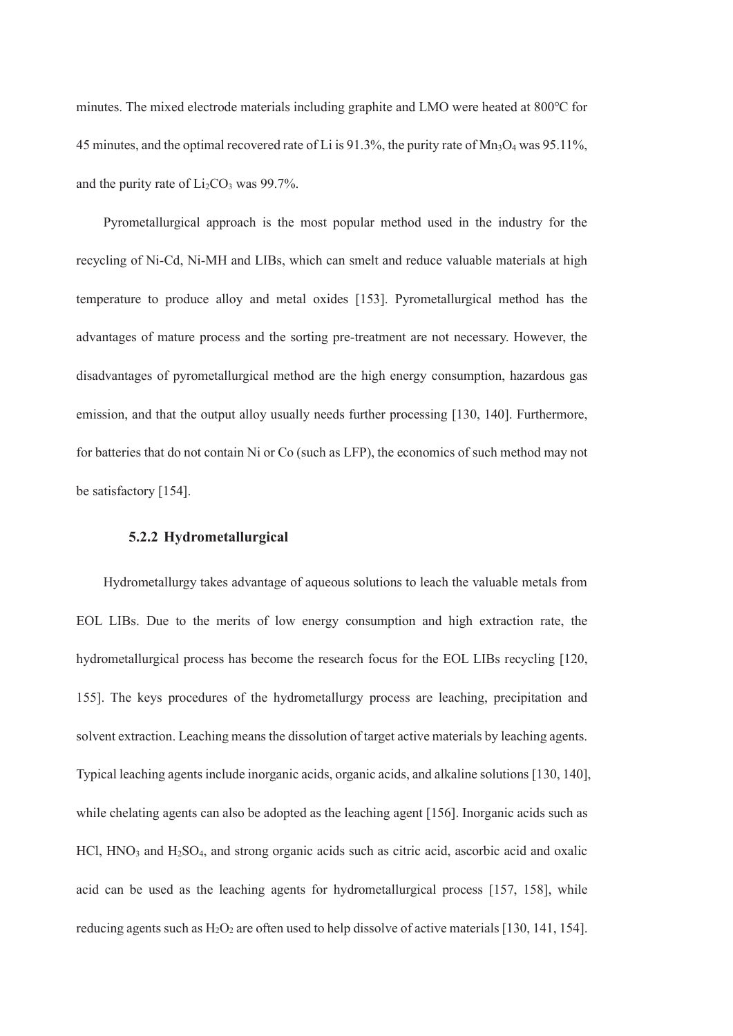minutes. The mixed electrode materials including graphite and LMO were heated at 800℃ for 45 minutes, and the optimal recovered rate of Li is 91.3%, the purity rate of  $Mn_3O_4$  was 95.11%. and the purity rate of  $Li<sub>2</sub>CO<sub>3</sub>$  was 99.7%.

Pyrometallurgical approach is the most popular method used in the industry for the recycling of Ni-Cd, Ni-MH and LIBs, which can smelt and reduce valuable materials at high temperature to produce alloy and metal oxides [153]. Pyrometallurgical method has the advantages of mature process and the sorting pre-treatment are not necessary. However, the disadvantages of pyrometallurgical method are the high energy consumption, hazardous gas emission, and that the output alloy usually needs further processing [130, 140]. Furthermore, for batteries that do not contain Ni or Co (such as LFP), the economics of such method may not be satisfactory [154].

# **5.2.2 Hydrometallurgical**

Hydrometallurgy takes advantage of aqueous solutions to leach the valuable metals from EOL LIBs. Due to the merits of low energy consumption and high extraction rate, the hydrometallurgical process has become the research focus for the EOL LIBs recycling [120, 155]. The keys procedures of the hydrometallurgy process are leaching, precipitation and solvent extraction. Leaching means the dissolution of target active materials by leaching agents. Typical leaching agents include inorganic acids, organic acids, and alkaline solutions [130, 140], while chelating agents can also be adopted as the leaching agent [156]. Inorganic acids such as HCl, HNO<sub>3</sub> and H<sub>2</sub>SO<sub>4</sub>, and strong organic acids such as citric acid, ascorbic acid and oxalic acid can be used as the leaching agents for hydrometallurgical process [157, 158], while reducing agents such as  $H_2O_2$  are often used to help dissolve of active materials [130, 141, 154].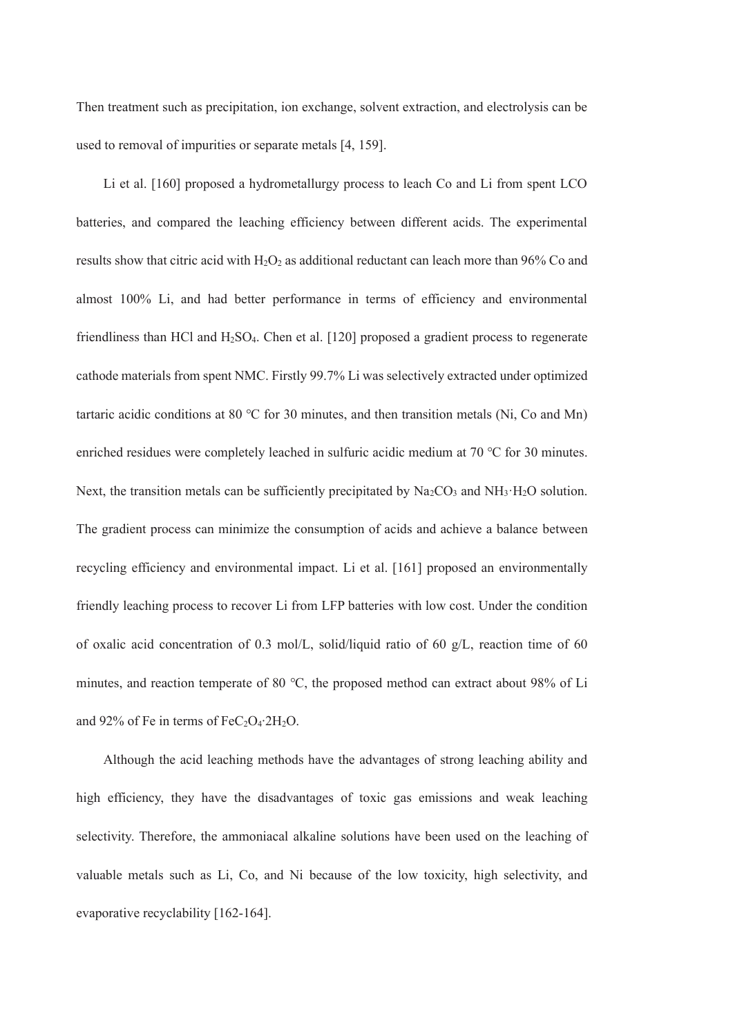Then treatment such as precipitation, ion exchange, solvent extraction, and electrolysis can be used to removal of impurities or separate metals [4, 159].

Li et al. [160] proposed a hydrometallurgy process to leach Co and Li from spent LCO batteries, and compared the leaching efficiency between different acids. The experimental results show that citric acid with  $H_2O_2$  as additional reductant can leach more than 96% Co and almost 100% Li, and had better performance in terms of efficiency and environmental friendliness than HCl and H2SO4. Chen et al. [120] proposed a gradient process to regenerate cathode materials from spent NMC. Firstly 99.7% Li was selectively extracted under optimized tartaric acidic conditions at 80 °C for 30 minutes, and then transition metals (Ni, Co and Mn) enriched residues were completely leached in sulfuric acidic medium at 70 ℃ for 30 minutes. Next, the transition metals can be sufficiently precipitated by  $Na<sub>2</sub>CO<sub>3</sub>$  and NH<sub>3</sub>·H<sub>2</sub>O solution. The gradient process can minimize the consumption of acids and achieve a balance between recycling efficiency and environmental impact. Li et al. [161] proposed an environmentally friendly leaching process to recover Li from LFP batteries with low cost. Under the condition of oxalic acid concentration of 0.3 mol/L, solid/liquid ratio of 60 g/L, reaction time of 60 minutes, and reaction temperate of 80 ℃, the proposed method can extract about 98% of Li and 92% of Fe in terms of FeC<sub>2</sub>O<sub>4</sub>⋅2H<sub>2</sub>O.

Although the acid leaching methods have the advantages of strong leaching ability and high efficiency, they have the disadvantages of toxic gas emissions and weak leaching selectivity. Therefore, the ammoniacal alkaline solutions have been used on the leaching of valuable metals such as Li, Co, and Ni because of the low toxicity, high selectivity, and evaporative recyclability [162-164].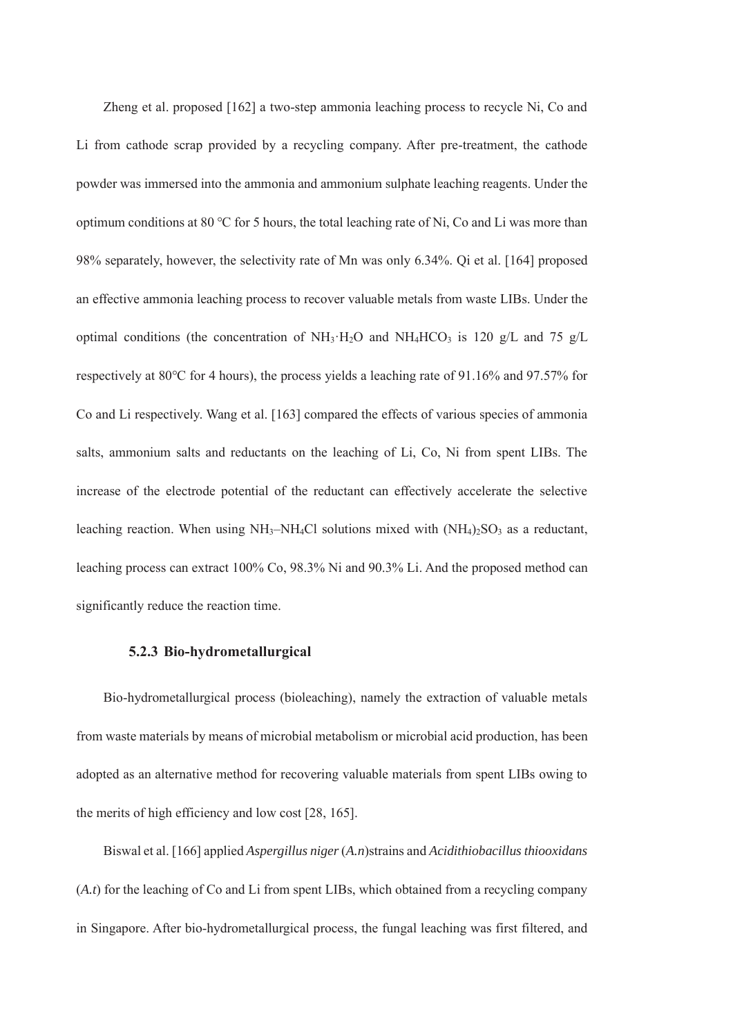Zheng et al. proposed [162] a two-step ammonia leaching process to recycle Ni, Co and Li from cathode scrap provided by a recycling company. After pre-treatment, the cathode powder was immersed into the ammonia and ammonium sulphate leaching reagents. Under the optimum conditions at 80 ℃ for 5 hours, the total leaching rate of Ni, Co and Li was more than 98% separately, however, the selectivity rate of Mn was only 6.34%. Qi et al. [164] proposed an effective ammonia leaching process to recover valuable metals from waste LIBs. Under the optimal conditions (the concentration of NH<sub>3</sub>·H<sub>2</sub>O and NH<sub>4</sub>HCO<sub>3</sub> is 120 g/L and 75 g/L respectively at 80℃ for 4 hours), the process yields a leaching rate of 91.16% and 97.57% for Co and Li respectively. Wang et al. [163] compared the effects of various species of ammonia salts, ammonium salts and reductants on the leaching of Li, Co, Ni from spent LIBs. The increase of the electrode potential of the reductant can effectively accelerate the selective leaching reaction. When using  $NH_3$ -NH<sub>4</sub>Cl solutions mixed with  $(NH_4)_2SO_3$  as a reductant, leaching process can extract 100% Co, 98.3% Ni and 90.3% Li. And the proposed method can significantly reduce the reaction time.

#### **5.2.3 Bio-hydrometallurgical**

Bio-hydrometallurgical process (bioleaching), namely the extraction of valuable metals from waste materials by means of microbial metabolism or microbial acid production, has been adopted as an alternative method for recovering valuable materials from spent LIBs owing to the merits of high efficiency and low cost [28, 165].

Biswal et al. [166] applied *Aspergillus niger* (*A.n*)strains and *Acidithiobacillus thiooxidans* (*A.t*) for the leaching of Co and Li from spent LIBs, which obtained from a recycling company in Singapore. After bio-hydrometallurgical process, the fungal leaching was first filtered, and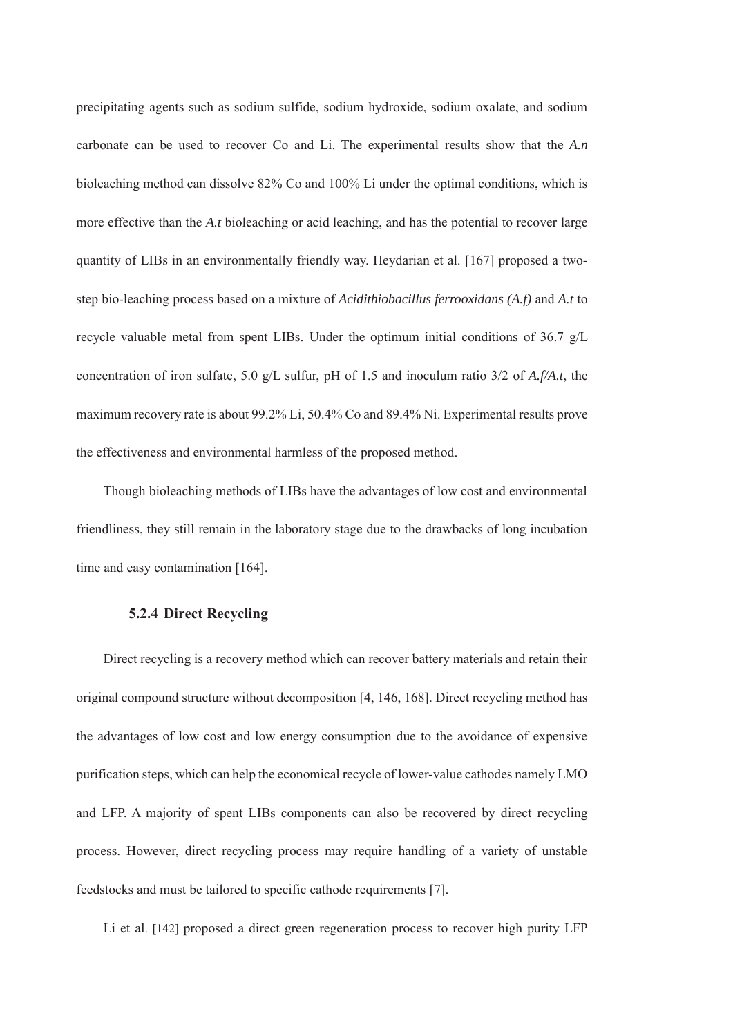precipitating agents such as sodium sulfide, sodium hydroxide, sodium oxalate, and sodium carbonate can be used to recover Co and Li. The experimental results show that the *A.n*  bioleaching method can dissolve 82% Co and 100% Li under the optimal conditions, which is more effective than the *A.t* bioleaching or acid leaching, and has the potential to recover large quantity of LIBs in an environmentally friendly way. Heydarian et al. [167] proposed a twostep bio-leaching process based on a mixture of *Acidithiobacillus ferrooxidans (A.f)* and *A.t* to recycle valuable metal from spent LIBs. Under the optimum initial conditions of 36.7 g/L concentration of iron sulfate, 5.0 g/L sulfur, pH of 1.5 and inoculum ratio 3/2 of *A.f/A.t*, the maximum recovery rate is about 99.2% Li, 50.4% Co and 89.4% Ni. Experimental results prove the effectiveness and environmental harmless of the proposed method.

Though bioleaching methods of LIBs have the advantages of low cost and environmental friendliness, they still remain in the laboratory stage due to the drawbacks of long incubation time and easy contamination [164].

#### **5.2.4 Direct Recycling**

Direct recycling is a recovery method which can recover battery materials and retain their original compound structure without decomposition [4, 146, 168]. Direct recycling method has the advantages of low cost and low energy consumption due to the avoidance of expensive purification steps, which can help the economical recycle of lower-value cathodes namely LMO and LFP. A majority of spent LIBs components can also be recovered by direct recycling process. However, direct recycling process may require handling of a variety of unstable feedstocks and must be tailored to specific cathode requirements [7].

Li et al. [142] proposed a direct green regeneration process to recover high purity LFP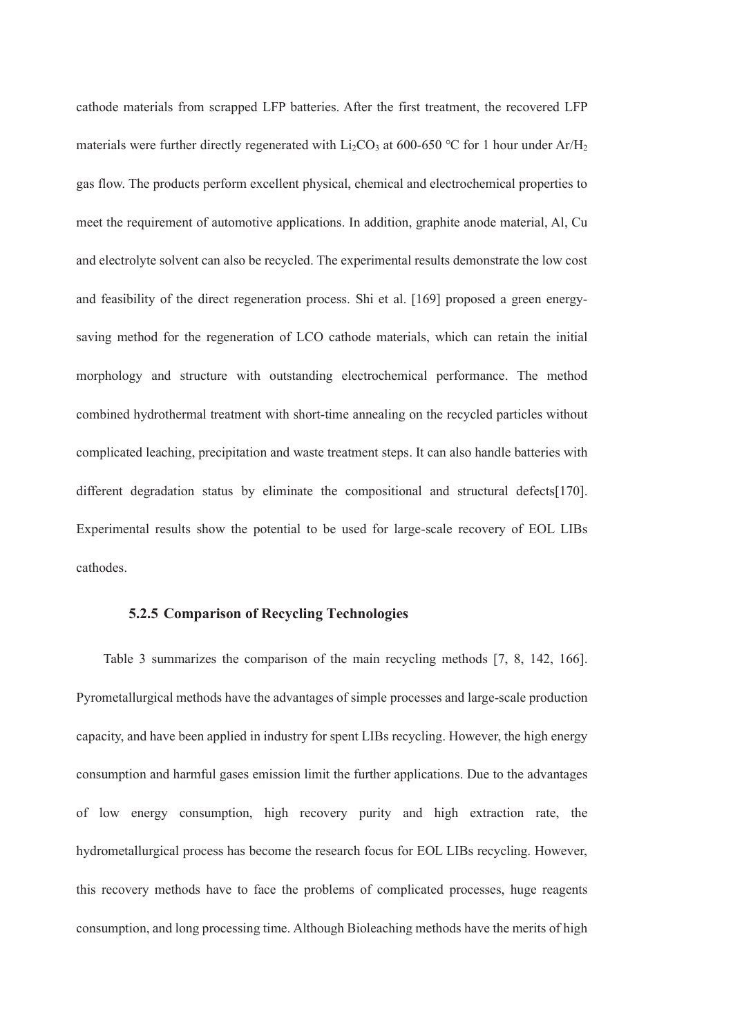cathode materials from scrapped LFP batteries. After the first treatment, the recovered LFP materials were further directly regenerated with  $Li_2CO_3$  at 600-650 °C for 1 hour under Ar/H<sub>2</sub> gas flow. The products perform excellent physical, chemical and electrochemical properties to meet the requirement of automotive applications. In addition, graphite anode material, Al, Cu and electrolyte solvent can also be recycled. The experimental results demonstrate the low cost and feasibility of the direct regeneration process. Shi et al. [169] proposed a green energysaving method for the regeneration of LCO cathode materials, which can retain the initial morphology and structure with outstanding electrochemical performance. The method combined hydrothermal treatment with short-time annealing on the recycled particles without complicated leaching, precipitation and waste treatment steps. It can also handle batteries with different degradation status by eliminate the compositional and structural defects[170]. Experimental results show the potential to be used for large-scale recovery of EOL LIBs cathodes.

#### **5.2.5 Comparison of Recycling Technologies**

Table 3 summarizes the comparison of the main recycling methods [7, 8, 142, 166]. Pyrometallurgical methods have the advantages of simple processes and large-scale production capacity, and have been applied in industry for spent LIBs recycling. However, the high energy consumption and harmful gases emission limit the further applications. Due to the advantages of low energy consumption, high recovery purity and high extraction rate, the hydrometallurgical process has become the research focus for EOL LIBs recycling. However, this recovery methods have to face the problems of complicated processes, huge reagents consumption, and long processing time. Although Bioleaching methods have the merits of high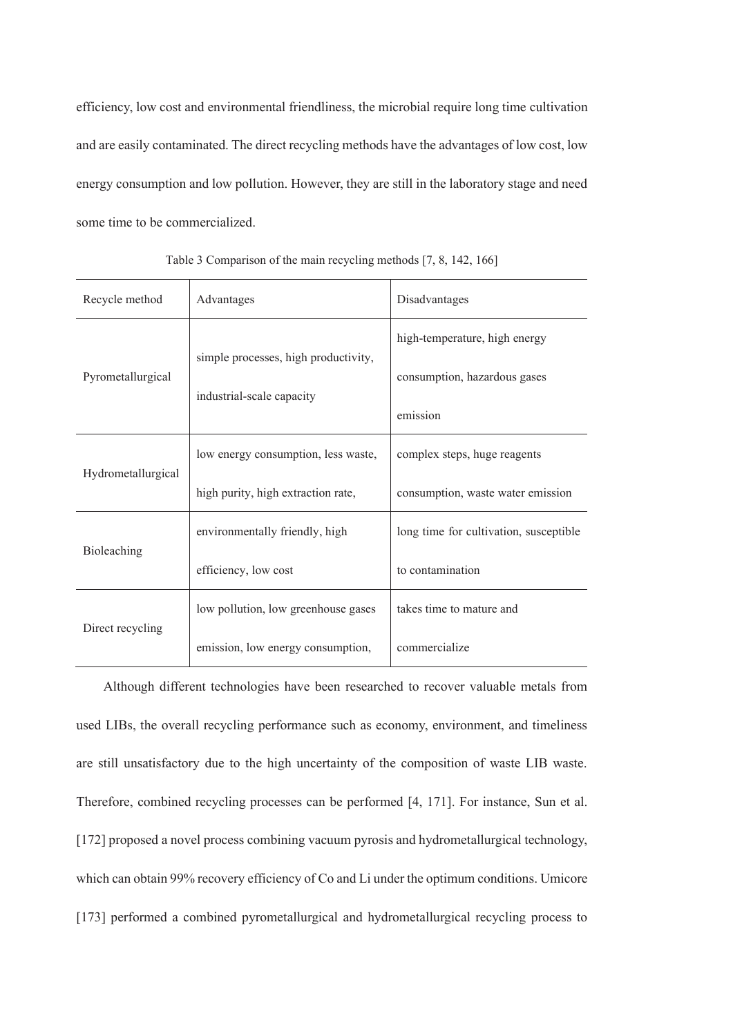efficiency, low cost and environmental friendliness, the microbial require long time cultivation and are easily contaminated. The direct recycling methods have the advantages of low cost, low energy consumption and low pollution. However, they are still in the laboratory stage and need some time to be commercialized.

| Recycle method     | Advantages                           | Disadvantages                          |  |
|--------------------|--------------------------------------|----------------------------------------|--|
|                    | simple processes, high productivity, | high-temperature, high energy          |  |
| Pyrometallurgical  | industrial-scale capacity            | consumption, hazardous gases           |  |
|                    |                                      | emission                               |  |
| Hydrometallurgical | low energy consumption, less waste,  | complex steps, huge reagents           |  |
|                    | high purity, high extraction rate,   | consumption, waste water emission      |  |
| Bioleaching        | environmentally friendly, high       | long time for cultivation, susceptible |  |
|                    | efficiency, low cost                 | to contamination                       |  |
| Direct recycling   | low pollution, low greenhouse gases  | takes time to mature and               |  |
|                    | emission, low energy consumption,    | commercialize                          |  |

Table 3 Comparison of the main recycling methods [7, 8, 142, 166]

Although different technologies have been researched to recover valuable metals from used LIBs, the overall recycling performance such as economy, environment, and timeliness are still unsatisfactory due to the high uncertainty of the composition of waste LIB waste. Therefore, combined recycling processes can be performed [4, 171]. For instance, Sun et al. [172] proposed a novel process combining vacuum pyrosis and hydrometallurgical technology, which can obtain 99% recovery efficiency of Co and Li under the optimum conditions. Umicore [173] performed a combined pyrometallurgical and hydrometallurgical recycling process to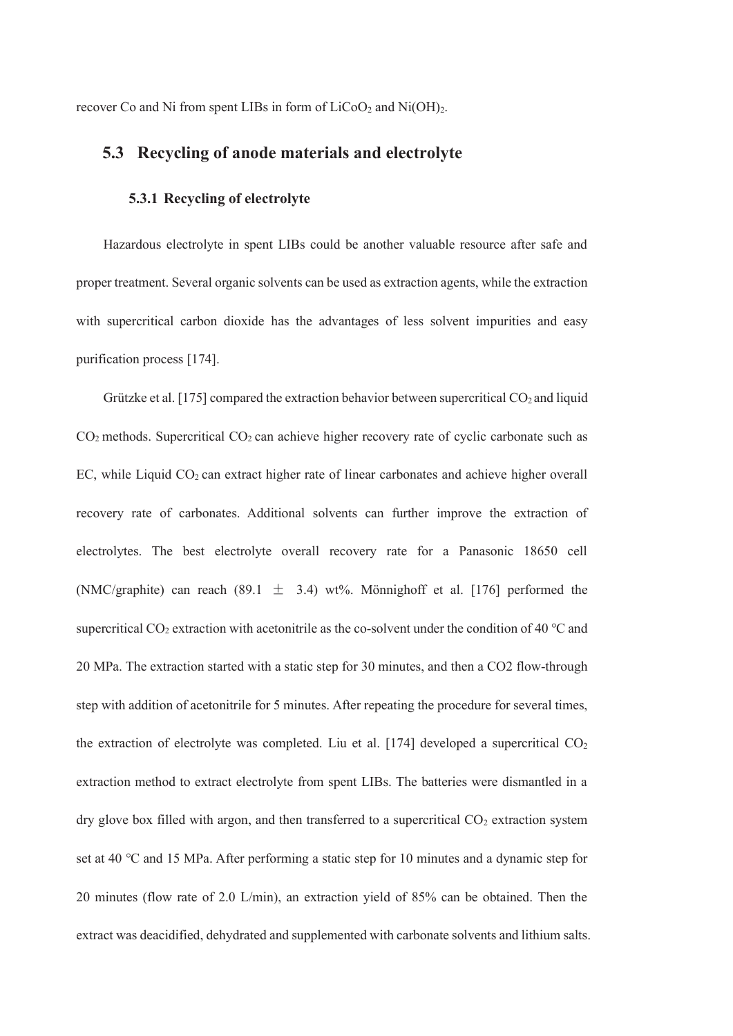recover Co and Ni from spent LIBs in form of  $LiCoO<sub>2</sub>$  and  $Ni(OH)<sub>2</sub>$ .

# **5.3 Recycling of anode materials and electrolyte**

## **5.3.1 Recycling of electrolyte**

Hazardous electrolyte in spent LIBs could be another valuable resource after safe and proper treatment. Several organic solvents can be used as extraction agents, while the extraction with supercritical carbon dioxide has the advantages of less solvent impurities and easy purification process [174].

Grützke et al. [175] compared the extraction behavior between supercritical  $CO<sub>2</sub>$  and liquid  $CO<sub>2</sub>$  methods. Supercritical  $CO<sub>2</sub>$  can achieve higher recovery rate of cyclic carbonate such as EC, while Liquid  $CO<sub>2</sub>$  can extract higher rate of linear carbonates and achieve higher overall recovery rate of carbonates. Additional solvents can further improve the extraction of electrolytes. The best electrolyte overall recovery rate for a Panasonic 18650 cell (NMC/graphite) can reach (89.1  $\pm$  3.4) wt%. Mönnighoff et al. [176] performed the supercritical CO<sub>2</sub> extraction with acetonitrile as the co-solvent under the condition of 40 °C and 20 MPa. The extraction started with a static step for 30 minutes, and then a CO2 flow-through step with addition of acetonitrile for 5 minutes. After repeating the procedure for several times, the extraction of electrolyte was completed. Liu et al. [174] developed a supercritical  $CO<sub>2</sub>$ extraction method to extract electrolyte from spent LIBs. The batteries were dismantled in a dry glove box filled with argon, and then transferred to a supercritical  $CO<sub>2</sub>$  extraction system set at 40 ℃ and 15 MPa. After performing a static step for 10 minutes and a dynamic step for 20 minutes (flow rate of 2.0 L/min), an extraction yield of 85% can be obtained. Then the extract was deacidified, dehydrated and supplemented with carbonate solvents and lithium salts.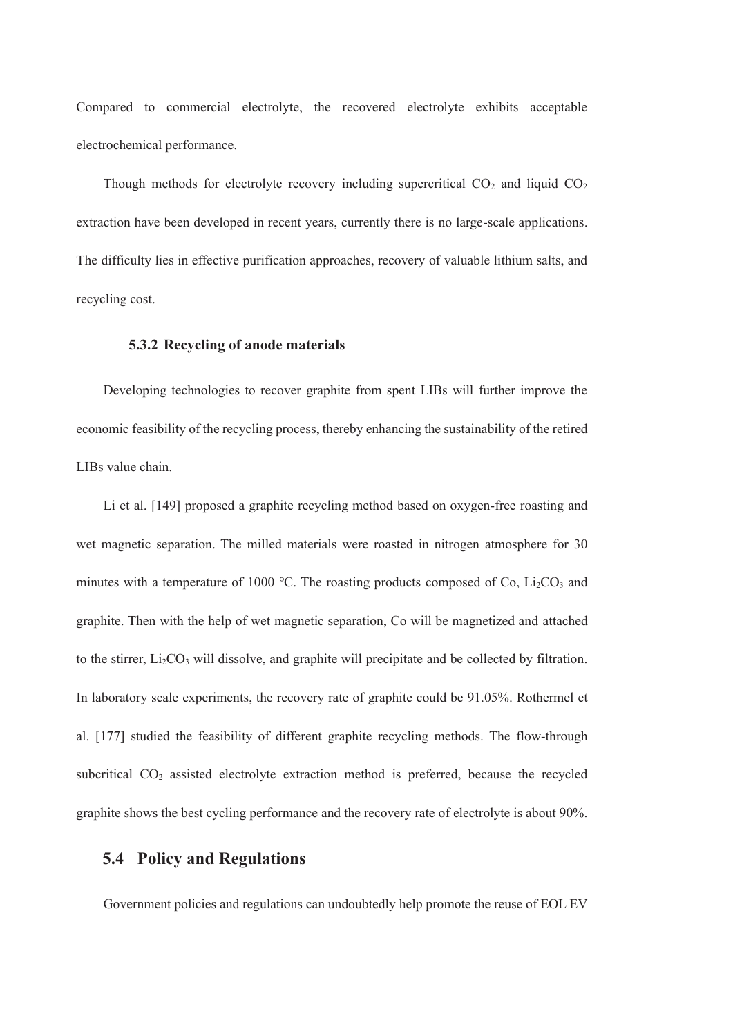Compared to commercial electrolyte, the recovered electrolyte exhibits acceptable electrochemical performance.

Though methods for electrolyte recovery including supercritical  $CO<sub>2</sub>$  and liquid  $CO<sub>2</sub>$ extraction have been developed in recent years, currently there is no large-scale applications. The difficulty lies in effective purification approaches, recovery of valuable lithium salts, and recycling cost.

#### **5.3.2 Recycling of anode materials**

Developing technologies to recover graphite from spent LIBs will further improve the economic feasibility of the recycling process, thereby enhancing the sustainability of the retired LIBs value chain.

Li et al. [149] proposed a graphite recycling method based on oxygen-free roasting and wet magnetic separation. The milled materials were roasted in nitrogen atmosphere for 30 minutes with a temperature of 1000 °C. The roasting products composed of Co,  $Li<sub>2</sub>CO<sub>3</sub>$  and graphite. Then with the help of wet magnetic separation, Co will be magnetized and attached to the stirrer, Li<sub>2</sub>CO<sub>3</sub> will dissolve, and graphite will precipitate and be collected by filtration. In laboratory scale experiments, the recovery rate of graphite could be 91.05%. Rothermel et al. [177] studied the feasibility of different graphite recycling methods. The flow-through subcritical CO2 assisted electrolyte extraction method is preferred, because the recycled graphite shows the best cycling performance and the recovery rate of electrolyte is about 90%.

# **5.4 Policy and Regulations**

Government policies and regulations can undoubtedly help promote the reuse of EOL EV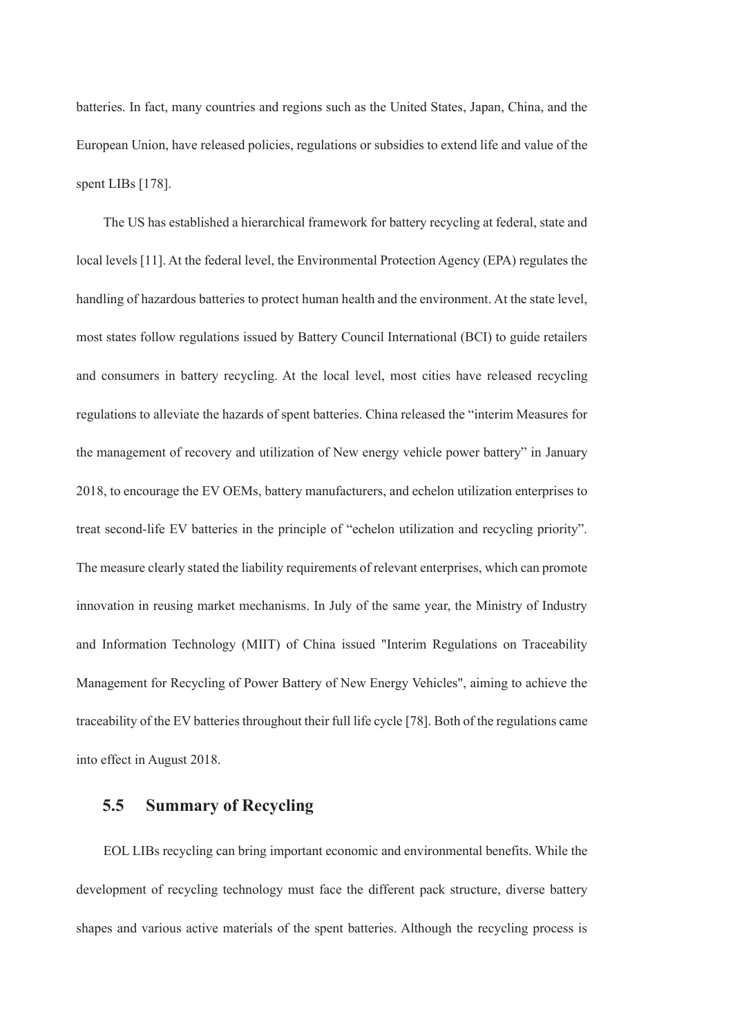batteries. In fact, many countries and regions such as the United States, Japan, China, and the European Union, have released policies, regulations or subsidies to extend life and value of the spent LIBs [178].

The US has established a hierarchical framework for battery recycling at federal, state and local levels [11]. At the federal level, the Environmental Protection Agency (EPA) regulates the handling of hazardous batteries to protect human health and the environment. At the state level, most states follow regulations issued by Battery Council International (BCI) to guide retailers and consumers in battery recycling. At the local level, most cities have released recycling regulations to alleviate the hazards of spent batteries. China released the "interim Measures for the management of recovery and utilization of New energy vehicle power battery" in January 2018, to encourage the EV OEMs, battery manufacturers, and echelon utilization enterprises to treat second-life EV batteries in the principle of "echelon utilization and recycling priority". The measure clearly stated the liability requirements of relevant enterprises, which can promote innovation in reusing market mechanisms. In July of the same year, the Ministry of Industry and Information Technology (MIIT) of China issued "Interim Regulations on Traceability Management for Recycling of Power Battery of New Energy Vehicles", aiming to achieve the traceability of the EV batteries throughout their full life cycle [78]. Both of the regulations came into effect in August 2018.

# **5.5 Summary of Recycling**

EOL LIBs recycling can bring important economic and environmental benefits. While the development of recycling technology must face the different pack structure, diverse battery shapes and various active materials of the spent batteries. Although the recycling process is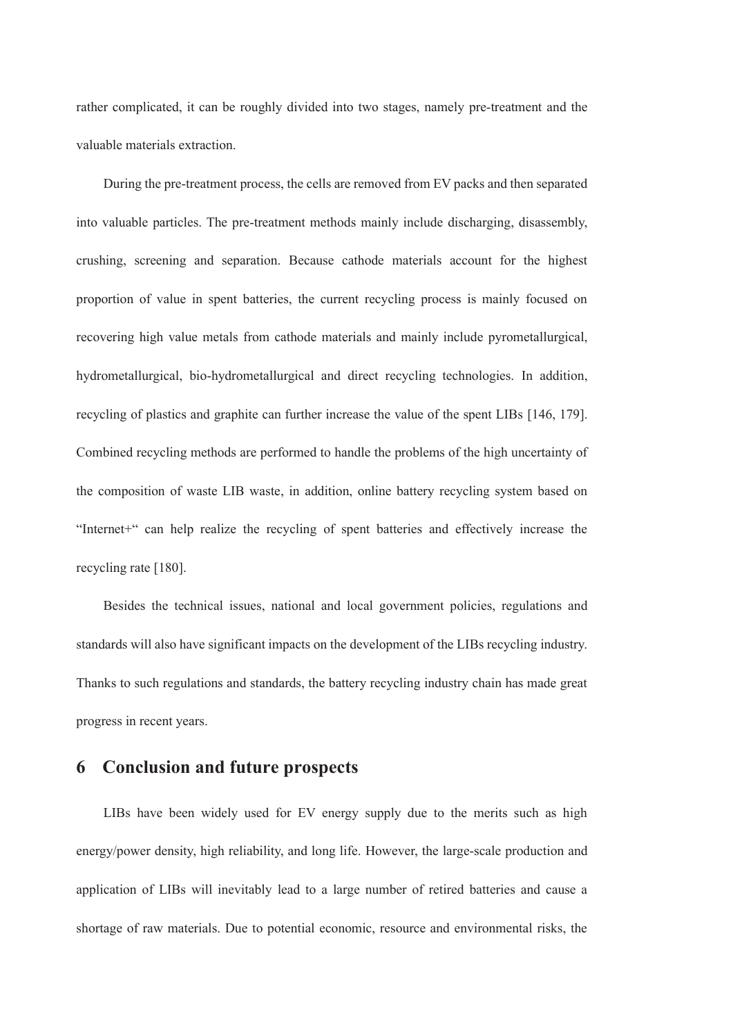rather complicated, it can be roughly divided into two stages, namely pre-treatment and the valuable materials extraction.

During the pre-treatment process, the cells are removed from EV packs and then separated into valuable particles. The pre-treatment methods mainly include discharging, disassembly, crushing, screening and separation. Because cathode materials account for the highest proportion of value in spent batteries, the current recycling process is mainly focused on recovering high value metals from cathode materials and mainly include pyrometallurgical, hydrometallurgical, bio-hydrometallurgical and direct recycling technologies. In addition, recycling of plastics and graphite can further increase the value of the spent LIBs [146, 179]. Combined recycling methods are performed to handle the problems of the high uncertainty of the composition of waste LIB waste, in addition, online battery recycling system based on "Internet+" can help realize the recycling of spent batteries and effectively increase the recycling rate [180].

Besides the technical issues, national and local government policies, regulations and standards will also have significant impacts on the development of the LIBs recycling industry. Thanks to such regulations and standards, the battery recycling industry chain has made great progress in recent years.

# **6 Conclusion and future prospects**

LIBs have been widely used for EV energy supply due to the merits such as high energy/power density, high reliability, and long life. However, the large-scale production and application of LIBs will inevitably lead to a large number of retired batteries and cause a shortage of raw materials. Due to potential economic, resource and environmental risks, the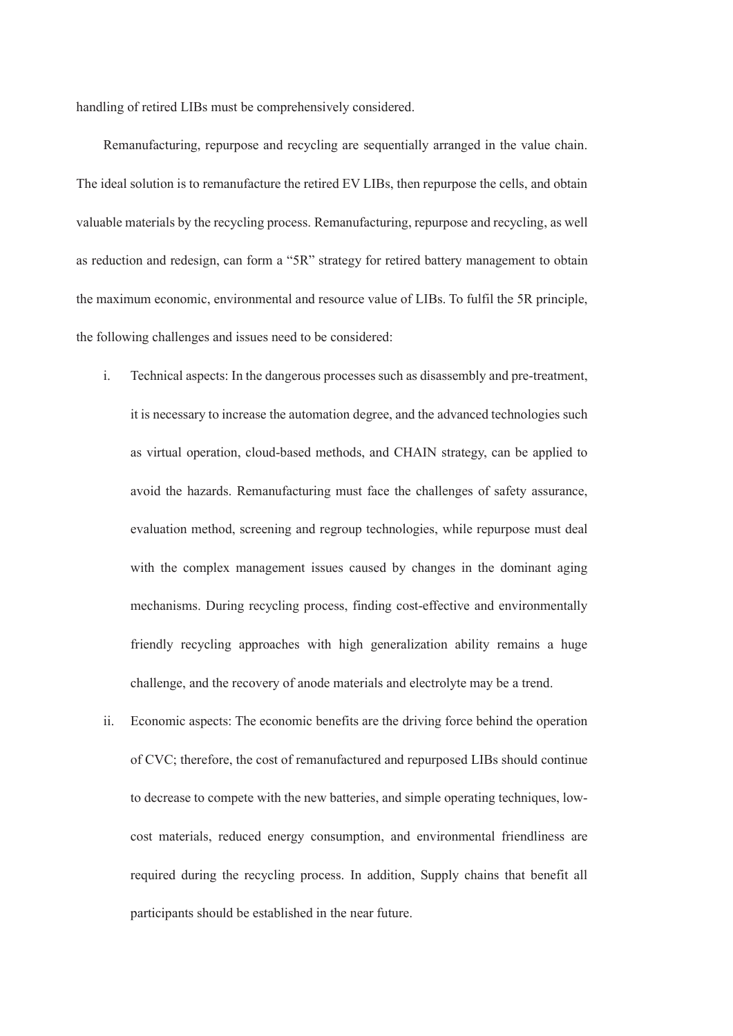handling of retired LIBs must be comprehensively considered.

Remanufacturing, repurpose and recycling are sequentially arranged in the value chain. The ideal solution is to remanufacture the retired EV LIBs, then repurpose the cells, and obtain valuable materials by the recycling process. Remanufacturing, repurpose and recycling, as well as reduction and redesign, can form a "5R" strategy for retired battery management to obtain the maximum economic, environmental and resource value of LIBs. To fulfil the 5R principle, the following challenges and issues need to be considered:

- i. Technical aspects: In the dangerous processes such as disassembly and pre-treatment, it is necessary to increase the automation degree, and the advanced technologies such as virtual operation, cloud-based methods, and CHAIN strategy, can be applied to avoid the hazards. Remanufacturing must face the challenges of safety assurance, evaluation method, screening and regroup technologies, while repurpose must deal with the complex management issues caused by changes in the dominant aging mechanisms. During recycling process, finding cost-effective and environmentally friendly recycling approaches with high generalization ability remains a huge challenge, and the recovery of anode materials and electrolyte may be a trend.
- ii. Economic aspects: The economic benefits are the driving force behind the operation of CVC; therefore, the cost of remanufactured and repurposed LIBs should continue to decrease to compete with the new batteries, and simple operating techniques, lowcost materials, reduced energy consumption, and environmental friendliness are required during the recycling process. In addition, Supply chains that benefit all participants should be established in the near future.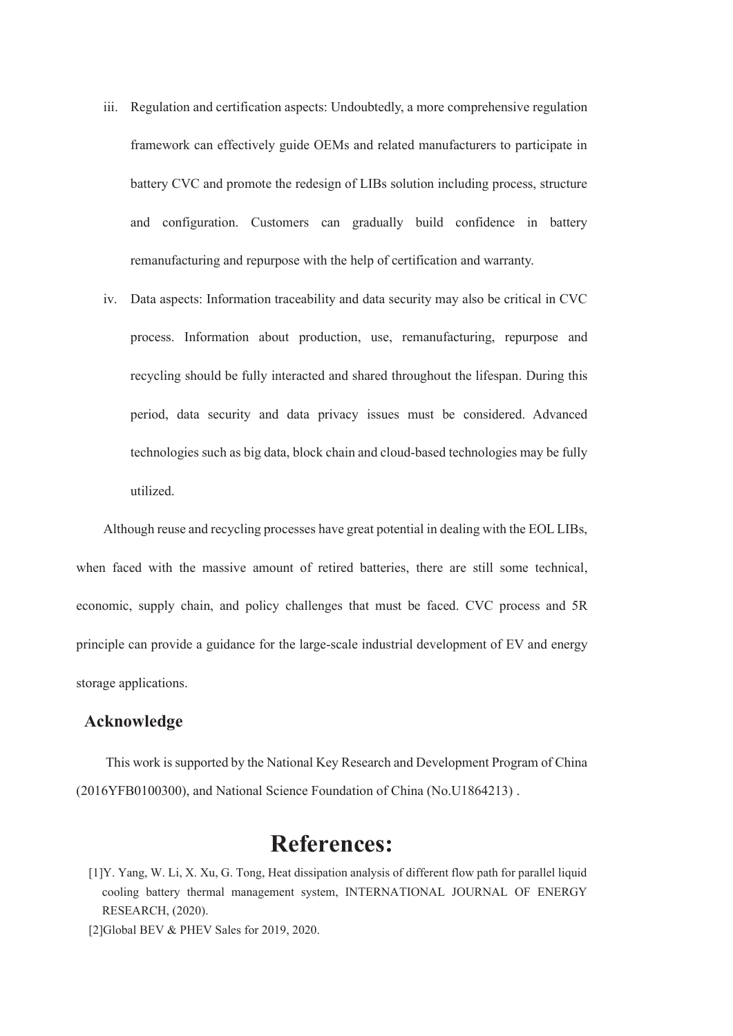- iii. Regulation and certification aspects: Undoubtedly, a more comprehensive regulation framework can effectively guide OEMs and related manufacturers to participate in battery CVC and promote the redesign of LIBs solution including process, structure and configuration. Customers can gradually build confidence in battery remanufacturing and repurpose with the help of certification and warranty.
- iv. Data aspects: Information traceability and data security may also be critical in CVC process. Information about production, use, remanufacturing, repurpose and recycling should be fully interacted and shared throughout the lifespan. During this period, data security and data privacy issues must be considered. Advanced technologies such as big data, block chain and cloud-based technologies may be fully utilized.

Although reuse and recycling processes have great potential in dealing with the EOL LIBs, when faced with the massive amount of retired batteries, there are still some technical, economic, supply chain, and policy challenges that must be faced. CVC process and 5R principle can provide a guidance for the large-scale industrial development of EV and energy storage applications.

## **Acknowledge**

This work is supported by the National Key Research and Development Program of China (2016YFB0100300), and National Science Foundation of China (No.U1864213) .

# **References:**

- [1]Y. Yang, W. Li, X. Xu, G. Tong, Heat dissipation analysis of different flow path for parallel liquid cooling battery thermal management system, INTERNATIONAL JOURNAL OF ENERGY RESEARCH, (2020).
- [2]Global BEV & PHEV Sales for 2019, 2020.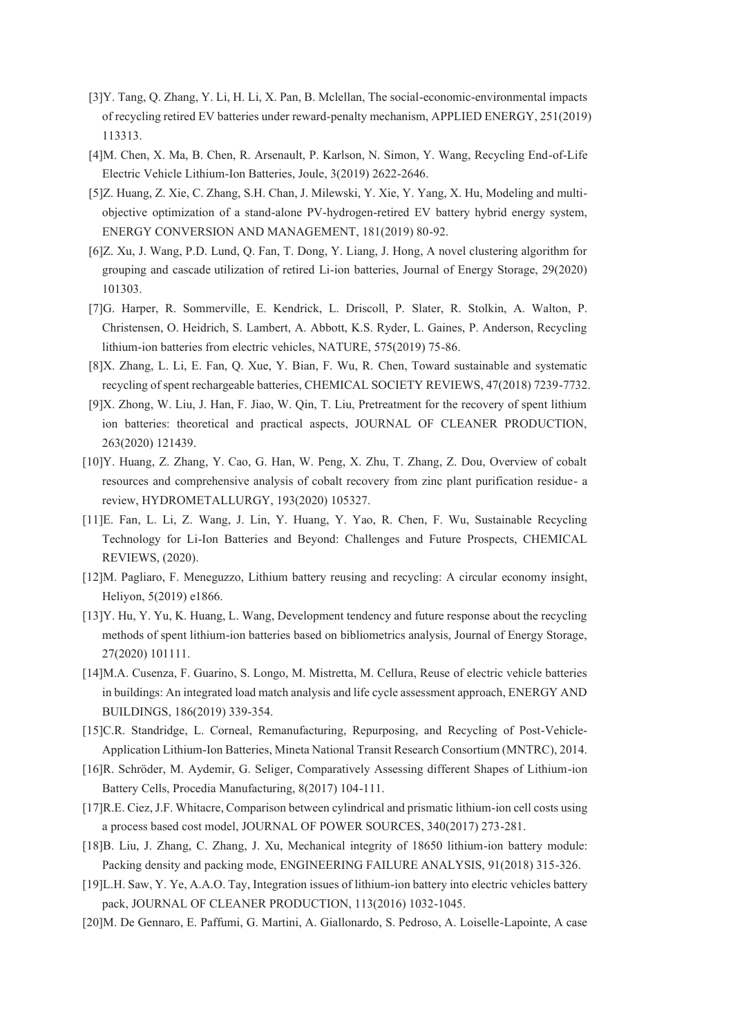- [3]Y. Tang, Q. Zhang, Y. Li, H. Li, X. Pan, B. Mclellan, The social-economic-environmental impacts of recycling retired EV batteries under reward-penalty mechanism, APPLIED ENERGY, 251(2019) 113313.
- [4]M. Chen, X. Ma, B. Chen, R. Arsenault, P. Karlson, N. Simon, Y. Wang, Recycling End-of-Life Electric Vehicle Lithium-Ion Batteries, Joule, 3(2019) 2622-2646.
- [5]Z. Huang, Z. Xie, C. Zhang, S.H. Chan, J. Milewski, Y. Xie, Y. Yang, X. Hu, Modeling and multiobjective optimization of a stand-alone PV-hydrogen-retired EV battery hybrid energy system, ENERGY CONVERSION AND MANAGEMENT, 181(2019) 80-92.
- [6]Z. Xu, J. Wang, P.D. Lund, Q. Fan, T. Dong, Y. Liang, J. Hong, A novel clustering algorithm for grouping and cascade utilization of retired Li-ion batteries, Journal of Energy Storage, 29(2020) 101303.
- [7]G. Harper, R. Sommerville, E. Kendrick, L. Driscoll, P. Slater, R. Stolkin, A. Walton, P. Christensen, O. Heidrich, S. Lambert, A. Abbott, K.S. Ryder, L. Gaines, P. Anderson, Recycling lithium-ion batteries from electric vehicles, NATURE, 575(2019) 75-86.
- [8]X. Zhang, L. Li, E. Fan, Q. Xue, Y. Bian, F. Wu, R. Chen, Toward sustainable and systematic recycling of spent rechargeable batteries, CHEMICAL SOCIETY REVIEWS, 47(2018) 7239-7732.
- [9]X. Zhong, W. Liu, J. Han, F. Jiao, W. Qin, T. Liu, Pretreatment for the recovery of spent lithium ion batteries: theoretical and practical aspects, JOURNAL OF CLEANER PRODUCTION, 263(2020) 121439.
- [10]Y. Huang, Z. Zhang, Y. Cao, G. Han, W. Peng, X. Zhu, T. Zhang, Z. Dou, Overview of cobalt resources and comprehensive analysis of cobalt recovery from zinc plant purification residue- a review, HYDROMETALLURGY, 193(2020) 105327.
- [11]E. Fan, L. Li, Z. Wang, J. Lin, Y. Huang, Y. Yao, R. Chen, F. Wu, Sustainable Recycling Technology for Li-Ion Batteries and Beyond: Challenges and Future Prospects, CHEMICAL REVIEWS, (2020).
- [12]M. Pagliaro, F. Meneguzzo, Lithium battery reusing and recycling: A circular economy insight, Heliyon, 5(2019) e1866.
- [13]Y. Hu, Y. Yu, K. Huang, L. Wang, Development tendency and future response about the recycling methods of spent lithium-ion batteries based on bibliometrics analysis, Journal of Energy Storage, 27(2020) 101111.
- [14]M.A. Cusenza, F. Guarino, S. Longo, M. Mistretta, M. Cellura, Reuse of electric vehicle batteries in buildings: An integrated load match analysis and life cycle assessment approach, ENERGY AND BUILDINGS, 186(2019) 339-354.
- [15]C.R. Standridge, L. Corneal, Remanufacturing, Repurposing, and Recycling of Post-Vehicle-Application Lithium-Ion Batteries, Mineta National Transit Research Consortium (MNTRC), 2014.
- [16]R. Schröder, M. Aydemir, G. Seliger, Comparatively Assessing different Shapes of Lithium-ion Battery Cells, Procedia Manufacturing, 8(2017) 104-111.
- [17]R.E. Ciez, J.F. Whitacre, Comparison between cylindrical and prismatic lithium-ion cell costs using a process based cost model, JOURNAL OF POWER SOURCES, 340(2017) 273-281.
- [18]B. Liu, J. Zhang, C. Zhang, J. Xu, Mechanical integrity of 18650 lithium-ion battery module: Packing density and packing mode, ENGINEERING FAILURE ANALYSIS, 91(2018) 315-326.
- [19]L.H. Saw, Y. Ye, A.A.O. Tay, Integration issues of lithium-ion battery into electric vehicles battery pack, JOURNAL OF CLEANER PRODUCTION, 113(2016) 1032-1045.
- [20]M. De Gennaro, E. Paffumi, G. Martini, A. Giallonardo, S. Pedroso, A. Loiselle-Lapointe, A case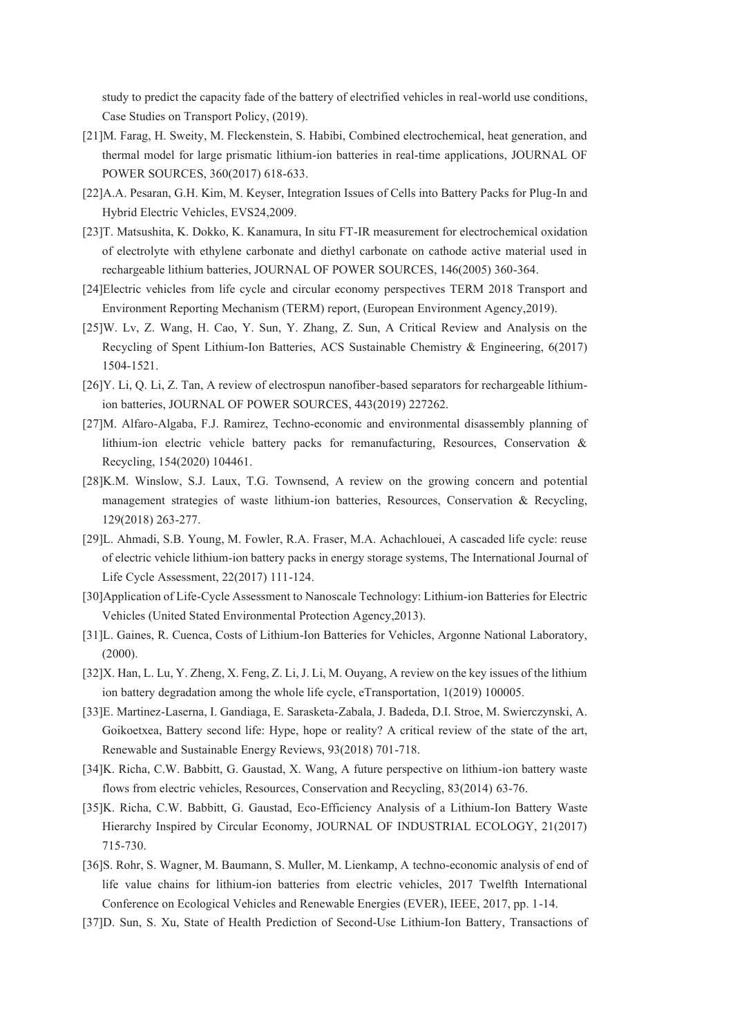study to predict the capacity fade of the battery of electrified vehicles in real-world use conditions, Case Studies on Transport Policy, (2019).

- [21]M. Farag, H. Sweity, M. Fleckenstein, S. Habibi, Combined electrochemical, heat generation, and thermal model for large prismatic lithium-ion batteries in real-time applications, JOURNAL OF POWER SOURCES, 360(2017) 618-633.
- [22]A.A. Pesaran, G.H. Kim, M. Keyser, Integration Issues of Cells into Battery Packs for Plug-In and Hybrid Electric Vehicles, EVS24,2009.
- [23]T. Matsushita, K. Dokko, K. Kanamura, In situ FT-IR measurement for electrochemical oxidation of electrolyte with ethylene carbonate and diethyl carbonate on cathode active material used in rechargeable lithium batteries, JOURNAL OF POWER SOURCES, 146(2005) 360-364.
- [24]Electric vehicles from life cycle and circular economy perspectives TERM 2018 Transport and Environment Reporting Mechanism (TERM) report, (European Environment Agency,2019).
- [25]W. Lv, Z. Wang, H. Cao, Y. Sun, Y. Zhang, Z. Sun, A Critical Review and Analysis on the Recycling of Spent Lithium-Ion Batteries, ACS Sustainable Chemistry & Engineering, 6(2017) 1504-1521.
- [26]Y. Li, Q. Li, Z. Tan, A review of electrospun nanofiber-based separators for rechargeable lithiumion batteries, JOURNAL OF POWER SOURCES, 443(2019) 227262.
- [27]M. Alfaro-Algaba, F.J. Ramirez, Techno-economic and environmental disassembly planning of lithium-ion electric vehicle battery packs for remanufacturing, Resources, Conservation & Recycling, 154(2020) 104461.
- [28]K.M. Winslow, S.J. Laux, T.G. Townsend, A review on the growing concern and potential management strategies of waste lithium-ion batteries, Resources, Conservation & Recycling, 129(2018) 263-277.
- [29]L. Ahmadi, S.B. Young, M. Fowler, R.A. Fraser, M.A. Achachlouei, A cascaded life cycle: reuse of electric vehicle lithium-ion battery packs in energy storage systems, The International Journal of Life Cycle Assessment, 22(2017) 111-124.
- [30]Application of Life-Cycle Assessment to Nanoscale Technology: Lithium-ion Batteries for Electric Vehicles (United Stated Environmental Protection Agency,2013).
- [31]L. Gaines, R. Cuenca, Costs of Lithium-Ion Batteries for Vehicles, Argonne National Laboratory, (2000).
- [32]X. Han, L. Lu, Y. Zheng, X. Feng, Z. Li, J. Li, M. Ouyang, A review on the key issues of the lithium ion battery degradation among the whole life cycle, eTransportation, 1(2019) 100005.
- [33]E. Martinez-Laserna, I. Gandiaga, E. Sarasketa-Zabala, J. Badeda, D.I. Stroe, M. Swierczynski, A. Goikoetxea, Battery second life: Hype, hope or reality? A critical review of the state of the art, Renewable and Sustainable Energy Reviews, 93(2018) 701-718.
- [34]K. Richa, C.W. Babbitt, G. Gaustad, X. Wang, A future perspective on lithium-ion battery waste flows from electric vehicles, Resources, Conservation and Recycling, 83(2014) 63-76.
- [35]K. Richa, C.W. Babbitt, G. Gaustad, Eco-Efficiency Analysis of a Lithium-Ion Battery Waste Hierarchy Inspired by Circular Economy, JOURNAL OF INDUSTRIAL ECOLOGY, 21(2017) 715-730.
- [36]S. Rohr, S. Wagner, M. Baumann, S. Muller, M. Lienkamp, A techno-economic analysis of end of life value chains for lithium-ion batteries from electric vehicles, 2017 Twelfth International Conference on Ecological Vehicles and Renewable Energies (EVER), IEEE, 2017, pp. 1-14.
- [37]D. Sun, S. Xu, State of Health Prediction of Second-Use Lithium-Ion Battery, Transactions of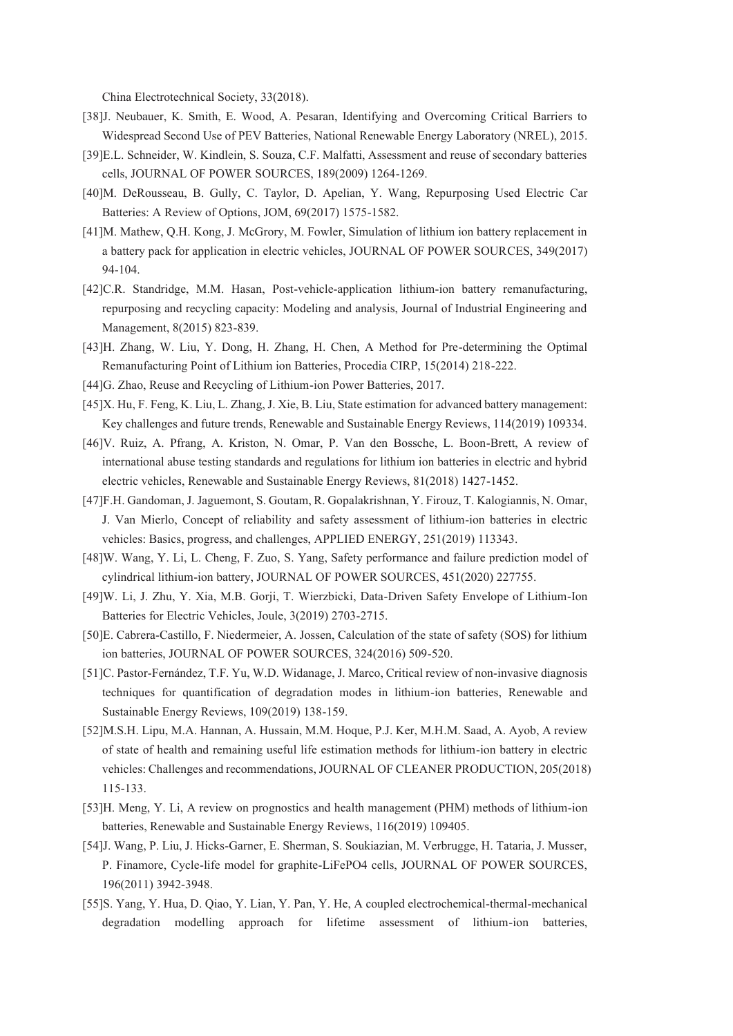China Electrotechnical Society, 33(2018).

- [38]J. Neubauer, K. Smith, E. Wood, A. Pesaran, Identifying and Overcoming Critical Barriers to Widespread Second Use of PEV Batteries, National Renewable Energy Laboratory (NREL), 2015.
- [39]E.L. Schneider, W. Kindlein, S. Souza, C.F. Malfatti, Assessment and reuse of secondary batteries cells, JOURNAL OF POWER SOURCES, 189(2009) 1264-1269.
- [40]M. DeRousseau, B. Gully, C. Taylor, D. Apelian, Y. Wang, Repurposing Used Electric Car Batteries: A Review of Options, JOM, 69(2017) 1575-1582.
- [41]M. Mathew, Q.H. Kong, J. McGrory, M. Fowler, Simulation of lithium ion battery replacement in a battery pack for application in electric vehicles, JOURNAL OF POWER SOURCES, 349(2017) 94-104.
- [42]C.R. Standridge, M.M. Hasan, Post-vehicle-application lithium-ion battery remanufacturing, repurposing and recycling capacity: Modeling and analysis, Journal of Industrial Engineering and Management, 8(2015) 823-839.
- [43]H. Zhang, W. Liu, Y. Dong, H. Zhang, H. Chen, A Method for Pre-determining the Optimal Remanufacturing Point of Lithium ion Batteries, Procedia CIRP, 15(2014) 218-222.
- [44]G. Zhao, Reuse and Recycling of Lithium-ion Power Batteries, 2017.
- [45]X. Hu, F. Feng, K. Liu, L. Zhang, J. Xie, B. Liu, State estimation for advanced battery management: Key challenges and future trends, Renewable and Sustainable Energy Reviews, 114(2019) 109334.
- [46]V. Ruiz, A. Pfrang, A. Kriston, N. Omar, P. Van den Bossche, L. Boon-Brett, A review of international abuse testing standards and regulations for lithium ion batteries in electric and hybrid electric vehicles, Renewable and Sustainable Energy Reviews, 81(2018) 1427-1452.
- [47]F.H. Gandoman, J. Jaguemont, S. Goutam, R. Gopalakrishnan, Y. Firouz, T. Kalogiannis, N. Omar, J. Van Mierlo, Concept of reliability and safety assessment of lithium-ion batteries in electric vehicles: Basics, progress, and challenges, APPLIED ENERGY, 251(2019) 113343.
- [48]W. Wang, Y. Li, L. Cheng, F. Zuo, S. Yang, Safety performance and failure prediction model of cylindrical lithium-ion battery, JOURNAL OF POWER SOURCES, 451(2020) 227755.
- [49]W. Li, J. Zhu, Y. Xia, M.B. Gorji, T. Wierzbicki, Data-Driven Safety Envelope of Lithium-Ion Batteries for Electric Vehicles, Joule, 3(2019) 2703-2715.
- [50]E. Cabrera-Castillo, F. Niedermeier, A. Jossen, Calculation of the state of safety (SOS) for lithium ion batteries, JOURNAL OF POWER SOURCES, 324(2016) 509-520.
- [51]C. Pastor-Fernández, T.F. Yu, W.D. Widanage, J. Marco, Critical review of non-invasive diagnosis techniques for quantification of degradation modes in lithium-ion batteries, Renewable and Sustainable Energy Reviews, 109(2019) 138-159.
- [52]M.S.H. Lipu, M.A. Hannan, A. Hussain, M.M. Hoque, P.J. Ker, M.H.M. Saad, A. Ayob, A review of state of health and remaining useful life estimation methods for lithium-ion battery in electric vehicles: Challenges and recommendations, JOURNAL OF CLEANER PRODUCTION, 205(2018) 115-133.
- [53]H. Meng, Y. Li, A review on prognostics and health management (PHM) methods of lithium-ion batteries, Renewable and Sustainable Energy Reviews, 116(2019) 109405.
- [54]J. Wang, P. Liu, J. Hicks-Garner, E. Sherman, S. Soukiazian, M. Verbrugge, H. Tataria, J. Musser, P. Finamore, Cycle-life model for graphite-LiFePO4 cells, JOURNAL OF POWER SOURCES, 196(2011) 3942-3948.
- [55]S. Yang, Y. Hua, D. Qiao, Y. Lian, Y. Pan, Y. He, A coupled electrochemical-thermal-mechanical degradation modelling approach for lifetime assessment of lithium-ion batteries,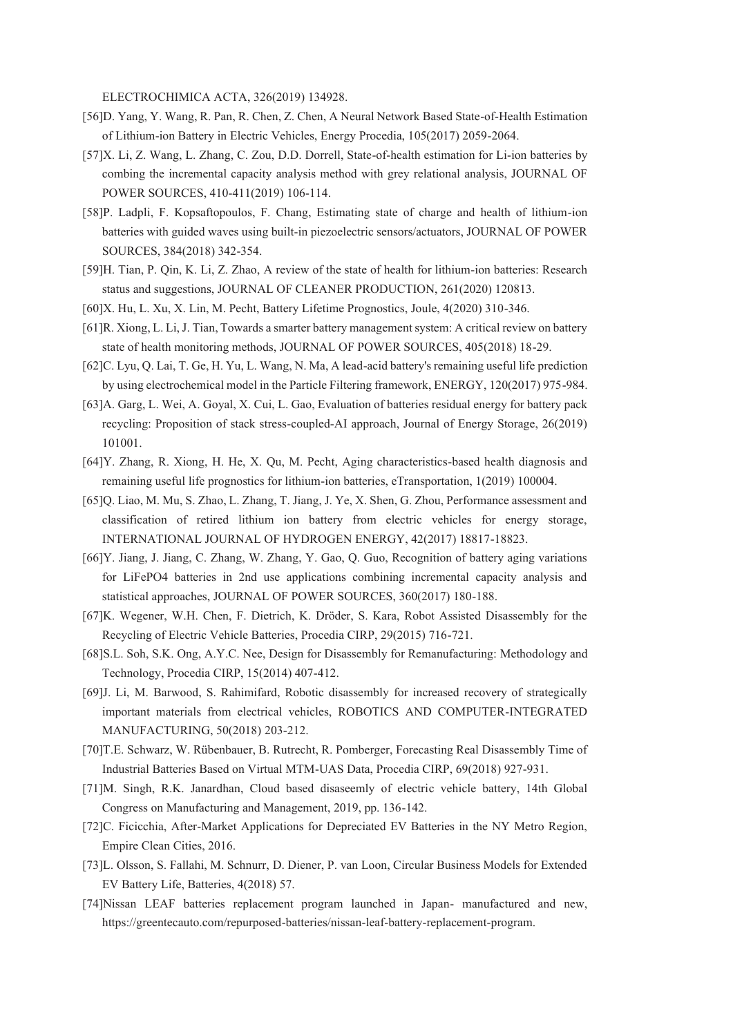ELECTROCHIMICA ACTA, 326(2019) 134928.

- [56]D. Yang, Y. Wang, R. Pan, R. Chen, Z. Chen, A Neural Network Based State-of-Health Estimation of Lithium-ion Battery in Electric Vehicles, Energy Procedia, 105(2017) 2059-2064.
- [57]X. Li, Z. Wang, L. Zhang, C. Zou, D.D. Dorrell, State-of-health estimation for Li-ion batteries by combing the incremental capacity analysis method with grey relational analysis, JOURNAL OF POWER SOURCES, 410-411(2019) 106-114.
- [58]P. Ladpli, F. Kopsaftopoulos, F. Chang, Estimating state of charge and health of lithium-ion batteries with guided waves using built-in piezoelectric sensors/actuators, JOURNAL OF POWER SOURCES, 384(2018) 342-354.
- [59]H. Tian, P. Qin, K. Li, Z. Zhao, A review of the state of health for lithium-ion batteries: Research status and suggestions, JOURNAL OF CLEANER PRODUCTION, 261(2020) 120813.
- [60]X. Hu, L. Xu, X. Lin, M. Pecht, Battery Lifetime Prognostics, Joule, 4(2020) 310-346.
- [61]R. Xiong, L. Li, J. Tian, Towards a smarter battery management system: A critical review on battery state of health monitoring methods, JOURNAL OF POWER SOURCES, 405(2018) 18-29.
- [62]C. Lyu, Q. Lai, T. Ge, H. Yu, L. Wang, N. Ma, A lead-acid battery's remaining useful life prediction by using electrochemical model in the Particle Filtering framework, ENERGY, 120(2017) 975-984.
- [63]A. Garg, L. Wei, A. Goyal, X. Cui, L. Gao, Evaluation of batteries residual energy for battery pack recycling: Proposition of stack stress-coupled-AI approach, Journal of Energy Storage, 26(2019) 101001.
- [64]Y. Zhang, R. Xiong, H. He, X. Qu, M. Pecht, Aging characteristics-based health diagnosis and remaining useful life prognostics for lithium-ion batteries, eTransportation, 1(2019) 100004.
- [65]Q. Liao, M. Mu, S. Zhao, L. Zhang, T. Jiang, J. Ye, X. Shen, G. Zhou, Performance assessment and classification of retired lithium ion battery from electric vehicles for energy storage, INTERNATIONAL JOURNAL OF HYDROGEN ENERGY, 42(2017) 18817-18823.
- [66]Y. Jiang, J. Jiang, C. Zhang, W. Zhang, Y. Gao, Q. Guo, Recognition of battery aging variations for LiFePO4 batteries in 2nd use applications combining incremental capacity analysis and statistical approaches, JOURNAL OF POWER SOURCES, 360(2017) 180-188.
- [67]K. Wegener, W.H. Chen, F. Dietrich, K. Dröder, S. Kara, Robot Assisted Disassembly for the Recycling of Electric Vehicle Batteries, Procedia CIRP, 29(2015) 716-721.
- [68]S.L. Soh, S.K. Ong, A.Y.C. Nee, Design for Disassembly for Remanufacturing: Methodology and Technology, Procedia CIRP, 15(2014) 407-412.
- [69]J. Li, M. Barwood, S. Rahimifard, Robotic disassembly for increased recovery of strategically important materials from electrical vehicles, ROBOTICS AND COMPUTER-INTEGRATED MANUFACTURING, 50(2018) 203-212.
- [70]T.E. Schwarz, W. Rübenbauer, B. Rutrecht, R. Pomberger, Forecasting Real Disassembly Time of Industrial Batteries Based on Virtual MTM-UAS Data, Procedia CIRP, 69(2018) 927-931.
- [71]M. Singh, R.K. Janardhan, Cloud based disaseemly of electric vehicle battery, 14th Global Congress on Manufacturing and Management, 2019, pp. 136-142.
- [72]C. Ficicchia, After-Market Applications for Depreciated EV Batteries in the NY Metro Region, Empire Clean Cities, 2016.
- [73]L. Olsson, S. Fallahi, M. Schnurr, D. Diener, P. van Loon, Circular Business Models for Extended EV Battery Life, Batteries, 4(2018) 57.
- [74]Nissan LEAF batteries replacement program launched in Japan- manufactured and new, https://greentecauto.com/repurposed-batteries/nissan-leaf-battery-replacement-program.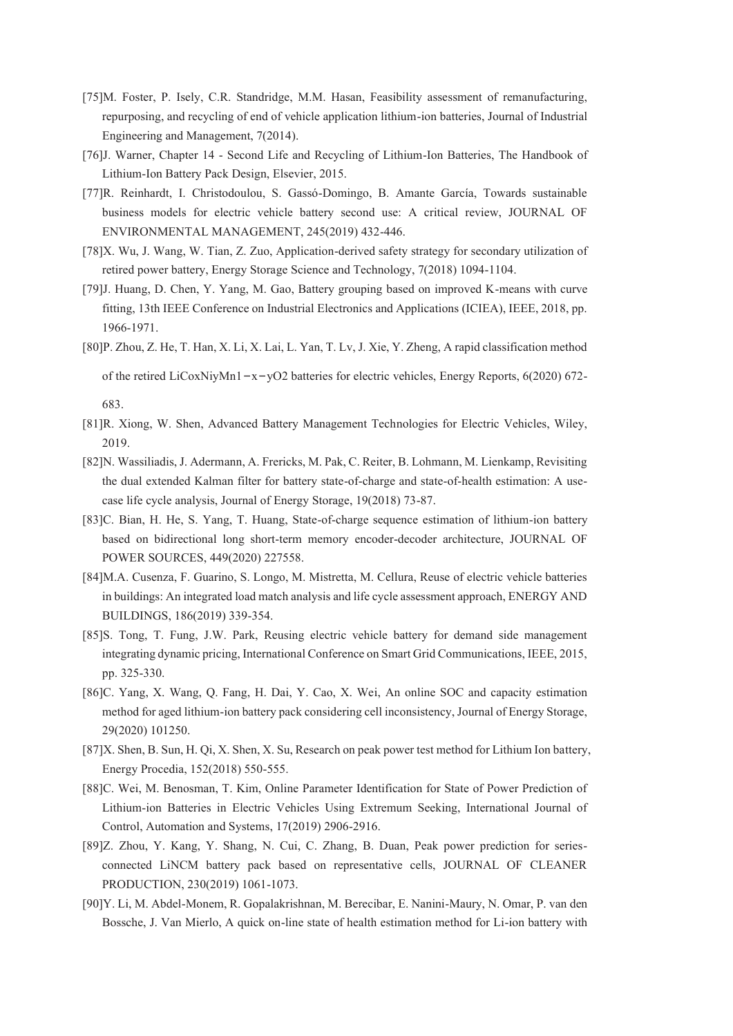- [75]M. Foster, P. Isely, C.R. Standridge, M.M. Hasan, Feasibility assessment of remanufacturing, repurposing, and recycling of end of vehicle application lithium-ion batteries, Journal of Industrial Engineering and Management, 7(2014).
- [76]J. Warner, Chapter 14 Second Life and Recycling of Lithium-Ion Batteries, The Handbook of Lithium-Ion Battery Pack Design, Elsevier, 2015.
- [77]R. Reinhardt, I. Christodoulou, S. Gassó-Domingo, B. Amante García, Towards sustainable business models for electric vehicle battery second use: A critical review, JOURNAL OF ENVIRONMENTAL MANAGEMENT, 245(2019) 432-446.
- [78]X. Wu, J. Wang, W. Tian, Z. Zuo, Application-derived safety strategy for secondary utilization of retired power battery, Energy Storage Science and Technology, 7(2018) 1094-1104.
- [79]J. Huang, D. Chen, Y. Yang, M. Gao, Battery grouping based on improved K-means with curve fitting, 13th IEEE Conference on Industrial Electronics and Applications (ICIEA), IEEE, 2018, pp. 1966-1971.
- [80]P. Zhou, Z. He, T. Han, X. Li, X. Lai, L. Yan, T. Lv, J. Xie, Y. Zheng, A rapid classification method

of the retired LiCoxNiyMn1 $-x-yO2$  batteries for electric vehicles, Energy Reports, 6(2020) 672-

683.

- [81]R. Xiong, W. Shen, Advanced Battery Management Technologies for Electric Vehicles, Wiley, 2019.
- [82]N. Wassiliadis, J. Adermann, A. Frericks, M. Pak, C. Reiter, B. Lohmann, M. Lienkamp, Revisiting the dual extended Kalman filter for battery state-of-charge and state-of-health estimation: A usecase life cycle analysis, Journal of Energy Storage, 19(2018) 73-87.
- [83]C. Bian, H. He, S. Yang, T. Huang, State-of-charge sequence estimation of lithium-ion battery based on bidirectional long short-term memory encoder-decoder architecture, JOURNAL OF POWER SOURCES, 449(2020) 227558.
- [84]M.A. Cusenza, F. Guarino, S. Longo, M. Mistretta, M. Cellura, Reuse of electric vehicle batteries in buildings: An integrated load match analysis and life cycle assessment approach, ENERGY AND BUILDINGS, 186(2019) 339-354.
- [85]S. Tong, T. Fung, J.W. Park, Reusing electric vehicle battery for demand side management integrating dynamic pricing, International Conference on Smart Grid Communications, IEEE, 2015, pp. 325-330.
- [86]C. Yang, X. Wang, Q. Fang, H. Dai, Y. Cao, X. Wei, An online SOC and capacity estimation method for aged lithium-ion battery pack considering cell inconsistency, Journal of Energy Storage, 29(2020) 101250.
- [87]X. Shen, B. Sun, H. Qi, X. Shen, X. Su, Research on peak power test method for Lithium Ion battery, Energy Procedia, 152(2018) 550-555.
- [88]C. Wei, M. Benosman, T. Kim, Online Parameter Identification for State of Power Prediction of Lithium-ion Batteries in Electric Vehicles Using Extremum Seeking, International Journal of Control, Automation and Systems, 17(2019) 2906-2916.
- [89]Z. Zhou, Y. Kang, Y. Shang, N. Cui, C. Zhang, B. Duan, Peak power prediction for seriesconnected LiNCM battery pack based on representative cells, JOURNAL OF CLEANER PRODUCTION, 230(2019) 1061-1073.
- [90]Y. Li, M. Abdel-Monem, R. Gopalakrishnan, M. Berecibar, E. Nanini-Maury, N. Omar, P. van den Bossche, J. Van Mierlo, A quick on-line state of health estimation method for Li-ion battery with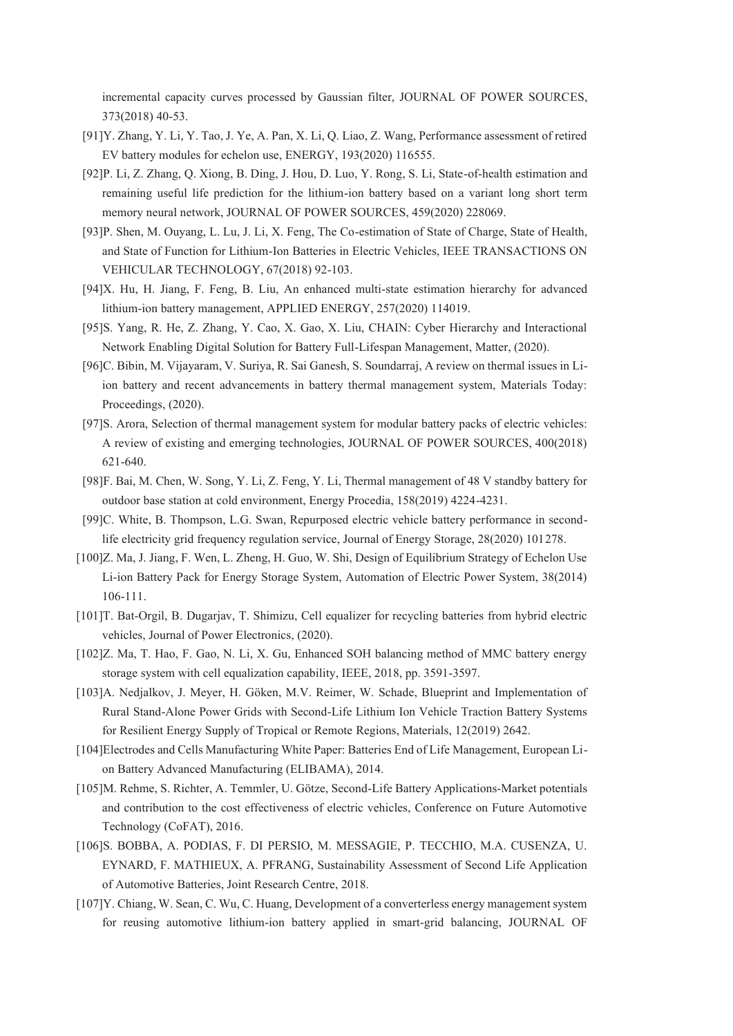incremental capacity curves processed by Gaussian filter, JOURNAL OF POWER SOURCES, 373(2018) 40-53.

- [91]Y. Zhang, Y. Li, Y. Tao, J. Ye, A. Pan, X. Li, Q. Liao, Z. Wang, Performance assessment of retired EV battery modules for echelon use, ENERGY, 193(2020) 116555.
- [92]P. Li, Z. Zhang, Q. Xiong, B. Ding, J. Hou, D. Luo, Y. Rong, S. Li, State-of-health estimation and remaining useful life prediction for the lithium-ion battery based on a variant long short term memory neural network, JOURNAL OF POWER SOURCES, 459(2020) 228069.
- [93]P. Shen, M. Ouyang, L. Lu, J. Li, X. Feng, The Co-estimation of State of Charge, State of Health, and State of Function for Lithium-Ion Batteries in Electric Vehicles, IEEE TRANSACTIONS ON VEHICULAR TECHNOLOGY, 67(2018) 92-103.
- [94]X. Hu, H. Jiang, F. Feng, B. Liu, An enhanced multi-state estimation hierarchy for advanced lithium-ion battery management, APPLIED ENERGY, 257(2020) 114019.
- [95]S. Yang, R. He, Z. Zhang, Y. Cao, X. Gao, X. Liu, CHAIN: Cyber Hierarchy and Interactional Network Enabling Digital Solution for Battery Full-Lifespan Management, Matter, (2020).
- [96]C. Bibin, M. Vijayaram, V. Suriya, R. Sai Ganesh, S. Soundarraj, A review on thermal issues in Liion battery and recent advancements in battery thermal management system, Materials Today: Proceedings, (2020).
- [97]S. Arora, Selection of thermal management system for modular battery packs of electric vehicles: A review of existing and emerging technologies, JOURNAL OF POWER SOURCES, 400(2018) 621-640.
- [98]F. Bai, M. Chen, W. Song, Y. Li, Z. Feng, Y. Li, Thermal management of 48 V standby battery for outdoor base station at cold environment, Energy Procedia, 158(2019) 4224-4231.
- [99]C. White, B. Thompson, L.G. Swan, Repurposed electric vehicle battery performance in secondlife electricity grid frequency regulation service, Journal of Energy Storage, 28(2020) 101278.
- [100]Z. Ma, J. Jiang, F. Wen, L. Zheng, H. Guo, W. Shi, Design of Equilibrium Strategy of Echelon Use Li-ion Battery Pack for Energy Storage System, Automation of Electric Power System, 38(2014) 106-111.
- [101]T. Bat-Orgil, B. Dugarjav, T. Shimizu, Cell equalizer for recycling batteries from hybrid electric vehicles, Journal of Power Electronics, (2020).
- [102]Z. Ma, T. Hao, F. Gao, N. Li, X. Gu, Enhanced SOH balancing method of MMC battery energy storage system with cell equalization capability, IEEE, 2018, pp. 3591-3597.
- [103]A. Nedjalkov, J. Meyer, H. Göken, M.V. Reimer, W. Schade, Blueprint and Implementation of Rural Stand-Alone Power Grids with Second-Life Lithium Ion Vehicle Traction Battery Systems for Resilient Energy Supply of Tropical or Remote Regions, Materials, 12(2019) 2642.
- [104]Electrodes and Cells Manufacturing White Paper: Batteries End of Life Management, European Lion Battery Advanced Manufacturing (ELIBAMA), 2014.
- [105]M. Rehme, S. Richter, A. Temmler, U. Götze, Second-Life Battery Applications-Market potentials and contribution to the cost effectiveness of electric vehicles, Conference on Future Automotive Technology (CoFAT), 2016.
- [106]S. BOBBA, A. PODIAS, F. DI PERSIO, M. MESSAGIE, P. TECCHIO, M.A. CUSENZA, U. EYNARD, F. MATHIEUX, A. PFRANG, Sustainability Assessment of Second Life Application of Automotive Batteries, Joint Research Centre, 2018.
- [107]Y. Chiang, W. Sean, C. Wu, C. Huang, Development of a converterless energy management system for reusing automotive lithium-ion battery applied in smart-grid balancing, JOURNAL OF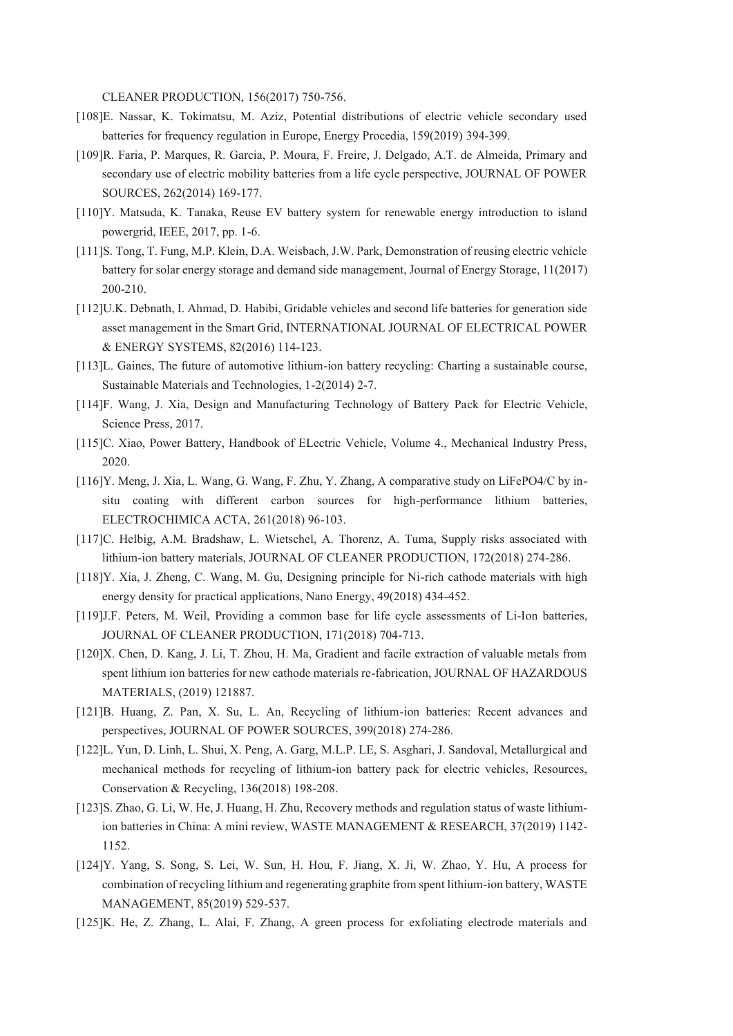CLEANER PRODUCTION, 156(2017) 750-756.

- [108]E. Nassar, K. Tokimatsu, M. Aziz, Potential distributions of electric vehicle secondary used batteries for frequency regulation in Europe, Energy Procedia, 159(2019) 394-399.
- [109]R. Faria, P. Marques, R. Garcia, P. Moura, F. Freire, J. Delgado, A.T. de Almeida, Primary and secondary use of electric mobility batteries from a life cycle perspective, JOURNAL OF POWER SOURCES, 262(2014) 169-177.
- [110]Y. Matsuda, K. Tanaka, Reuse EV battery system for renewable energy introduction to island powergrid, IEEE, 2017, pp. 1-6.
- [111]S. Tong, T. Fung, M.P. Klein, D.A. Weisbach, J.W. Park, Demonstration of reusing electric vehicle battery for solar energy storage and demand side management, Journal of Energy Storage, 11(2017) 200-210.
- [112]U.K. Debnath, I. Ahmad, D. Habibi, Gridable vehicles and second life batteries for generation side asset management in the Smart Grid, INTERNATIONAL JOURNAL OF ELECTRICAL POWER & ENERGY SYSTEMS, 82(2016) 114-123.
- [113]L. Gaines, The future of automotive lithium-ion battery recycling: Charting a sustainable course, Sustainable Materials and Technologies, 1-2(2014) 2-7.
- [114]F. Wang, J. Xia, Design and Manufacturing Technology of Battery Pack for Electric Vehicle, Science Press, 2017.
- [115]C. Xiao, Power Battery, Handbook of ELectric Vehicle, Volume 4., Mechanical Industry Press, 2020.
- [116]Y. Meng, J. Xia, L. Wang, G. Wang, F. Zhu, Y. Zhang, A comparative study on LiFePO4/C by insitu coating with different carbon sources for high-performance lithium batteries, ELECTROCHIMICA ACTA, 261(2018) 96-103.
- [117]C. Helbig, A.M. Bradshaw, L. Wietschel, A. Thorenz, A. Tuma, Supply risks associated with lithium-ion battery materials, JOURNAL OF CLEANER PRODUCTION, 172(2018) 274-286.
- [118]Y. Xia, J. Zheng, C. Wang, M. Gu, Designing principle for Ni-rich cathode materials with high energy density for practical applications, Nano Energy, 49(2018) 434-452.
- [119]J.F. Peters, M. Weil, Providing a common base for life cycle assessments of Li-Ion batteries, JOURNAL OF CLEANER PRODUCTION, 171(2018) 704-713.
- [120]X. Chen, D. Kang, J. Li, T. Zhou, H. Ma, Gradient and facile extraction of valuable metals from spent lithium ion batteries for new cathode materials re-fabrication, JOURNAL OF HAZARDOUS MATERIALS, (2019) 121887.
- [121]B. Huang, Z. Pan, X. Su, L. An, Recycling of lithium-ion batteries: Recent advances and perspectives, JOURNAL OF POWER SOURCES, 399(2018) 274-286.
- [122]L. Yun, D. Linh, L. Shui, X. Peng, A. Garg, M.L.P. LE, S. Asghari, J. Sandoval, Metallurgical and mechanical methods for recycling of lithium-ion battery pack for electric vehicles, Resources, Conservation & Recycling, 136(2018) 198-208.
- [123]S. Zhao, G. Li, W. He, J. Huang, H. Zhu, Recovery methods and regulation status of waste lithiumion batteries in China: A mini review, WASTE MANAGEMENT & RESEARCH, 37(2019) 1142- 1152.
- [124]Y. Yang, S. Song, S. Lei, W. Sun, H. Hou, F. Jiang, X. Ji, W. Zhao, Y. Hu, A process for combination of recycling lithium and regenerating graphite from spent lithium-ion battery, WASTE MANAGEMENT, 85(2019) 529-537.
- [125]K. He, Z. Zhang, L. Alai, F. Zhang, A green process for exfoliating electrode materials and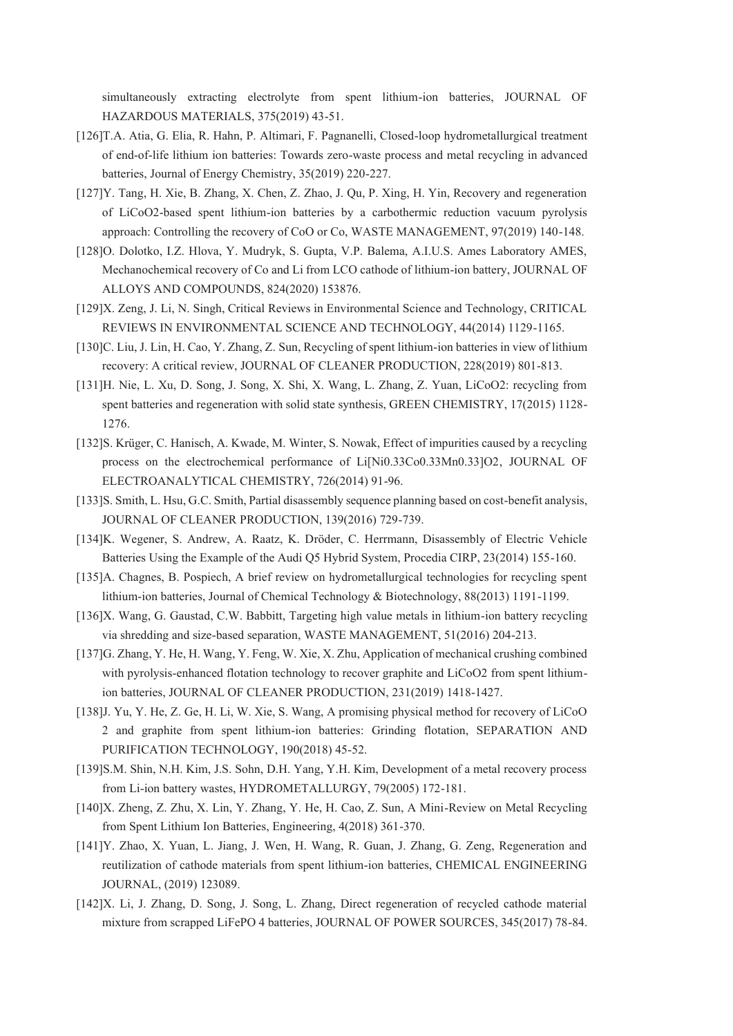simultaneously extracting electrolyte from spent lithium-ion batteries, JOURNAL OF HAZARDOUS MATERIALS, 375(2019) 43-51.

- [126]T.A. Atia, G. Elia, R. Hahn, P. Altimari, F. Pagnanelli, Closed-loop hydrometallurgical treatment of end-of-life lithium ion batteries: Towards zero-waste process and metal recycling in advanced batteries, Journal of Energy Chemistry, 35(2019) 220-227.
- [127]Y. Tang, H. Xie, B. Zhang, X. Chen, Z. Zhao, J. Qu, P. Xing, H. Yin, Recovery and regeneration of LiCoO2-based spent lithium-ion batteries by a carbothermic reduction vacuum pyrolysis approach: Controlling the recovery of CoO or Co, WASTE MANAGEMENT, 97(2019) 140-148.
- [128]O. Dolotko, I.Z. Hlova, Y. Mudryk, S. Gupta, V.P. Balema, A.I.U.S. Ames Laboratory AMES, Mechanochemical recovery of Co and Li from LCO cathode of lithium-ion battery, JOURNAL OF ALLOYS AND COMPOUNDS, 824(2020) 153876.
- [129]X. Zeng, J. Li, N. Singh, Critical Reviews in Environmental Science and Technology, CRITICAL REVIEWS IN ENVIRONMENTAL SCIENCE AND TECHNOLOGY, 44(2014) 1129-1165.
- [130]C. Liu, J. Lin, H. Cao, Y. Zhang, Z. Sun, Recycling of spent lithium-ion batteries in view of lithium recovery: A critical review, JOURNAL OF CLEANER PRODUCTION, 228(2019) 801-813.
- [131]H. Nie, L. Xu, D. Song, J. Song, X. Shi, X. Wang, L. Zhang, Z. Yuan, LiCoO2: recycling from spent batteries and regeneration with solid state synthesis, GREEN CHEMISTRY, 17(2015) 1128- 1276.
- [132]S. Krüger, C. Hanisch, A. Kwade, M. Winter, S. Nowak, Effect of impurities caused by a recycling process on the electrochemical performance of Li[Ni0.33Co0.33Mn0.33]O2, JOURNAL OF ELECTROANALYTICAL CHEMISTRY, 726(2014) 91-96.
- [133]S. Smith, L. Hsu, G.C. Smith, Partial disassembly sequence planning based on cost-benefit analysis, JOURNAL OF CLEANER PRODUCTION, 139(2016) 729-739.
- [134]K. Wegener, S. Andrew, A. Raatz, K. Dröder, C. Herrmann, Disassembly of Electric Vehicle Batteries Using the Example of the Audi Q5 Hybrid System, Procedia CIRP, 23(2014) 155-160.
- [135]A. Chagnes, B. Pospiech, A brief review on hydrometallurgical technologies for recycling spent lithium-ion batteries, Journal of Chemical Technology & Biotechnology, 88(2013) 1191-1199.
- [136]X. Wang, G. Gaustad, C.W. Babbitt, Targeting high value metals in lithium-ion battery recycling via shredding and size-based separation, WASTE MANAGEMENT, 51(2016) 204-213.
- [137]G. Zhang, Y. He, H. Wang, Y. Feng, W. Xie, X. Zhu, Application of mechanical crushing combined with pyrolysis-enhanced flotation technology to recover graphite and LiCoO2 from spent lithiumion batteries, JOURNAL OF CLEANER PRODUCTION, 231(2019) 1418-1427.
- [138]J. Yu, Y. He, Z. Ge, H. Li, W. Xie, S. Wang, A promising physical method for recovery of LiCoO 2 and graphite from spent lithium-ion batteries: Grinding flotation, SEPARATION AND PURIFICATION TECHNOLOGY, 190(2018) 45-52.
- [139]S.M. Shin, N.H. Kim, J.S. Sohn, D.H. Yang, Y.H. Kim, Development of a metal recovery process from Li-ion battery wastes, HYDROMETALLURGY, 79(2005) 172-181.
- [140]X. Zheng, Z. Zhu, X. Lin, Y. Zhang, Y. He, H. Cao, Z. Sun, A Mini-Review on Metal Recycling from Spent Lithium Ion Batteries, Engineering, 4(2018) 361-370.
- [141]Y. Zhao, X. Yuan, L. Jiang, J. Wen, H. Wang, R. Guan, J. Zhang, G. Zeng, Regeneration and reutilization of cathode materials from spent lithium-ion batteries, CHEMICAL ENGINEERING JOURNAL, (2019) 123089.
- [142]X. Li, J. Zhang, D. Song, J. Song, L. Zhang, Direct regeneration of recycled cathode material mixture from scrapped LiFePO 4 batteries, JOURNAL OF POWER SOURCES, 345(2017) 78-84.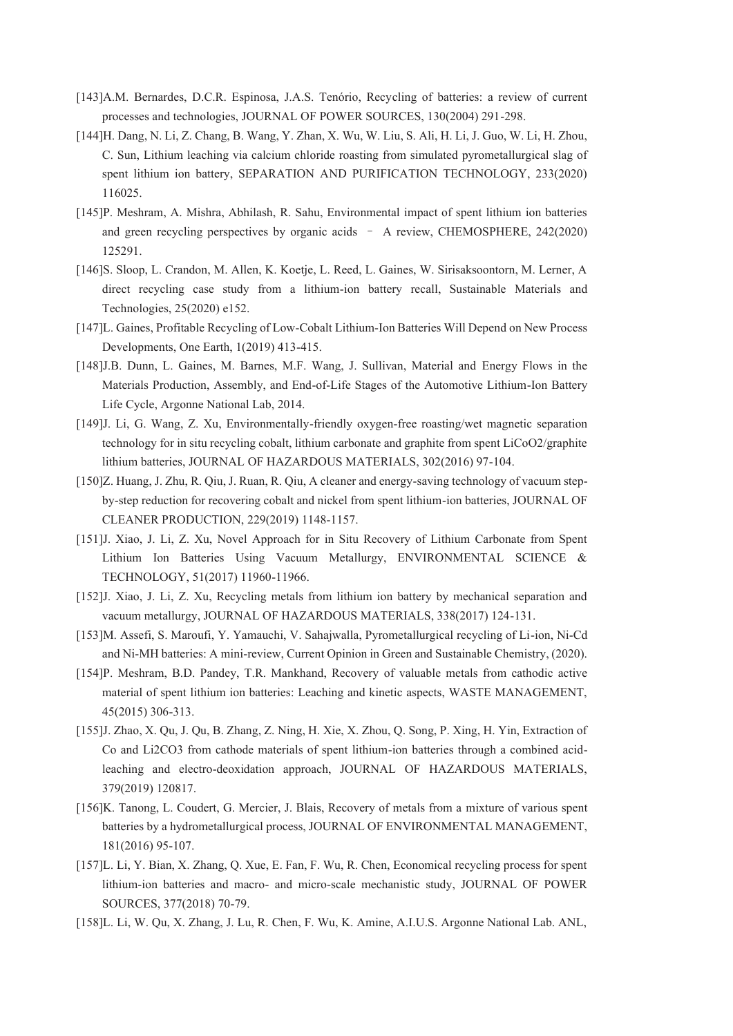- [143]A.M. Bernardes, D.C.R. Espinosa, J.A.S. Tenório, Recycling of batteries: a review of current processes and technologies, JOURNAL OF POWER SOURCES, 130(2004) 291-298.
- [144]H. Dang, N. Li, Z. Chang, B. Wang, Y. Zhan, X. Wu, W. Liu, S. Ali, H. Li, J. Guo, W. Li, H. Zhou, C. Sun, Lithium leaching via calcium chloride roasting from simulated pyrometallurgical slag of spent lithium ion battery, SEPARATION AND PURIFICATION TECHNOLOGY, 233(2020) 116025.
- [145]P. Meshram, A. Mishra, Abhilash, R. Sahu, Environmental impact of spent lithium ion batteries and green recycling perspectives by organic acids - A review, CHEMOSPHERE, 242(2020) 125291.
- [146]S. Sloop, L. Crandon, M. Allen, K. Koetje, L. Reed, L. Gaines, W. Sirisaksoontorn, M. Lerner, A direct recycling case study from a lithium-ion battery recall, Sustainable Materials and Technologies, 25(2020) e152.
- [147]L. Gaines, Profitable Recycling of Low-Cobalt Lithium-Ion Batteries Will Depend on New Process Developments, One Earth, 1(2019) 413-415.
- [148]J.B. Dunn, L. Gaines, M. Barnes, M.F. Wang, J. Sullivan, Material and Energy Flows in the Materials Production, Assembly, and End-of-Life Stages of the Automotive Lithium-Ion Battery Life Cycle, Argonne National Lab, 2014.
- [149]J. Li, G. Wang, Z. Xu, Environmentally-friendly oxygen-free roasting/wet magnetic separation technology for in situ recycling cobalt, lithium carbonate and graphite from spent LiCoO2/graphite lithium batteries, JOURNAL OF HAZARDOUS MATERIALS, 302(2016) 97-104.
- [150]Z. Huang, J. Zhu, R. Qiu, J. Ruan, R. Qiu, A cleaner and energy-saving technology of vacuum stepby-step reduction for recovering cobalt and nickel from spent lithium-ion batteries, JOURNAL OF CLEANER PRODUCTION, 229(2019) 1148-1157.
- [151]J. Xiao, J. Li, Z. Xu, Novel Approach for in Situ Recovery of Lithium Carbonate from Spent Lithium Ion Batteries Using Vacuum Metallurgy, ENVIRONMENTAL SCIENCE & TECHNOLOGY, 51(2017) 11960-11966.
- [152]J. Xiao, J. Li, Z. Xu, Recycling metals from lithium ion battery by mechanical separation and vacuum metallurgy, JOURNAL OF HAZARDOUS MATERIALS, 338(2017) 124-131.
- [153]M. Assefi, S. Maroufi, Y. Yamauchi, V. Sahajwalla, Pyrometallurgical recycling of Li-ion, Ni-Cd and Ni-MH batteries: A mini-review, Current Opinion in Green and Sustainable Chemistry, (2020).
- [154]P. Meshram, B.D. Pandey, T.R. Mankhand, Recovery of valuable metals from cathodic active material of spent lithium ion batteries: Leaching and kinetic aspects, WASTE MANAGEMENT, 45(2015) 306-313.
- [155]J. Zhao, X. Qu, J. Qu, B. Zhang, Z. Ning, H. Xie, X. Zhou, Q. Song, P. Xing, H. Yin, Extraction of Co and Li2CO3 from cathode materials of spent lithium-ion batteries through a combined acidleaching and electro-deoxidation approach, JOURNAL OF HAZARDOUS MATERIALS, 379(2019) 120817.
- [156]K. Tanong, L. Coudert, G. Mercier, J. Blais, Recovery of metals from a mixture of various spent batteries by a hydrometallurgical process, JOURNAL OF ENVIRONMENTAL MANAGEMENT, 181(2016) 95-107.
- [157]L. Li, Y. Bian, X. Zhang, Q. Xue, E. Fan, F. Wu, R. Chen, Economical recycling process for spent lithium-ion batteries and macro- and micro-scale mechanistic study, JOURNAL OF POWER SOURCES, 377(2018) 70-79.
- [158]L. Li, W. Qu, X. Zhang, J. Lu, R. Chen, F. Wu, K. Amine, A.I.U.S. Argonne National Lab. ANL,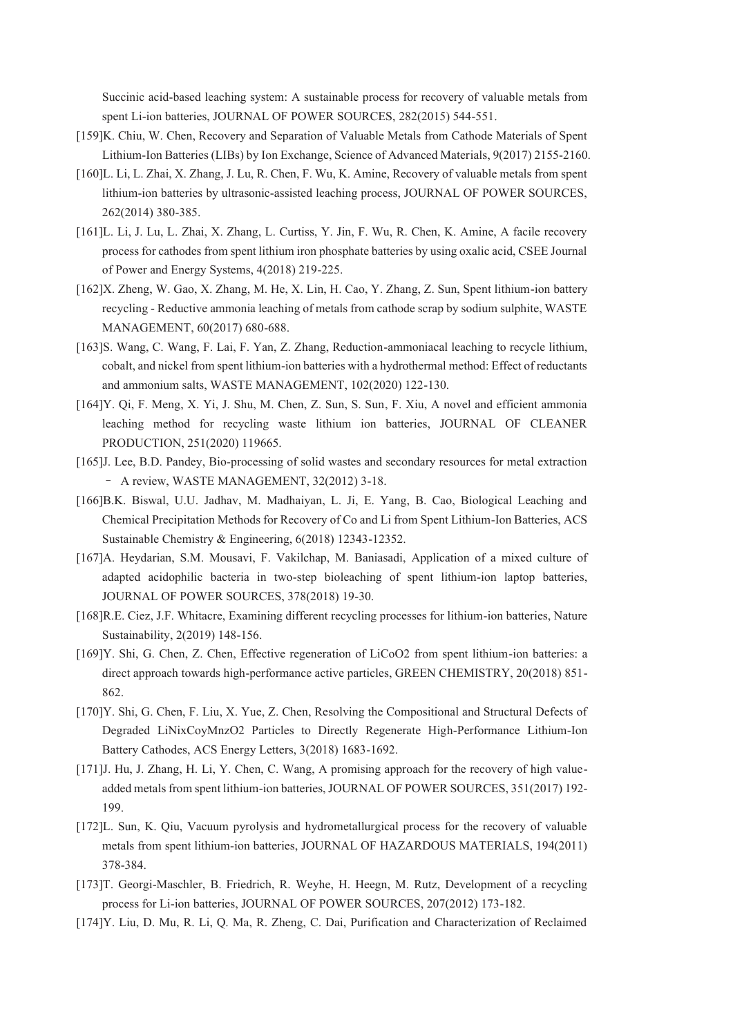Succinic acid-based leaching system: A sustainable process for recovery of valuable metals from spent Li-ion batteries, JOURNAL OF POWER SOURCES, 282(2015) 544-551.

- [159]K. Chiu, W. Chen, Recovery and Separation of Valuable Metals from Cathode Materials of Spent Lithium-Ion Batteries (LIBs) by Ion Exchange, Science of Advanced Materials, 9(2017) 2155-2160.
- [160]L. Li, L. Zhai, X. Zhang, J. Lu, R. Chen, F. Wu, K. Amine, Recovery of valuable metals from spent lithium-ion batteries by ultrasonic-assisted leaching process, JOURNAL OF POWER SOURCES, 262(2014) 380-385.
- [161]L. Li, J. Lu, L. Zhai, X. Zhang, L. Curtiss, Y. Jin, F. Wu, R. Chen, K. Amine, A facile recovery process for cathodes from spent lithium iron phosphate batteries by using oxalic acid, CSEE Journal of Power and Energy Systems, 4(2018) 219-225.
- [162]X. Zheng, W. Gao, X. Zhang, M. He, X. Lin, H. Cao, Y. Zhang, Z. Sun, Spent lithium-ion battery recycling - Reductive ammonia leaching of metals from cathode scrap by sodium sulphite, WASTE MANAGEMENT, 60(2017) 680-688.
- [163]S. Wang, C. Wang, F. Lai, F. Yan, Z. Zhang, Reduction-ammoniacal leaching to recycle lithium, cobalt, and nickel from spent lithium-ion batteries with a hydrothermal method: Effect of reductants and ammonium salts, WASTE MANAGEMENT, 102(2020) 122-130.
- [164]Y. Qi, F. Meng, X. Yi, J. Shu, M. Chen, Z. Sun, S. Sun, F. Xiu, A novel and efficient ammonia leaching method for recycling waste lithium ion batteries, JOURNAL OF CLEANER PRODUCTION, 251(2020) 119665.
- [165]J. Lee, B.D. Pandey, Bio-processing of solid wastes and secondary resources for metal extraction - A review, WASTE MANAGEMENT, 32(2012) 3-18.
- [166]B.K. Biswal, U.U. Jadhav, M. Madhaiyan, L. Ji, E. Yang, B. Cao, Biological Leaching and Chemical Precipitation Methods for Recovery of Co and Li from Spent Lithium-Ion Batteries, ACS Sustainable Chemistry & Engineering, 6(2018) 12343-12352.
- [167]A. Heydarian, S.M. Mousavi, F. Vakilchap, M. Baniasadi, Application of a mixed culture of adapted acidophilic bacteria in two-step bioleaching of spent lithium-ion laptop batteries, JOURNAL OF POWER SOURCES, 378(2018) 19-30.
- [168]R.E. Ciez, J.F. Whitacre, Examining different recycling processes for lithium-ion batteries, Nature Sustainability, 2(2019) 148-156.
- [169]Y. Shi, G. Chen, Z. Chen, Effective regeneration of LiCoO2 from spent lithium-ion batteries: a direct approach towards high-performance active particles, GREEN CHEMISTRY, 20(2018) 851- 862.
- [170]Y. Shi, G. Chen, F. Liu, X. Yue, Z. Chen, Resolving the Compositional and Structural Defects of Degraded LiNixCoyMnzO2 Particles to Directly Regenerate High-Performance Lithium-Ion Battery Cathodes, ACS Energy Letters, 3(2018) 1683-1692.
- [171]J. Hu, J. Zhang, H. Li, Y. Chen, C. Wang, A promising approach for the recovery of high valueadded metals from spent lithium-ion batteries, JOURNAL OF POWER SOURCES, 351(2017) 192- 199.
- [172]L. Sun, K. Qiu, Vacuum pyrolysis and hydrometallurgical process for the recovery of valuable metals from spent lithium-ion batteries, JOURNAL OF HAZARDOUS MATERIALS, 194(2011) 378-384.
- [173]T. Georgi-Maschler, B. Friedrich, R. Weyhe, H. Heegn, M. Rutz, Development of a recycling process for Li-ion batteries, JOURNAL OF POWER SOURCES, 207(2012) 173-182.
- [174]Y. Liu, D. Mu, R. Li, Q. Ma, R. Zheng, C. Dai, Purification and Characterization of Reclaimed